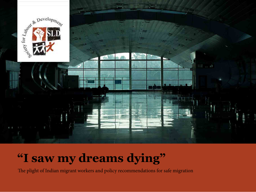

# **"I saw my dreams dying"**

The plight of Indian migrant workers and policy recommendations for safe migration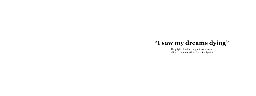The plight of Indian migrant workers and policy recommendations for safe migration

# **"I saw my dreams dying"**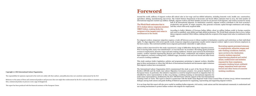#### **Copyright (c) 2016 International Labour Organization.**

The responsibility for opinions expressed in the work rests solely with their authors, and publication does not constitute endorsement by the ILO.

Reference to the names of firms and commercial products and processes does not imply their endorsement by the ILO, and any failure to mention a particular firm, commercial product or process is not a sign of disapproval.

This report has been produced with the financial assistance of the European Union.

# **Foreword**



Around the world, millions of migrant workers fill critical roles in low-wage and low-skilled industries, including domestic work, health care, construction, agriculture, fishing, manufacturing and service. The United Nations Department of Economic and Social Affairs estimates that in 2013, the total number of international migrants reached 232 million. Globally, migrant workers and their families account for 90 percent of all migrants, and women account for nearly

half of all international migrants. In destination countries, migrant workers contribute to the host economy's productivity and growth. In origin countries, they generate economic capital through remittances and savings, and they return with newly acquired skills.

According to India's Ministry of Overseas Indian Affairs, about 25 million Indians reside in foreign countries and work in unskilled, semi-skilled and high-skilled professions. The World Bank estimates that in 2013, Indian labour migrants remitted US\$70 billion, making India the recipient of the largest total value in remittances in the world.

For migrant workers, temporary migration requires a trade-off between access to labour markets in destination countries and restrictions on their individual rights. To align migration with sector-specific needs, temporary migration programmes usually restrict migrant workers' rights to move between employers in the host country. This restricted mobility leaves migrants particularly vulnerable to rights abuses.

Indian workers interviewed for this study experienced a range of difficulties during their migration journey. Prior to leaving India, many were misinformed—or even deceived—by recruiters. Recruiting agents promised avenues to employment, attractive wages and safe working conditions. Instead, upon arrival in the destination country, workers reported experiencing physical and verbal abuse, confinement and isolation imposed by their employers, excessive working hours, withheld wages, hazardous work and even forced and other forms of coercive working conditions.

This study analyses India's legislation, policies and programmes pertaining to migrant workers, identifies gaps in these mechanisms or where they fall short of international standards and documents rights violations that migrant workers have encountered.

The International Labour Organization (ILO) commissioned this study as part of the Decent Work Across Borders (DWAB) and the South Asia Labour Migration Governance projects—two projects funded by the European Union. In particular, this initiative responds to a need for targeted research on migration that was identified by union representatives in May 2014 during a weeklong training on international migration for trade union representatives, facilitated by the ILO–DWAB Project with the support of the ILO International Training Centre in Turin. This report is timed to synchronize with the South Asian Regional Trade Union Council Plan of Action (2013); inform transnational dialogue among trade unions and guide drafting of bilateral agreements for organizing, representing and supporting migrant workers. working conditions.

It is our hope that this report will also prove useful in enabling Indian migrants, civil society, trade unions and the international community to understand and use existing mechanisms to protect Indian workers who migrate for employment.

Recruiting agents promised avenues to employment, attractive wages and safe working conditions. Instead, upon arrival in the destination country, workers reported experiencing physical and verbal abuse, confinement and isolation imposed by their employers, excessive working hours, withheld wages, hazardous work and even forced and other forms of coercive

The World Bank estimates that in 2013, Indian labour migrants remitted US\$70 billion, making India the recipient of the largest total value in remittances in the world.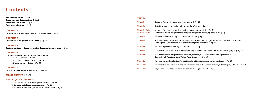## **Contents**

| <b>Acknowledgements</b>   Pg. 1                                                                                                                                                                   | <b>TABLES</b>                                  |                                                                                                                                                                             |
|---------------------------------------------------------------------------------------------------------------------------------------------------------------------------------------------------|------------------------------------------------|-----------------------------------------------------------------------------------------------------------------------------------------------------------------------------|
| <b>Acronyms and Terminology</b>   Pg. 2<br><b>Executive summary</b>   Pg. 4                                                                                                                       | <b>Table 1:</b>                                | ILO core Conventions and their key points   Pq. 12                                                                                                                          |
| <b>Recommendations</b>   Pq. 5                                                                                                                                                                    | Table 2.                                       | ILO Conventions protecting migrant workers' rights   Pg. 17                                                                                                                 |
| <b>CHAPTER 1</b><br><b>Introduction, study objectives and methodology</b> $\vert$ Pq. 9                                                                                                           | <b>Table 3   3.1:</b><br><b>Table 3   3.2:</b> | Migrants from India to top-five destination countries, 2012   Pg. 22<br>Number of Indian emigrants requiring an emigration check, by state, 2012   Pg. 22                   |
| <b>CHAPTER 2</b>                                                                                                                                                                                  | <b>Table 4:</b>                                | Services provided by Migrant Resource Centres   Pg. 27                                                                                                                      |
| <b>International migration from India</b>   Pg. 21                                                                                                                                                | <b>Table 5:</b>                                | Availability of Migrant Resource Centres and Protector of Emigrants offices in the top-five labour-<br>sending states, by number of registered emigrants per state   Pg. 40 |
| <b>CHAPTER 3</b><br>Systems and procedures governing documented migration $\vert$ Pq. 25                                                                                                          | Table 6:                                       | MOIA budget allocation, by scheme, 2013-14   Pg. 41                                                                                                                         |
|                                                                                                                                                                                                   | <b>Table 7:</b>                                | Thematic focus of MOIA awareness campaigns and recommendations for future campaigns   Pg. 42                                                                                |
| <b>CHAPTER 4</b><br>Difficulties in the migration journey $\vert$ Pg. 34<br>4.1 Pre-departure   Pg. 35                                                                                            | <b>Table 8:</b>                                | Monthly minimum wages for construction, masonry/technical labour and agriculture in<br>Kuwait, Saudi Arabia and the United Arab Emirates   Pq. 45                           |
| 4.2 In destination countries   Pq. 43                                                                                                                                                             | Table 9:                                       | Services covered under the Pravasi Bharatiya Bima Yojna insurance guidelines   Pg. 47                                                                                       |
| 4.3 Upon return to India   Pq. 53                                                                                                                                                                 | Table 10:                                      | Enrolment, claims filed and amount disbursed under the Pravasi Bharatiya Bima Yojna, 2011–14   Pg. 48                                                                       |
| <b>CHAPTER 5</b><br><b>Conclusion and recommendations</b>   Pq. 55                                                                                                                                | Table 11:                                      | Key provisions in the proposed Emigration Management Bill   Pg. 56                                                                                                          |
| <b>BIBLIOGRAPHY</b>   Pq. 61                                                                                                                                                                      |                                                |                                                                                                                                                                             |
| <b>ANNEX QUESTIONNAIRES</b><br>1. Returned migrant worker questionnaire   Pg. 65<br>2. Government official questionnaire   Pg. 73<br>3. Union questionnaire (for Indian union officials)   Pq. 75 |                                                |                                                                                                                                                                             |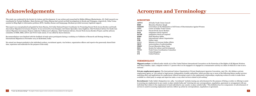# **Acknowledgements**

| This study was conducted by the Society for Labour and Development. It was written and researched by Shikha Silliman Bhattacharjee, JD. Field research was<br>coordinated by Parimal Sudhakar. Manu Kurian and Vishnu Sharma had carried out field investigations in Kerala and Telangana, respectively. Neha Verma | <b>ACRO</b>                |
|---------------------------------------------------------------------------------------------------------------------------------------------------------------------------------------------------------------------------------------------------------------------------------------------------------------------|----------------------------|
| assisted in filing Right to Information petitions (RTI). Sandhya Kumar and Sanjaypagu Abraham provided necessary logistical support.                                                                                                                                                                                | <b>AITUC</b><br><b>BMS</b> |
| This report was conceptualized and guided by Seeta Sharma, ILO India National Project Coordinator for Promoting Decent Work Across Borders and South                                                                                                                                                                | <b>CEDAW</b>               |
| Asia Labour Migration Governance Projects. It was reviewed by Coen Kompier, ILO Senior Specialist; Anna Engblom, Chief Technical Advisor for South Asia                                                                                                                                                             | <b>CITU</b>                |
| Labour Migration Governance Project; Catherine Vaillancourt-Laflamme, Chief Technical Advisor, Decent Work Across Borders Project; and the advisory                                                                                                                                                                 | <b>DWAB</b>                |
| committee of HMS, BMS, AITUC and TUCC trade unions. It was edited by Karen Emmons.                                                                                                                                                                                                                                  | <b>ECR</b>                 |
|                                                                                                                                                                                                                                                                                                                     | <b>ECNR</b>                |
| Recommendations were finalized with the feedback of trade union participants during a workshop on Validation of Research and Strategy Setting on                                                                                                                                                                    | <b>HMS</b>                 |
| International Migration in November 2014 in Hyderabad, India.                                                                                                                                                                                                                                                       | <b>ILO</b>                 |
|                                                                                                                                                                                                                                                                                                                     | <b>INR</b>                 |
| We extend our deepest gratitude to the individual workers, recruitment agents, visa brokers, organization officers and experts who generously shared their                                                                                                                                                          | <b>MOIA</b>                |
| time, experience and materials for the purpose of this study.                                                                                                                                                                                                                                                       | <b>MOU</b>                 |
|                                                                                                                                                                                                                                                                                                                     | <b>PBBY</b>                |
|                                                                                                                                                                                                                                                                                                                     | <b>SLD</b>                 |
|                                                                                                                                                                                                                                                                                                                     | <b>TUCC</b>                |
|                                                                                                                                                                                                                                                                                                                     | <b>UK</b>                  |
|                                                                                                                                                                                                                                                                                                                     |                            |

All India Trade Union Council **Bharatiya Mazdoor Sangh** Convention on the Elimination of All Forms of Discrimination Against Women **Centre of Indian Trade Unions** Decent Work Across Borders **ECR** emigration check required emigration check not required **Hind Mazdoor Sabha International Labour Organization** Indian rupee Ministry of Overseas Indian Affairs memorandum of understanding Pravasi Bharatiya Bima Yojna **Society for Labour and Development Trade Union Coordination Committee United Kingdom UN** United Nations

# **Acronyms and Terminology**

#### **ACRONYMS**

#### **TERMINOLOGY**

**Migrant worker:** As defined under Article 2(1) of the United Nations International Convention on the Protection of the Rights of All Migrant Workers and Their Families, 1990, a migrant worker is "a person who is to be engaged or is engaged in a remunerative activity in a State of which he or she is not a

national."

**Private employment agency:** The International Labour Organization's Private Employment Agencies Convention, 1997 (No. 181) defines a private employment agency as "any natural or legal person, independent of public authorities, which provides one or more of the following labour market services: matching offers and applications for employment without becoming a party to the employment relationships; employing workers in order to make them available to a third party to assign and supervise tasks; or any other services related to job-seeking."

**Recruitment:** Under India's Emigration Act, 1983, "recruitment" includes issuing any advertisement for the purpose of hiring a worker or offering to assist in securing any employment in any county or place outside India and "entering into any correspondence, negotiation, agreement or arrangement with any individual that relates to the employment of such individual in any country or place outside India." This definition has two components: (i) advertisement of services to assist in securing employment and (ii) a follow-up action by correspondence, negotiation or agreement.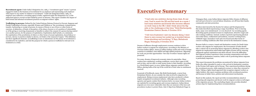**Recruitment agent:** Under India's Emigration Act, 1983, a "recruitment agent" means "a person engaged in India in the business of recruitment for an employer and representing such employer with respect to any matter in relation to recruitment." Under the Emigration Rules, 1983, an employer may authorize a recruiting agent in India, registered under the Emigration Act, as the authorized agent to recruit on their behalf by power of attorney. This report considers the impact of both formal and informal recruitment practices on migrant workers' rights.

**Trafficking in persons:** Defined by the United Nations Palermo Protocol to Prevent, Suppress and Punish Trafficking in Persons, especially Women and Children as "the recruitment, transportation, transfer, harbouring or receipt of persons, by means of threat or use of force or other forms of coercion, of abduction, of fraud, of deception, of the abuse of power or of a position of vulnerability or of the giving or receiving of payments or benefits to achieve the consent of a person having control over another person, for the purpose of exploitation. Exploitation shall include, at a minimum, the exploitation of the prostitution of others or other forms of sexual exploitation, forced labour or services, slavery or practices similar to slavery, servitude or the removal of organs." This definition has three significant elements: (i) trafficking is seen as intentional; (ii) the means of recruitment is considered to be exploitive; and (iii) the purpose for which a person is trafficked is relevant to its treatment as a crime.



# **Executive Summary**

"I had only one ambition during those days. At any cost, I had to reach the UK and find work as a nurse. I had many relatives and friends who became affluent on work visas in the UK. I didn't think about the flip side or the challenges at that time." Rohit Kacheripady, Ernakulam District, Kerala, 6 October 2014 "I felt very frustrated. I saw my dreams dying. I went there to earn money but ended up in bonded labour. It was shocking and terrifying." S. Raju, Mehaboob Nagar, Telangana, 8 October 2014

Dreams of affluence through employment overseas continue to drive Indian workers to migrate for employment. According to the Ministry of Overseas Indian Affairs, about 25 million Indians reside and work in foreign countries in unskilled, semi-skilled and high-skilled professions. Migrating for work can provide opportunities—but only if workers' human rights are protected.

For some, dreams of improved economic status do materialize. Many workers have satisfactory working conditions, receive their wages in full and on time, and are able to remit money home to their families. According to a World Bank report, in 2013, Indian labour migrants remitted US\$70 billion, placing India at the top of the world list of total value in remittances received.

In pursuit of livelihoods, many, like Rohit Kacheripady, a nurse from Ernakulam District, do not consider the risks involved in migration for employment. Rising overseas employment rates have produced a robust, largely unregulated recruitment industry. Although some recruiting agencies and agents conduct their business fairly, too many Indian workers are exploited by recruiting agents and overseas employers. Indian labour migrants are even more vulnerable when they are unaware of the laws and procedures in place to protect them. Like S. Raju from Mehaboob Nagar in

Telangana State, some Indian labour migrants follow dreams of affluence and end up in forced or coerced labour situations, cut off from their family, community and state protection.

Workers interviewed by the Society for Labour and Development for this study described experiencing a range of problems. Prior to leaving India, many were misinformed—or even deceived—by recruiting agents. Recruiting agents promised avenues to employment, attractive wages and safe working conditions. Instead, workers reported experiencing physical and verbal abuse, confinement and isolation, excessive working hours, withheld wages, hazardous work and even forced and other forms of coercive working conditions after their arrival in the destination country.

Because India is a source, transit and destination country for South Asian workers who migrate for employment, the Government of India should take a critical role in protecting labour migrants by affording workers who migrate for employment enforceable legal rights at home and by ensuring safeguards against exploitation and abuse abroad. Given the difficulties that migrant workers experience when accessing compensation and other remedies in destination countries, India's role in protecting labour migrants is particularly important.

This report documents the problems encountered by labour migrants from India who either intended to reach or who arrived at destination countries in the Persian Gulf region and in Europe. They experienced problems during the recruitment process, while employed oversees or when they returned to India. Taking a rights-based approach that recognizes migrant workers as rights-holders, this report examines problems with recruitment practices and lacunas in India's laws, policies and enforcement mechanisms.

Based on this analysis, the report provides recommendations aimed at promoting safe migration and decent work for migrant workers at all stages of the migration process. The concluding chapter also provides detailed actions steps for implementing these recommendations.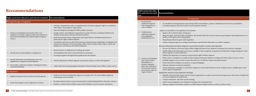### **Recommendations**

|    | Rights protection objectives and relevant standards                                                                                                                                 | Recommendation                                                                                                                                                                                                                                                                                                                                                                                                                                                                                                                                                                                                                                                                                                                                                                      |  |  |
|----|-------------------------------------------------------------------------------------------------------------------------------------------------------------------------------------|-------------------------------------------------------------------------------------------------------------------------------------------------------------------------------------------------------------------------------------------------------------------------------------------------------------------------------------------------------------------------------------------------------------------------------------------------------------------------------------------------------------------------------------------------------------------------------------------------------------------------------------------------------------------------------------------------------------------------------------------------------------------------------------|--|--|
|    | Through all stages of migration                                                                                                                                                     |                                                                                                                                                                                                                                                                                                                                                                                                                                                                                                                                                                                                                                                                                                                                                                                     |  |  |
| 1. | Promote social dialogue and consult workers and<br>employers to develop a migration policy that conforms to<br>international standards protecting the rights of migrant<br>workers. | Develop a comprehensive policy on migration that is focused on migrants' rights in consultation<br>with workers' and employers' organizations.<br>Open the Emigration Management Bill for public comments.<br>Include workers' and employers' representatives in policy decisions, including in bilateral and<br>multilateral agreements and joint working committees.<br>Ratify International Labour Organization and United Nations Conventions that pertain to<br>$\bullet$<br>protecting the rights of labour migrants.<br>Coordinate action between all involved ministries and government stakeholders, including but not<br>limited to the Ministries of Overseas Indian Affairs, External Affairs, Home Affairs, Labour and<br>Employment, and Women and Child Development. |  |  |
|    | Develop and use all possibilities of employment.                                                                                                                                    | Remove barriers to employment of working-age women.<br>Lift prohibitions that restrict women's freedom of movement.<br>Encourage migration through formal regulated and safe channels.                                                                                                                                                                                                                                                                                                                                                                                                                                                                                                                                                                                              |  |  |
| 3. | Provide information on national policy, laws and<br>regulations for emigration and immigration.                                                                                     | Provide information to labour migrants on provisions in place to ensure safe migration.                                                                                                                                                                                                                                                                                                                                                                                                                                                                                                                                                                                                                                                                                             |  |  |
| 4. | Ensure data is collected in relation to all migrant workers<br>and shared publically.                                                                                               | Collect data from returning migrants through the National Sample Survey Office or other surveys.                                                                                                                                                                                                                                                                                                                                                                                                                                                                                                                                                                                                                                                                                    |  |  |
|    | Pre-departure                                                                                                                                                                       |                                                                                                                                                                                                                                                                                                                                                                                                                                                                                                                                                                                                                                                                                                                                                                                     |  |  |
|    | Regulate and supervise the activities of private agencies.                                                                                                                          | Ratify the ILO Private Employment Agencies Convention (No. 181) and establish regulations<br>conforming to the Convention.                                                                                                                                                                                                                                                                                                                                                                                                                                                                                                                                                                                                                                                          |  |  |
| 2. | Ensure that migrants receive employment contracts.                                                                                                                                  | Develop standard contracts as part of memoranda of understanding (MOUs) with other countries.<br>Promote e-contracts that are filed in a government database to prevent contract substitution.                                                                                                                                                                                                                                                                                                                                                                                                                                                                                                                                                                                      |  |  |

# **ards**

| Rights protection objec-<br>tives and relevant stand-<br>ards |                                                                                                                                                                                                 | Recommendation                                                                                                                                                                                                                                                                                                                                                                                                                                                                                                                                                                                                                                                                                                                                                                                                                                                                                                                                                                                                                                                                                                                                                                                                                                                                                                                                                                                                                                                                                                                                                    |
|---------------------------------------------------------------|-------------------------------------------------------------------------------------------------------------------------------------------------------------------------------------------------|-------------------------------------------------------------------------------------------------------------------------------------------------------------------------------------------------------------------------------------------------------------------------------------------------------------------------------------------------------------------------------------------------------------------------------------------------------------------------------------------------------------------------------------------------------------------------------------------------------------------------------------------------------------------------------------------------------------------------------------------------------------------------------------------------------------------------------------------------------------------------------------------------------------------------------------------------------------------------------------------------------------------------------------------------------------------------------------------------------------------------------------------------------------------------------------------------------------------------------------------------------------------------------------------------------------------------------------------------------------------------------------------------------------------------------------------------------------------------------------------------------------------------------------------------------------------|
|                                                               |                                                                                                                                                                                                 | Pre-departure                                                                                                                                                                                                                                                                                                                                                                                                                                                                                                                                                                                                                                                                                                                                                                                                                                                                                                                                                                                                                                                                                                                                                                                                                                                                                                                                                                                                                                                                                                                                                     |
| 3. Prevent private                                            | employment agencies<br>from charging fees or<br>costs to workers.                                                                                                                               | In consultation with organizations representing workers and employers, prepare a standard rate for the services provided by<br>recruitment agencies and work towards a non-fee payment structure.                                                                                                                                                                                                                                                                                                                                                                                                                                                                                                                                                                                                                                                                                                                                                                                                                                                                                                                                                                                                                                                                                                                                                                                                                                                                                                                                                                 |
| 4. Prohibit private                                           | employment agencies<br>from engaging in<br>fraudulent practices.                                                                                                                                | Improve accountability in the regulation of recruitment.<br>Register all recruitment agents and agencies.<br>Bring sub-agents under the ambit of regulation. This should include clear terms of reference governing the relationship between visa<br>brokers, travel agents and recruiting agents.<br>Bring foreign education agents under regulation.<br>$\bullet$<br>Monitor and grade agencies according to performance and make this information accessible to migrants.                                                                                                                                                                                                                                                                                                                                                                                                                                                                                                                                                                                                                                                                                                                                                                                                                                                                                                                                                                                                                                                                                      |
| 5.                                                            | Promote social dialogue<br>and consult workers<br>and employers to<br>develop a migration<br>policy that conforms to<br>international standards<br>protecting the rights of<br>migrant workers. | Increase information for labour migrants on provisions in place to ensure safe migration.<br>Increase the Ministry of Overseas Indian Affairs' budget allocation for pre-departure orientation and awareness campaigns.<br>Widely publicize all information and resources available to labour migrants, using print and multimedia strategies designed to reach<br>labour migrants at various skill levels.<br>Publicize the importance of contracts in protecting the rights of labour migrants.<br>$\bullet$<br>Make contract consultations accessible to labour migrants during pre-departure trainings and within migrant resource centres.<br>Establish migrant resource centres in each state and every city that has a major international airport.<br>Ensure that toll-free helplines are operative in regional languages.<br>Make pre-departure orientation mandatory.<br>$\bullet$<br>Design information campaigns to reach labour migrants at various skill and literacy levels. Include resources available upon return<br>and to support reintegration.<br>Expand the outreach of pre-departure trainings.<br>Build the capacity of trade unions and civil society organizations to conduct outreach and training in areas where there are high levels<br>of oversees migration for employment.<br>Conduct destination- and sector-specific training.<br>Involve returned migrants in pre-departure trainings at the community level.<br>Make pre-departure orientation modules accessible online for skilled workers as well as in workers centres. |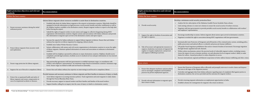| Rights protection objectives and relevant<br>standards                                                                                     | Recommendation                                                                                                                                                                                                                                                                                                                                                                                                                                                                                                                                                                                                                                                                                                                                 |  | Rights protection objectives and relevant<br>standards                                                                                                                                   | Recommendation                                                                                                                                                                                                                                                                                                                                                                                                                                                                                                                                                                                                                                                                                                                                                                               |
|--------------------------------------------------------------------------------------------------------------------------------------------|------------------------------------------------------------------------------------------------------------------------------------------------------------------------------------------------------------------------------------------------------------------------------------------------------------------------------------------------------------------------------------------------------------------------------------------------------------------------------------------------------------------------------------------------------------------------------------------------------------------------------------------------------------------------------------------------------------------------------------------------|--|------------------------------------------------------------------------------------------------------------------------------------------------------------------------------------------|----------------------------------------------------------------------------------------------------------------------------------------------------------------------------------------------------------------------------------------------------------------------------------------------------------------------------------------------------------------------------------------------------------------------------------------------------------------------------------------------------------------------------------------------------------------------------------------------------------------------------------------------------------------------------------------------------------------------------------------------------------------------------------------------|
| Within the host country                                                                                                                    |                                                                                                                                                                                                                                                                                                                                                                                                                                                                                                                                                                                                                                                                                                                                                |  | Within the host country                                                                                                                                                                  |                                                                                                                                                                                                                                                                                                                                                                                                                                                                                                                                                                                                                                                                                                                                                                                              |
| Ensure necessary assistance during the initial<br>settlement period.                                                                       | Inform labour migrants about resources available to assist them in destination countries.<br>Establish help desks for Indian labour migrants at the airports in destination countries. Help desks should be<br>equipped to provide information on legal processes, social security benefits and other entitlements as well as<br>the helpline numbers available in the destination country. Require migrant workers to report to the help desk<br>before leaving the airport.<br>Uphold the rights of migrant workers to join unions and engage in collective bargaining during MOU                                                                                                                                                            |  | 6. Provide social security.                                                                                                                                                              | Develop a minimum social security protection floor:<br>• Analyse the low subscription of the Mahatma Gandhi Pravasi Suraksha Yojna scheme.<br>• Link existing schemes or create new schemes to ensure the social security of workers overseas.<br>· Negotiate with host governments to provide portable social security benefits in collaboration with workers'<br>and employers' representatives.                                                                                                                                                                                                                                                                                                                                                                                           |
|                                                                                                                                            | negotiations with destination countries. Register unions and associations with Indian embassies and provide<br>this information to migrants upon arrival in the destination country and upon request.                                                                                                                                                                                                                                                                                                                                                                                                                                                                                                                                          |  | 7. Support the right to freedom of association and<br>the right to organize.                                                                                                             | Encourage membership in unions. Inform migrants about unions upon arrival in destination countries.<br>• Negotiate to include the right to association during MOU negotiations with host governments.                                                                                                                                                                                                                                                                                                                                                                                                                                                                                                                                                                                        |
| Protect labour migrants from excessive work<br>and exploitation.                                                                           | • Increase the capacity for Indian embassies to support labour migrants in distress. Ensure that each Indian<br>embassy has expertise on labour migration by assigning a labour attaché.<br>Establish more Indian Worker Resource Centres.<br>Initiate collaboration with unions and civil society organizations in destination countries to secure the rights<br>of labour migrants. Maintain updated information on unions and associations at embassies in destination<br>countries.<br>Establish toll-free helplines operated by embassies in major destination countries. Helplines should receive<br>complaints, provide legal assistance, facilitate access to medical services and give information on visa renewal<br>and exit visas. |  | Take all necessary and appropriate measures to<br>suppress clandestine movements of migrants for<br>regular or irregular employment, and prevent<br>and suppress trafficking in persons. | • Systematically train Protectors of Emigrants and all branches of the criminal justice system, including police,<br>public prosecutors and judicial officers, to identify and prosecute human traffickers.<br>Lift gender-based migration prohibitions that restrict women's freedom of movement. Encourage migration<br>through formal, regulated and safe channels.<br>Within redress mechanisms, protect the practical needs of vulnerable migrant workers, including women.<br>Assess the impact of socio-economic position, sex and education level on migrant workers' ability to make<br>claims for redress. Amend procedures to reduce disparities in access.<br>• Increase international, regional and bilateral cooperation to better address human trafficking and other crimes. |
| Ensure wage protection for labour migrants.                                                                                                | Sign partnership agreements with host governments to establish minimum wages, in consultation with<br>workers' and employers' representatives. Set minimum wages based on destination countries' minimum wage<br>levels. Ensure wages are linked to skills and not based on nationality.                                                                                                                                                                                                                                                                                                                                                                                                                                                       |  | Upon return                                                                                                                                                                              |                                                                                                                                                                                                                                                                                                                                                                                                                                                                                                                                                                                                                                                                                                                                                                                              |
| Suppress the use of forced or compulsory labour.                                                                                           | Ensure that each Indian embassy has expertise on intervening to end forced or compulsory labour.                                                                                                                                                                                                                                                                                                                                                                                                                                                                                                                                                                                                                                               |  | Ensure that adequate machinery and procedures<br>exist to investigate complaints and fraudulent                                                                                          | • Ensure that Protector of Emigrants offices efficiently and promptly intervene to resolve claims and disputes<br>that arise at all stages of the migration journey.                                                                                                                                                                                                                                                                                                                                                                                                                                                                                                                                                                                                                         |
| Protect the occupational health and safety of<br>labour migrants and ensure compensation in<br>case of occupational accidents or diseases. | Provide humane and necessary assistance to labour migrants and their families in instances of injury or death.                                                                                                                                                                                                                                                                                                                                                                                                                                                                                                                                                                                                                                 |  | practices by private employment agencies.                                                                                                                                                | Centralize and aggregate data from Indian embassies regarding types of complaints filed against parties in<br>destination countries, the services provided and the outcomes for migrant workers.                                                                                                                                                                                                                                                                                                                                                                                                                                                                                                                                                                                             |
|                                                                                                                                            | Assist labour migrants in accessing insurance policies. Track registration and assist migrants to make claims<br>through the Pravasi Bharatiya Bima Yojna.<br>• Provide necessary support to injured workers and their families and families of deceased workers.<br>• Support families calling for an inquiry into the cause of injury or death in a destination country.                                                                                                                                                                                                                                                                                                                                                                     |  | 2. Provide relevant information to migrants upon<br>their return to India.                                                                                                               | Provide returning migrants information on employment opportunities in India.<br>• Establish schemes for reintegration for migrants who return in distress.                                                                                                                                                                                                                                                                                                                                                                                                                                                                                                                                                                                                                                   |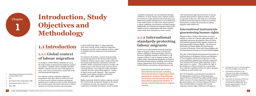# **Introduction, Study Objectives and Methodology**



## **1.1 Introduction**

### **1.1.1 Global context of labour migration**

According to United Nations estimates for 2013, the total number of international migrants reached 232 million.1 Globally, labour migrants and their families comprised 90 per cent of all migrants in 2013,<sup>2</sup> and women accounted for nearly half of the total international migrants.3

For migrant workers, temporary migration programmes that allow them to reside and work in a host country without creating a permanent entitlement to residence involve a trade-off between the economic gains associated with access to labour markets in receiving countries and restrictions

on their individual rights. To align migration with sector-specific needs, temporary migration programmes usually restrict migrant workers' rights to mobility between employers in the destination country.

For instance, the *kafala*, a system of sponsorship governing migration in the Persian Gulf countries of Bahrain, Kuwait, Oman, Qatar, Saudi Arabia and the United Arab Emirates, epitomizes restricted mobility. While varying from country to country, the *kafala* system in the Persian Gulf countries shares a general feature: every migrant worker must have a specific job and a sponsoring employer—neither of which can be easily changed.4 This restricted mobility leaves labour migrants particularly vulnerable to other rights abuses.5

Rights commonly denied to labour migrants around the world include unexpected changes in the nature or conditions of work, non-payment of wages, confiscation of identity documents, unsafe working

1. United Nations Department of Economic

and Social Affairs, 2013.

2. Ibid.

3. International Labour Organization, 2008, 4. Amnesty International, 2014, p. 5.

5. Ruhs, 2006.

conditions, inadequate rest and inhumane housing conditions. In more extreme cases, migrant workers are exposed to verbal, physical and sexual abuse and suffer severe health consequences or even death from work-related causes. In some cases, abuses amount to labour trafficking, forced labour and debt bondage. Additionally, it is common for migrant workers to be unable to access compensation and other remedies within either their destination or home country.

### **1.1.2 International standards protecting labour migrants**

Several sets of international standards guarantee rights to migrant workers. Some are broad and general, applying to all human beings; others are narrower, applying variously to all workers, to all migrant workers or only to migrant workers with regular status. International standards are found in international instruments, including: International Labour Organization (ILO) standards for workers, United Nations conventions and instruments, and

- 
- 

other international agreements between or among countries that pertain to migrant workers. As the *lex specialis* in this area, this study uses ILO labour standards protecting migrant workers as a primary benchmark to evaluate the protection for labour migrants under Indian law.

### **International instruments guaranteeing human rights**

Migrant workers, whatever their status, are always entitled to a basic set of human rights that apply to all individuals and across all situations. There are three international instruments that together comprise the International Bill of Human Rights<sup>6</sup> — the Universal Declaration of Human Rights; the International Covenant of Economic, Social and Cultural Rights; and the International Covenant on Civil and Political Rights.

The 1990 United Nations International Convention on the Protection of All Migrant Workers and Members of Their Families, which entered into force in July 2003, establishes migrants are entitled to respect for their fundamental human rights regardless of their legal status in a country.7 This includes the right to life (Article 9), to liberty (Article 16), to protection from collective expulsion (Article 22) and to adequate conditions of work (Article 25).

The UN Committee overseeing the Convention on the Elimination of All Forms of Discrimination Against Women (CEDAW) has addressed the human rights concerns of women migrants through General Recommendation 26 on Women Migrant Workers.8 This recommendation recognizes that women experience human rights violations at all stages of

- 6. Fact Sheet No. 2 (rev 1), the International bill of Human Rights, www.ohchr.org.
- 7. International Convention on the Protection of the Rights of All Migrant Workers and Members of Their Families, 1990, 220 U.N.T.S. 3.
- 8. Committee on Elimination of All Forms of Discrimination Against Women, General Recommendation No. 26 on women migrant workers, U.N. Doc. CEDAW/C/2009/WP.1/R.

International standards are found in international instruments, including International Labour Organization (ILO) standards for workers, United Nations conventions and instruments and other international agreements between or among countries that pertain to migrant workers.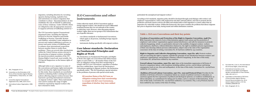### **ILO Conventions and other instruments**

Unless otherwise stated, all ILO Conventions apply to foreign migrant workers, who should not receive differential treatment because they are not nationals of the country in which they work. However, when discussing migrant workers' rights, there are two groups of ILO instruments that are of specific relevance:

- » core labour standards or fundamental Conventions, which apply to all persons, including foreign migrant workers; and
- » instruments dealing specifically with migrant workers.

### **Core labour standards: Declaration on Fundamental Principles and Rights at Work**

The Declaration on Fundamental Principles and Rights at Work cites eight core Conventions that define human rights at work (Table 1).12 All member States of the ILO have an obligation arising from their membership to comply with ILO core Conventions, regardless of whether they have ratified them. Apart from the Declaration's Conventions applying to migrant workers, the Declaration specifically states: "The ILO should give special attention to the problems of persons with special social needs,

particularly the unemployed and migrant workers."

migration, including detention by recruiting agencies during training, exploitive fees and restrictions on women's migration that contribute to abuse.9 Recommendation 26 also establishes the role of CEDAW in addressing some of these violations. Under CEDAW, States are obligated to take all appropriate measures to suppress all forms of trafficking (Article 6).<sup>10</sup>

According to ILO standards, migration policy should be developed through social dialogue with workers' and employers' representatives; cohere with employment and other national policies; and seek to promote decent, productive and freely chosen work for all within and outside India so that migration is a choice rather than an imperative for vulnerable workers. Within this framework, this report considers the problems that labour migrants face prior to departure from India, during transit and within destination countries.

- 6. Fact Sheet No. 2 (rev 1), the International bill of Human Rights, www.ohchr.org.
- 7. International Convention on the Protection of the Rights of All Migrant Workers and Members of Their Families, 1990, 220 U.N.T.S. 3.
- 8. Committee on Elimination of All Forms of Discrimination Against Women, General Recommendation No. 26 on women migrant workers, U.N. Doc. CEDAW/C/2009/WP.1/R.
- 9. Ibid., Paragraphs 10–11.

All member States of the ILO have an obligation arising from their membership to comply with ILO core Conventions, regardless of whether they have ratified them.

#### 9. Ibid., Paragraphs 10–11.

- 10. Convention on the Elimination of All forms of Discrimination Against Women, United Nations, Treaty Series, vol. 1249, p. 13.
- 11. Convention Against Transnational Organized Crime, 2000, 2225 U.N.T.S.
- 12. International Labour Organization, 1998. 209.

The UN Convention Against Transnational Organized Crime, including the Palermo Protocol to Prevent, Suppress and Punish Trafficking in Persons, especially Women and Children, articulates a state obligation to prevent and combat trafficking in persons, to protect and assist victims of trafficking and to enhance close international cooperation between member States to tackle these problems.11 There are several other mechanisms within the United Nations system relevant to the protection of migrant workers, including the special procedures mandates of the UN Human Rights Council and, most notably, the UN Special Rapporteur on the human rights of migrants.

Although India is not a signatory to some of the conventions and human rights instruments used to develop the rights-based framework for this study, these standards are nonetheless useful in evaluating India's existing laws and policies affecting migrant workers because they represent a growing international consensus on migrant workers' rights. These instruments were used to analyse the range of rights violations reported by migrant workers who have returned to India.

#### **Table 1. ILO core Conventions and their key points**

**Freedom of Association and Protection of the Right to Organize Convention, 1948 (No. 87):** Guarantees the removal of acts of discrimination against trade unions and the protection of employers' and workers' organizations against mutual interference; and calls for measures to promote collective bargaining. Article 2 is particularly relevant to the mobility of migrant workers: workers and employers, shall have, without distinction whatsoever, the right to establish and join organizations of their own choosing without previous authorization, subject only to the rules of the organization concerned. At the time of writing, Convention No. 87 had been ratified by 153 countries.

**Right to Organize and Collective Bargaining Convention, 1949 (No. 98):** Protects workers who are exercising the right to organize; upholds the principle of non-interference between workers' and employers' organizations; and promotes voluntary collective bargaining. At the time of this study, Convention No. 98 had been ratified by 164 countries.

**Forced Labour Convention, 1930 (No. 29):** Aims at the immediate suppression of all forms of forced or compulsory labour, with exceptions including military service, convict labour and during emergencies (such as war, fires and earthquakes). At the time of this study, Convention No. 129 had been ratified by 177 countries.

A**bolition of Forced Labour Convention, 1957 (No. 105) and Protocol (P29):** Provides for the abolition of all forms of forced or compulsory labour as a means of political coercion or education; as sanctions against the free expressions of political and ideological opinions; as workforce mobilization; as labour discipline; as a punishment for taking part in strikes; and as a measure of discrimination. At the time of this study, Convention No. 105 had been ratified by 174 countries. P29, a 2014 Protocol, had not been ratified by any country at the time of writing.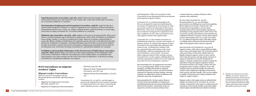and immigration. With a few exceptions, these Conventions do not distinguish between permanent and temporary migrant workers.

Convention No. 97 and Recommendation No. 86 were prompted by interest in facilitating the movement of surplus labour from Europe to other parts of the world in the aftermath of the Second World War. They focus on standards applicable to the recruitment of migrants for employment and their conditions of work. These instruments cover only migrant workers with regular status.

Convention No. 97 also includes provisions on facilitating the departure, journey and reception o f migrant workers. It requires that migrant workers be treated no less favourably than nationals with respect to pay, working hours, holidays with pay, apprenticeship and training, trade union membership, collective bargaining and, with some limitations, social security. To protect labour migrants injured while working overseas, Convention No. 97 also requires ratifying States to maintain appropriate medical services for migrants upon their arrival in destination countries. 13

Recommendation No. 86 supplements Convention No. 97, providing further details on such matters including: providing information to migrants; facilitating migration ; access to schools and medical assistance for migrants and their families; selecting migrants for employment; family reunification and protection upon loss of employment.

Recommendation No. 86 also requires States to develop and use all possibilities of employment, including facilitating the international distribution of labour for this purpose. In particular, States are required to ease the movement of labour from

Some provisions on Convention No. 143 cover all migrant workers, while others extend additi onal rights only to those with regular status. The Convention places a duty upon States to determine whether there are illegally employed migrant workers in their territory and to take all necessary and appropriate measures to suppress clandestine movements of migrants for regular or irregular employment. Measures include the imposition of sanctions against organizers of these movements and those who employ workers who have immigrated under irregular conditions. Those with irregular status are granted equality of treatment in respect to past employment regarding remuneration, social security and other benefits. They are also entitled to equality of treatment and working conditions with respect to regular workers.

countries that have a surplus of labour to those countries with a deficiency.

By 1975, when Convention No. 143 and Recommendation No. 151 were developed, governments were shifting focus away from equalizing labour supply across borders. Instead, they were focused toward responding to concerns about unemployment and increased irregular migration by attempting to bring migration flows under control. The Convention and Recommendation represented the first multilateral attempt to manage concerns about migrant workers w ith irregular status. As a result, Convention No. 143 addresses migrant workers with either regular or irregular status and asserts that the basic human

Migrant workers with regular status are afforded both equality of treatment (as in Convention No. 97) and equality of opportunity with respect to employment and occupation, social security benefits, trade union rights, cultural rights and individual and collective freedoms.

13. Migration for Employment Convention, 1949 (No. 97), Article 5. India has not ratified Convention No. 97 and is thus not formally bound to uphold its provisions. See ILO Normlex, Ratifications for India, www.ilo.org/dyn/normlex/en/f?p=1000: 11200:0::NO:11200:P11200\_COUNTRY\_ IBID:102691 (accessed 6 Oct. 2014).

**Equal Remuneration Convention, 1951 (No. 100):** Underscores the principle of equal remuneration between men and women for work of equal value. At the time of this study, Convention No. 100 ha been ratified by 171 countries.

**Discrimination (Employment and Occupation) Convention, 1958 (No. 111):** Provides for a national policy designed to eliminate, in respect of employment and occupation, all direct and indirect discrimination based on race, colour, sex, religion, political opinion, national extraction or social origin. At the time of writing, Convention No. 111 ha been ratified by 172 countries.

**Minimum Age Convention, 1973 (No. 138):** Applies to all sectors of economic activity; States are to declare a national minimum age for admission to employment, under which, all children are prohibited from working, whether or not they are employed for wages. States are to pursue a national policy to ensure the effective abolition of child labour; the minimum age for entry into work shall not be less than that for the completion of compulsory schooling (although an age lower than 14 years may be adopted for light work and for countries that are less developed); a minimum age level shall not be less than 18 for hazardous work. At the time of writing, Convention No. 138 had been ratified by 167 countries.

**Prohibition and Immediate Elimination of the Worst Forms of Child Labour Convention, 1999 (No. 182):** Member States are to draw up a time-bound programme for the elimination of the worst forms of child labour. While the Convention gives a list, member States, in consultation with social partners, are to draw up their own list of the worst forms of child labour. At the time of writing, Convention No. 182 had been ratified by 179 countries.

### **ILO Conventions on migrant workers' rights**

#### **Migrant worker Conventions**

There are two ILO Conventions and two Recommendations specifically regarding migrant workers:

- » Migration for Employment Convention (Revised), 1949 (No. 97)
- » Migration for Employment Recommendation

(Revised), 1949 (No. 86)

- » Migrant Workers (Supplementary Provisions) Convention, 1975 (No. 143)
- » Migrant Workers Recommendation, 1975 (No. 151).

Conventions No. 97 and No. 143 both apply to persons who migrate from one country to another for employment and cover issues concerning the entire migration process: emigration, transit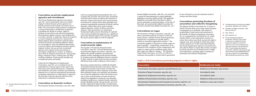#### **Convention on private employment agencies and recruitment**

The Private Employment Agencies Convention, 1997 (No. 181) is particularly relevant to Indian migrant workers because private agencies are heavily involved in the transfer of workers out of India. The Convention requires States to implement a system of licensing or certification of agencies. It prohibits the denial of workers' rights to freedom of association and collective bargaining; discrimination against workers; and charging fees to workers, directly or indirectly. States are required to ensure adequate protection for, and prevent abuses against, those recruited or placed in their territory by private recruitment agencies. States are encouraged to enter into bilateral agreements to prevent abuses and fraudulent practices against migrant workers who use private recruitment agencies and required to have procedures to investigate complaints by workers. In addition, there must be adequate protection for, among other things, minimum wages, working time and other working conditions, social security benefits and occupational safety and health.

Under the ILO Migration for Employment Convention, 1949 (No. 97), recruitment may be undertaken by a private agency if the agency has been given prior authorization from a competent state authority and under conditions prescribed by domestic law or relevant international instruments. Competent authorities are called upon to supervise the activities of private agencies that have been authorized to undertake recruitment.

#### **Convention on domestic workers**

The Domestic Workers Convention, 2011 (No. 189)

and its accompanying Recommendation (No. 201) recognize the economic and social value of domestic work and call for action to address the exclusion of domestic workers from labour and social protection. Convention No. 189 lays down basic principles and measures regarding the promotion of decent work for domestic workers that can be used to include migrant domestic workers in labour protection schemes. These protections are based upon fundamental rights and not citizenship. It explicitly notes in the preamble that migrants are a significant part of the domestic labour force and also recognizes the need to protect rights at work for migrants.

#### **Convention on maintenance of social security rights**

The Equality of Treatment (Social Security) Convention, 1962 (No. 118) and Maintenance of Social Security Rights Convention, 1982 (No. 157) address the specific problems encountered by migrant workers regarding social security benefits by creating reciprocal obligations between countries to allow workers to claim social security provisions afforded at home while working in a host country.<sup>14</sup>

Receiving countries that have ratified the Equality of Treatment (Social Security) Convention, 1962 are obligated to provide social security coverage and rights and benefits for labour migrants on par with those afforded to their own nationals, but members may accept the obligations of the Convention in any one or more of the branches of social security for which it has legislation covering its own nationals, including: medical care, sickness benefit, maternity benefit, disability benefit, old-age benefit, survivors' benefit, employment injury benefit, unemployment benefit and family benefit. The Maintenance of Social

Security Rights Convention, 1982 (No. 157) sets forth a system for determining how to apply applicable legislation to prevent conflict of laws. The applicable legislation is normally that of the State in which a person undertakes occupational labour. At the time of this study, 38 countries had ratified Convention No. 118 and 4 countries had ratified Convention No. 157.15

#### **Conventions on wages**

The Protection of Wages Convention, 1949 (No. 95) aims to guarantee payment of wages in a full and timely manner, whether fixed by mutual agreement, national law or regulation or payable under a written or unwritten employment contract.<sup>16</sup> The Convention applies to all persons to whom wages are paid or payable.17 In particular, workers have to be informed of the conditions of their employment with respect to wages and the conditions under which their wages are subject to change.18 The Minimum Wage Fixing Convention, 1970 (No. 31) calls for a minimum sum payable to workers that is guaranteed by law and fixed to cover the minimum needs of workers and their family.

#### **Conventions protecting freedom of association and collective bargaining**

The Migrant Workers Convention No. 97 states in Article 6 that the State must confer equal treatment to immigrants as to nationals, with respect to membership of trade unions and enjoyment of the benefits of collective bargaining. Convention No. 97 is supported by Convention No. 87, which requires States to take appropriate measures to ensure that workers may freely exercise the right to organize and, more strongly in Article 98, protect workers against acts of anti-union discrimination. The Private Employment Agencies Convention (No. 181) calls for States to ensure that workers recruited by private agencies are not denied access to rights and entitlements, including rights to freedom of association and collective bargaining.19

- 15. The Maintenance of Social Security Rights Convention, 1982 (No. 157), Article 5.
- 16. Protection of Wages Convention, 1949 (No. 95), Article 1.
- 17. Ibid., Article 2.
- 18. Ibid., Articles 8, 14.
- 19. Private Employment Agencies Convention, 1997 (No. 181), Article 4. India has not ratified the Private Employment Agencies Convention, 1997 and is thus not formally bound to uphold its provisions. See ILO Normlex, C181- Private Employment Agencies Convention, 1997 (No. 181), www.ilo.org/ dyn/normlex/en/f?p=NORMLEXPUB:113 10:0::NO:11310:P11310\_INSTRUMENT\_ IBID:312326:NO (accessed 6 Oct. 2014).

#### **Table 2. ILO Conventions protecting migrant workers' rights**

Equality of

| <b>Convention</b>                                                     | <b>Ratification by India</b>            |
|-----------------------------------------------------------------------|-----------------------------------------|
| Forced Labour Convention, 1930 (No. 29) and Protocol, 2014            | Ratified on 30 November 1954. In force. |
| Protection of Wages Convention, 1949 (No. 95)                         | Not ratified by India.                  |
| Migration for Employment Convention, 1949 (No. 97)                    | Not ratified by India.                  |
| Abolition of Forced Labour Convention, 1957 (No. 105)                 | Ratified on 18 May 2000. In force.      |
| Discrimination (Employment and Occupation) Convention, 1958 (No. 111) | Ratified on 3 June 1960. In force.      |
| Equality of Treatment (Social Security) Convention, 1962 (No. 118)    |                                         |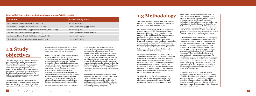### **Table 2. ILO Conventions protecting migrant workers' rights (contd.)**

| <b>Convention</b>                                                    | <b>Ratification by India</b>            |
|----------------------------------------------------------------------|-----------------------------------------|
| Minimum Wage Fixing Convention, 1970 (No. 131)                       | Not ratified by India.                  |
| Minimum Wage-fixing Machinery Convention (No. 26)                    | Ratified on 10 January 1955. In force.  |
| Migrant Workers Convention (Supplementary Provisions, 1975 (No. 143) | Not ratified by India.                  |
| Tripartite Consultation Convention, 1976 (No. 144)                   | Ratified on 27 February 1978. In force. |
| Maintenance of Social Security Rights Convention, 1982 (No. 157)     | Not ratified by India.                  |
| Private Employment Agencies Convention, 1997 (No. 181)               | Not ratified by India.                  |

# **1.2 Study objectives**

Combining legal and policy research with firsthand accounts from Indian labour migrants, this report provides a foundation for advocacy to protect Indian workers who emigrate for employment. Through analysis of India's legislation, policies and programmes pertaining to migration, it identifies gaps in these mechanisms that fall short of international standards. The analysis pays particular attention to the rights of women and vulnerable workers.

To understand how current mechanisms and their limitations impact workers' lives, this report documents problems that migrant workers have experienced, with a focus on construction workers,

domestic workers, livestock workers and nurses. The sample covers migrant profiles at the highskilled, semi-skilled and low-skilled levels.

Recognizing that trade unions have the potential to take a critical role in protecting migrant workers, this report was designed to assist unions in understanding the contemporary landscape of migration policy in India. India's trade unions recently initiated lobbying on migration policy and have begun establishing links with international trade unions. To date, however, trade unions in India have not been actively involved in collectively evaluating and challenging existing policy frameworks governing migration. Bipartite and tripartite dialogue on migration is almost completely absent. This report is intended to inform trade unions and bipartite and tripartite dialogues to safeguard migrant workers' rights.

These objectives draw from recent ILO initiatives.

In May 2014, the ILO Decent Work Across Borders Project organized a weeklong training on international migration for trade union representatives. Union representatives involved in the May 2014 training agreed on a need for research on migration from India that they could use to initiate dialogue among trade unions and to generate bilateral agreements for organizing, representing and supporting migrant workers. The ILO European Union-funded Decent Work Across Borders and the South Asia Labour Migration Governance Projects subsequently commissioned this study.

The objectives of this study align with the South Asian Regional Trade Union Council Plan of Action (2013). Accordingly, this report provides information on social protection (action point 5) and the promotion of relevant ILO Conventions to support migrant workers before they depart from and after they return (action point 8).

# **1.3 Methodology**



This report is based upon field research conducted by the Society for Labour and Development (SLD) between October and November 2014.

Field research was framed through extensive desk research on relevant ILO Conventions and other international human rights standards protecting migrant workers. Although India is not a signatory to all the Conventions and human rights instruments used to develop the rights-based framework for this study, the standards were used as a benchmark to evaluate India's existing laws and policies affecting migrant workers and to assess the violations that migrant workers who had returned to India from w orking abroad reported during the course of their migration journey.

Fieldwork was conducted in the Indian States of Andhra Pradesh/Telangana and Kerala. These states were chosen in consultation with trade unions in India because of their particularly high rates of migration. Significant numbers of labour migrants from Andhra Pradesh/Telangana migrate for employment as domestic workers and significant numbers of nurses migrate for employment from Kerala. Migrant workers from both states migrate for employment in construction.

To gain insight into the efficacy of protection mechanisms in India for migrant workers with distinct occupations and skill levels, the study documented experiences of migrants who had

worked at various levels of skills—low, semi and high. The study also covered a range of typically gendered occupations: migrant workers engaged in the construction and livestock sectors are predominantly male, whereas domestic workers are predominantly female. Nurses interviewed for this study were both male and female. This distribution of case studies provide s insight into the efficacy of protection mechanisms for workers across the skill spectrum and facilitate s comparison between sectors dominated by men and women migrant workers.

SLD conducted in-depth interviews and focus group discussions with 24 returned migrants, including 3 domestic workers, 13 construction workers and 8 nurses. Separate interview questionnaires were prepared for different stakeholders—returned migrants, government officials and union officers (see the Annex). Interviews with labour migrants were conducted in English, Hindi, Telagu and Malayalam. Telagu and Malayalam interviews were conducted with translation assistance. The individual interviews with migrants lasted for about 45 minutes to an hour. In addition to the individual in three focus group discussions, each lasting for approximately an hour. To protect the identity of returned migrants interviewed for this study, all names have been changed.

To highlight gaps in India's laws and policies protecting migrant workers, this report focuses on difficulties that labour migrants have experienced. It does not include more successful migration narratives. All migrants interviewed for this study migrated for employment and returned to India and experienced rights violations either before departure, in transit or while abroad.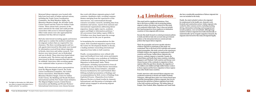20. The Right to Information Act, 2005 allows any citizen to request information from a "public authority" via a petition.

Returned labour migrants were located with help from local units of Indian national unions, including the Trade Union Coordination Committee, the Hind Mazdoor Sabha, the Bharatiya Mazdoor Sangh, the All India Trade Union Council and the Centre for Indian Trade Unions. These unions had a presence in the states selected for the study and could provide researchers with access to returned migrants. Other trade unions were also approached for assistance but they did not respond.

SLD also interviewed recruiting agents and doctors called upon to conduct the medical evaluations for migrant workers that are required for visa clearance. The three recruiting agents and two sub-agents interviewed for this study were located by information received from labour migrants in Kerala, interviews and online research. Two doctors were interviewed: one in Hyderabad and one in Kochi. These interviews lasted about 20 minutes each. The doctors and sub-agents interviewed in Kerala requested that their names be withheld. Interviews with recruiting agents were conducted either in person or by phone.

Finally, SLD interviewed union representatives from the Migrant Rights Council, the Trade Union Coordination Committee, the United Nurses Association, Hind Mazdoor Sabha, Bharatiya Mazdoor Sangh, Centre for Indian Trade Unions, the Building and Woods Workers' International and the New Trade Union Initiative. The Migrant Rights Council, United Nurses Association and Building and Woods Workers' International interviewees were chosen because

they work with labour migrants going to Gulf countries. Qualitative data, revealing common themes emerging from the experiences of the interviewees, was contextualized through extensive secondary research, including data from ministries and unions, reports from national and international organizations addressing labour migration, human rights reports, academic papers and Right to Information petitions.<sup>20</sup> All conversions from Indian rupees (INR) to US dollars were done based upon the average conversion rate for the year in questi on.

In formulating the recommendations for this report, SLD consulted migration experts from the Centre for Development Studies in Kerala, a leading institute researching international migration from India to Gulf countries.

Finally, recommendations were refined with input and feedback from trade union participants during a November 2014 workshop on Validation of Research and Strategy Setting on International Migration in Hyderabad, India. Thirty participants, including representatives from all 12 central unions, the United Nurses Association and the New Trade Union Initiative, attended. Sessions facilitated by ILO and Friedrich-Eber- Stiftung included presentation of findings and recommendations by SLD; review of findings from *Exploited Dreams: Dispatches from Indian Migrant Workers in Saudi Arabia* by Amnesty International; and discussion of strategies with global unions engaged in advancing migrant workers' rights.



# **1.4 Limitations**

This study had five significant limitations. First, due to the focus on India's role in protecting Indian migrant workers, the primary research for this study was conducted within India. Thus, it does not include first-hand perspectives from employers in destination countries or from migrants still overseas.

Second, this study focused on central government policies in India and did not take into account state government policies or the interaction between central and state policies that impact labour migrants.

Third, the geographic and sector-specific selection of labour migrants to participate in this study was constrained. Due to the focus of ILO activities and current project geographies, this study centred on the experiences of Indian workers who migrate for employment to Gulf countries and Europe. Indian labour migrants also, however, routinely migrate to Australia, Canada, the United States and South-East Asian countries, including Singapore and Thailand. Gulf countries and Europe were chosen because of the continuity in migration to those regions within the past three decades, the migration of low-skilled, semi-skilled and high-skilled Indian workers to those regions and the heavy migration to those regions from other South Asian countries.

Fourth, interviews with returned labour migrants were conducted exclusively in Kerala and Andhra Pradesh/ Telangana. Although these states were chosen based upon particular demographics of labour migrants, they do not represent the spectrum of labour migration from India to the Gulf countries and Europe. The Indian States of Punjab, Uttar Pradesh, Bihar, Rajasthan and Tamil Nadu

also have considerable populations of labour migrants but were not included in the study.

Finally, the study included workers who migrated for employment in the health care, domestic work, livestock and construction sectors. Indian migrants who worked in other common sectors, including teaching, driving, information technology and managerial and security positions, were not included. Although large numbers of labour migrants from India intentionally or unintentionally opt for irregular migration channels, the migrants interviewed for this study all migrated legally.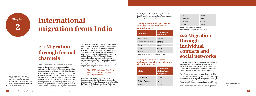India does not have comprehensive data on the number of migrants working overseas. Data published by the Ministry of Overseas Indian Affairs represents migrants who go through the emigration clearance system, which is limited to 17 destination countries, represents mostly first-time migrants and includes only migrants who require clearance on the basis of their education levels. This data reflects that from April 2014 to February 2015, a total of 738,327 workers emigrated from India through formal legal channels after obtaining their emigration clearance.<sup>21</sup>

# **International 2 migration from India**



# **2.1 Migration through formal channels**

The MOIA estimates that there are about 5 million Indians working overseas, with more than 90 per cent of them in a Gulf country or in South-East Asia. An estimated 4 million of these workers are employed in Gulf countries, the vast majority of whom are semi-skilled and low-skilled temporary workers. In 2009, the Gulf Research Centre estimated that low- and semi-skilled worker categories accounted for 65 percent of the Indian workers in member countries of the Gulf Cooperation Council, $22$  with construction workers comprising the single largest category of Indian workers.

According to MOIA figures, of the top-five destination countries, Saudi Arabia is the main destination for Indian labour migrants, followed by the United Arab Emirates and Oman (Table 3.1). The Indian States of Uttar Pradesh, Kerala, Andhra

- 21. Ministry of Overseas Indian Affairs, Lok Sabha, Starred Question No. 309, answered on 18 March 2015, Annex I, http://164.100.47.132/Annexture\_New/ lsq16/4/as309.htm [accessed 12 Apr 2015].
- 22. Gulf Research Centre, 2009.

#### The MOIA estimates that there are about 5 million Indians working overseas.

Pradesh, Bihar, Tamil Nadu, Rajasthan and Punjab had the largest number of international labour migrants in 2012 (Table 3.2).

### **Table 3.1. Migration figures from India for top-five destination**

# **countries, 2012**

**Country** 

Saudi Ara

United Ar

Oman

Oatar

**Malaysia** 

| ÿ           | Number of<br>migrants |
|-------------|-----------------------|
| bia         | 747 041               |
| ab Emirates | 357 503               |
|             | 141 138               |
|             | 63096                 |
|             | 21 241                |

Source: Ministry of Overseas Indian Affairs, 2013, p. 33.

#### **Table 3.2. Number of Indian emigrants requiring an emigration check, by state, 2012**

**State**

Uttar Prad

Andhra Pr

**Bihar** 

|       | Number of<br><b>ECR</b> category<br>emigrants |
|-------|-----------------------------------------------|
| lesh  | 191 341                                       |
| adesh | 92803                                         |
|       | 84 078                                        |

| Kerala     | 98 178  |
|------------|---------|
| Tamil Nadu | 78 18 5 |
| Rajasthan  | 50 295  |
| Punjab     | 37472   |

Note: ECR=emigration check required. Source: Ministry of Overseas Indian Affairs, 2013.

### **2.2 Migration through individual contacts and social networks**

India's regulations governing recruitment by agents and employers and prohibiting sub-agents from engaging in recruitment are limited in their ability to protect labour migrants because recruitment often takes place through informal social channels.

Even though some labour migrants interviewed by SLD reported learning about migration opportunities through newspapers and advertisements, $23$  many also reported learning about opportunities informally.24 As explained by labour migrants interviewed for this study, Indian workers overseas frequently manage to obtain or purchase visas from employers, sponsors

- 23. SLD interview with returned nurses in Kerala, 3–9 October 2014.
- 24. Ibid.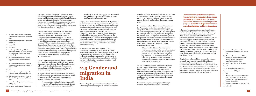In India, while the majority of male migrant workers are engaged in production and construction, the majority of females work in the service sector, as nurses, domestic workers, babysitters and nursing

aids.37

On recommendation of the National Commission for Women, the Indian Government restricted emigration of low-skilled women younger than 30 for overseas employment through a ban on migration for employment to any emigration check required (ECR) country.38 Although the Government justifies this policy as a measure to ensure women's security,39 the reasoning thinly veils structural discrimination in India's migration policy. As explained by Irudaya Rajan, Chair of the MOIA Research Unit on International Migration:

Setting a minimum age for women to migrate for domestic work, although perhaps done with the intention of protecting women from abuse, is a discriminatory practice that often prompts women to resort to irregular migration, rendering them more vulnerable to abuse, including precarious working conditions, low pay and exposure to violence and forced labour.<sup>41</sup>

*"The current institution for emigration governance in India is discriminatory against low-skilled emigrants from the country in general and low-skilled women emigrants in particular. The promise of protection as extended by the institution is seen as an alljustifying explanation that elides fundamental questions of citizenship."*<sup>40</sup>

Women who migrate for employment through informal migration channels are particularly

vulnerable to unprotected movement and human trafficking for the purpose of debt bondage, forced labour, sexual exploitation and forced marriage.<sup>42</sup> Women from castes considered to be low are particularly at risk.43 Between 2013 and 2014, MOIA received 1,033 cases of exploitation/harassment of women from the 17 ECR countries.44 Domestic workers are particularly susceptible to economic, physical, sexual and emotional abuse—including confinement, underpayment or non-payment of wages and a range of other abuses—because their living and working conditions are typically entirely dependent upon the personal relationship between the worker and the employer.45

Despite these vulnerabilities, women who migrate for employment are having a significant impact across India. Increasing flows of remittances from women workers to rural and urban areas across India transform women's lives and the lives of their families and communities. These contributions also affect subtle but important changes in the gender balance of power at the household and societal levels.46

- 25. Thimothy and Sasikumar, 2012, citing Irudaya Rajan, Varghese and Jayakumar, 2011.
- 26. Irudaya Rajan, Varghese and Jayakumar, 2010, p. 24.
- 27. Ibid., p. 25.
- 28. Ibid., p. 26.
- 29. Arokkiaraj ( 2015) citing Lok Sabha, Unstarred Question No. 1099, answered on 25 November 2009 by Shri Vyalar Ravi, MOIA).
- 30. SLD interview with returned nurse in Kozhikode District, Kerala, 9 October 2014.
- 31. SLD interview with returned worker in Mehaboob Nagar District, Telangana, 9 October 2014.
- 32. Ibid.
- 33. Calculated according to average Indian rupee–US dollar exchange rate in 2008.
- 34. SLD interview with returned worker in Mehaboob Nagar, Telangana, 9 October 2014.
- 35. Irudaya Rajan, Varghese and Jayakumar, 2010, p. 26.
- 36. Thimothy and Sasikumar, 2012, p. 24.

Around the globe, gender-differentiated demands for labour migration affect migration for female workers.<sup>36</sup>

and agents for their friends and relatives in India. Migration through these informal channels is also encouraged by the significant cost differential between formal and informal channels. For instance, the average cost of migration through a recruiting agent in India in 2007 was around US\$1,145, while the average cost of migration through networks of friends and relatives was around US\$570.<sup>25</sup>

Unauthorized recruiting agencies and individual agents also manage to obtain visas from foreign employers, agents and recruiting companies.<sup>26</sup> These unauthorized sub-agents also function as middlemen between registered foreign employers or recruiting agencies and prospective labour migrants.<sup>27</sup> Since unauthorized agents exist outside the regulatory framework, as part of networks that often also includes authorized recruiting agents, they are almost entirely unaccountable for illegal conduct. $^{28}$ Moreover, officials working in Protector of Emigrants offices in India have been found forging travel documents in connivance with unscrupulous recruiting agents.<sup>29</sup>

Contact with recruiters initiated through kinship or other social networks can provide migrants with a false sense of security that their rights and interests will be protected. For instance, as Jose John, a returned migrant in Kerala explained: *"It was a Christian agency, so I trusted them."* <sup>30</sup>

R. Rajan, who has no formal education and training, migrated for employment as a mason to Saudi Arabia after hearing about employment opportunities through a relative. He explained:

> *"I was working in Mumbai. One of my wife's relatives told me about going abroad. He said he knew the people who send people out for*

*work and he would arrange for me. He assured me that I was his responsibility and he would not let anything happen to me."* <sup>31</sup>

Relying upon these informal channels, R. Rajan never came into contact with any government office, did not complete any pre-departure training and did not sign a contract or agreement letter before departure.<sup>32</sup> In fact, when asked by SLD if he had any information about the agency to which he paid INR 180,000  $(US$425)$ <sup>33</sup> for a visa in 2008, R. Rajan responded that he did not know the name of the agent or the recruiting agency.<sup>34</sup> Without a contract or even basic information on the recruiter or agent, R. Rajan has few avenues to pursue accountability for abuses he experienced either during recruitment and in the destination country.

R. Rajan's experience is not unique. Of 654 prospective migrants who participated in a 2007 survey and reported that they were migrating through recruiting agents, 34.2 per cent said they used a registered recruitment agent, 46.8 per cent used an unregistered recruitment agent, and 19 per cent did not know whether the recruitment agent they used was registered or not.<sup>35</sup>

### **2.3 Gender and migration in India**

- 37. Percot and Nair, in Irudaya Rajan, Varghese and Jayakumar, eds., 2011, p. 195.
- 38. Ministry of Overseas Indian Affairs, Documents Required for Unskilled/ Women Workers (Individuals), http://moia.gov.in/services
- 39. Percot, supra note 34, pp. 225–226.
- 40. Ibid.
- 41. UN Human Rights Council, 2014.
- 42. Ramaseshan, 2012, p. 3.
- 43. Ibid.
- 44. Ministry of Overseas Indian Affairs, Lok Sabha, Unstarred Question No: 2312, answered on 5 February 2014 by Shri Vyalavar Ravi, MOIA.
- 45. Thimothy and Sasikumar, 2012, pp. 2, 5.
- 46. Ibid., p. 2.

Women who migrate for employment through informal migration channels are particularly vulnerable to unprotected movement and human trafficking for the purpose of debt bondage, forced labour, sexual exploitation and forced marriage.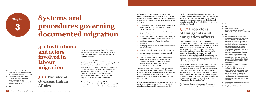# **Systems and procedures governing documented migration**



### **3.1 Institutions and actors involved in labour migration**

### **3.1.1 Ministry of Overseas Indian Affairs**

The Ministry of Overseas Indian Affairs was first established in May 2004 as the Ministry of Non-Resident Indians' Affairs and renamed in September 2004.<sup>47</sup>

In March 2006, the MOIA established an Emigration Policy Division to facilitate emigration.<sup>48</sup> The Division is charged with formulating policies for improving emigration management, proposing legislative changes and implementing emigration reforms and policies—including institutional changes in e-governance, welfare schemes for emigrants and bilateral and multilateral cooperation in international migration.<sup>49</sup>

Recognizing the vulnerability of Indian labour migrants, the MOIA articulates the importance of "a proactive policy to transform the emigration system

- 47. Ministry of Overseas Indian Affairs, "Overview", http://moia.gov.in/services. aspx?mainIbid=6 (accessed 10 Oct. 2014).
- 48. Ministry of Overseas Indian Affairs, "Emigration services: An overview", http://moia.gov.in/services. aspx?Ibid1=66&Ibidp=66&mainIbid=73 (accessed 10 Oct. 2014).
- 49. Ibid.

and empower the emigrants through systemic interventions at the bilateral as well as multilateral fronts."50 According to the MOIA website, proactive steps taken to achieve these policy objectives to date

include:51

- » initiating schemes for skill development and predeparture orientation for potential emigrants;
- » building a framework for on-site welfare
- » drafting new emigration legislation to replace the Emigration Act, 1983 and Emigration Rules (Amendment 2009);
- » proposing memoranda of understanding with Gulf countries;
- 
- measures;
- » setting up Overseas Indian Centres to coordinate on-site welfare;
- » replicating good practices from other countries;
- » revamping the recruitment system to make it more accountable; and
- » establishing the Indian Council for Overseas Employment to advise the Government on overseas employment matters and develop strategies and good practices in migration management through research.

The Indian Council for Overseas Employment was later converted to the India Centre for Migration, which is mandated to promote overseas employment, better protect the welfare of overseas Indian workers and study emerging overseas employment opportunities.52

Objectives specifically targeted at protecting the rights of labour migrants emigrating from India include adapting training material developed by the ILO

and the International Organization for Migration, monitoring and analysing the problems that emigrant Indian workers and returned workers encountered, suggesting protective measures, and designing and providing specialized training facilities for emigrants in India and abroad. 53

### **3.1.2 Protectors of Emigrants and emigration officers**

Under the Emigration Act, the Protectors of Emigrants are to protect, aid and advise all emigrants and those who intend to emigrate; ensure compliance with the Act; inspect any conveyance suspected of transporting emigrants; 54 inquire into treatment received by emigrants during their journey, while residing in the destination country and while returning to India; and aid and advise emigrants who have returned to India. <sup>55</sup> Protectors of Emigrants also supervise officers in charge of emigration checkpoints within their jurisdiction. 56

According to Chapter XIII of the Customs Act, 1962, the Protector General of Emigrants, Protectors of Emigrants, customs officers and officers in charge of emigration checkpoints have the power to conduct searches, seizures and arrests. <sup>57</sup> This authority allows them to search and detain persons, vessels, aircrafts or any other conveyances; seize documents; and arrest or apprehend any person suspected of committing any offence under the Emigration Act. 58

The Protector General of Emigrants, Protectors of Emigrants and registering authorities are vested with

- 50. Ibid.
- 51. Ibid.
- 52. India Centre for Migration, http://moia.gov.in/services.aspx? IBID1=77&Ibid=m1&Ibidp=75&mainIbid=73.
- 53. Ibid.
- 54. Rule 4 of the Emigration Rules defines emigrant conveyance as, "Any conveyance, especially chartered, for conveyance of emigrants or employed generally for conveying emigrants exceeding two in number." Rule 6 of the Emigration Rules authorizes inspection of immigrant conveyance to detect unauthorized emigrants or obtain evidence at any time. The Protector of Emigrants may also require production of the registration certificate of the conveyance, logbook, and list of passengers, and take such other evidence and examine any person he may deem necessary. The Emigration Rules, 1983, SO 941(E), (as amended vide GSR 511(E), 9-7- 2009), Rules 4, 6.
- 55. Emigration Act, 1983, No. 31, Chapter II.
- 56. Ibid., Section 6(2). Section 6(1–3) also specifies that where necessary to prevent or check for contravention of the Emigration Act, the Central Government may, by notification, set up emigration checkpoints and appoint an officer of the Central Government or state government to be an officer in charge of an emigration checkpoint.
- 57. Emigration Act, supra note 21, Chapter VIII, Section 35.
- 58. Ibid., Chapter VIII, Section 35.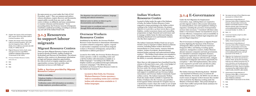Located in Dubai under the aegis of the Embassy of India, the Indian Workers Resource Centre responds to issues pertaining to the Indian workers residing in the United Arab Emirates. Its primary objective is to provide a 24-hour (seven days a week) helpline, conduct awareness classes and counselling programmes on legal, financial and social issues and to manage a shelter home for distressed migrants, including abandoned wives and domestic workers who flee their employers.<sup>66</sup>

### **Indian Workers Resource Centre**

The Indian Community Welfare Fund was set up in October 2009 to respond to Indian citizens in distress overseas, including Indian workers deceived by intermediaries in a host country, runaway domestic workers, victims of accidents, deserted spouses, detained Indian nationals and undocumented Indian workers.<sup>67</sup> The Welfare Fund scheme was extended to all Indian missions in March 2011 and, according to the MOIA, is currently administered in 45 countries. 68

More than 22,798 emigrants have benefited from the scheme in the past three years, with a total budget of INR500 million (US\$802,930) $^{69}$  allocated.<sup>70</sup> Services under the scheme include boarding and lodging, emergency medical care, legal assistance and support to establish and run Overseas Indian Associations and Overseas Indian Community-based welfare centres. The Indian Community Welfare Fund also makes funds available to repatriate the bodies of Indians who die overseas, pay penalties levied against Indian nationals for irregular stays in a destination country where the worker is not at fault and secure the release of Indian nationals from jails or detention centres. 71

### **3.1.4 E-Governance**

Under the ILO Migration for Employment Convention, 1949, ratifying States are required to provide migrant workers with accurate information on national policies, laws and regulations relating to migration, including the provision of interpretation services when necessary. 72 Consistent with these aims, India's e-Governance scheme was launched in 2014 to increase efficiency, transparency and accountability in the emigration system, facilitate legal emigration and prevent illegal emigration. 73

There are three Migrant Resource Centres in India, located in Kerala (at Kochi), Andhra Pradesh (at Hyderabad) and Haryana (at Panchkula). The primary objective of the centres is to disseminate information on legal and humane migration opportunities, the risks involved in irregular migration and job opportunities overseas, but it provides other important services as well (Table 4). $61$ 

The E-Governance in Emigration (e-migrate) Project involves digitizing the functions of the Protector of Emigrants offices and the Protector General of Emigrants Office; and linking recruiting agents, employers, immigration counters, Indian Missions abroad, insurance companies and state governments. It is intended to automate emigration clearance, computerize registration of recruitment agents and employer permits, dispense with discretion, mitigate harassment of emigrants and remove opportunity for corruption. 74 After full implementation, this system is also expected to provide tools and data for policy analysis, information dissemination and speedy grievance redress. 75

Established by the MOIA, the Overseas Workers Resource Centre functions to disseminate information on matters related to emigration; register, respond to and monitor complaints received from emigrant workers or Protectors of Emigrants; and provide a mechanism to address grievances.<sup>62</sup>

Located in New Delhi, the Overseas Workers Resource Centre operates a walk-in counselling centre and a toll-free hotline with information available in 11 Indian languages.63 According to the MOIA, the helpline numbers are publicized through multimedia awareness campaigns.64 The MOIA has also established an Overseas Workers Resource Centre in the United Arab Emirates.<sup>65</sup>

> The Online Grievance Monitoring System - MADAD - was launched in February 2015. It connects all Indian Missions. Previously, the MOIA was not able to resolve issues of migrant workers because they needed to be resolved by the Missions working under the Ministry of External Affairs. This portal attempts to resolve that conflict and provide timely assistance for registered grievances. 76

- 59. Chapter VIII, Section 37(2) and Chapter XXVI, section 195 of the Indian Code of Criminal Procedure, 1973.
- 60. Chapter VIII, Section 37(1) of the Indian Code of Criminal Procedure, 1973. See also the Emigration Rules, 1983, SO 941(E), 30-12-1983 (as amended vide GSR 511(E), 9-7-2009), Rule 24.
- 61. Migrant Resource Centre, Kochi, www. moia.gov.in/services.aspx?IBID1= 325&Ibid=m3&Ibidp=92&mainIbid= 73 (accessed 12 Feb. 2015).
- 62. Overseas Workers Resource Centre, www.owrc.in.
- 63. Ibid.
- 64. Ibid.
- 65. Ibid.

the same powers as a court under the Code of Civil Procedure, 1908.59 They can summon and enforce witness attendance, require discovery and documents, request public records from any court or office, receive evidence on affidavits and issue commissions to examine witnesses and documents.<sup>60</sup> Every proceeding before the Protector General of Emigrants constitutes a judicial proceeding, according to sections 193 and 228 of the Indian Penal Code.

### **3.1.3 Resources to support labour migrants**

### **Migrant Resource Centres**

#### **Table 4. Services provided by Migrant Resource Centres**

#### Walk-in counselling

Telephone helpline to disseminate information and redress grievances

Verification centre with information on recruiters, foreign employers, procedures and fees

Pre-departure visa and travel assistance, language training and cultural orientation

Referral centre to advise on where to go for documentation and certification

Network centre to coordinate outreach to migrants through NGOs and social partners

### **Overseas Workers Resource Centre**

- 66. See www.iwrcuae.in/Core-Objective.aspx (accessed on 12 March 2015
- 67. Government of India Ministry of Overseas Indian Affairs Emigration Policy Division, Revised Indian Community Welfare Fund (ICWF) Scheme in Indian Missions abroad, http://moia.gov.in/ writereaddata/pdf/revised\_icwf.pdf (accessed October 13, 2014), 1.3.
- 68. Ibid., 1.1.
- 69. Conversion based on April 12, 2015 conversion rates.
- 70. Ministry of Overseas Indian Affairs, Lok Sabha, Unstarred question 2326
- 71. Government of India Ministry of Overseas Indian Affairs Emigration Policy Division, Revised Indian Community Welfare Fund (ICWF) Scheme in Indian Missions abroad, http://moia.gov.in/ writereaddata/pdf/revised\_icwf.pdf (accessed 13 Oct 2014), 1.3
- 72. Migration for Employment Convention, 1949 (No. 97), Article 1(a) and Annex I, Article 6. Note: At the time of writing, India has not ratified Convention No. 97 and is therefore not formally bound to uphold its provisions. See ILO Normlex, Ratifications for India, www.ilo.org/dyn/ normlex/en/f?p=1000:11200:0::NO:1 1200:P11200\_COUNTRY\_IBID:102691.
- 73. Government of India Ministry of Overseas Indian Affairs, e-Governance, http://moia.gov.in/services.aspx? Ibid1=85&Ibid=m2&Ibidp= 85&mainIbid=73 (accessed 13 Oct 2014).
- 74. Ibid.
- 75. Ibid.
- 76. Ibid.

Located in New Delhi, the Overseas Workers Resource Centre operates a walk-in counselling centre and a toll-free hotline with information available in 11 Indian languages.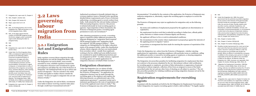#### 89. Ibid.

- 90. Under the Emigration Act, 1983, the central government has the authority to prohibit emigration to any country in the interests of the general public. Grounds include the sovereignty and integrity of India, the security of India, friendly relations with any other country, outbreak of epidemics, civil disturbances, outbreak of hostilities, civil war, civil commotion, environmental pollution, or circumstances in which due to the absence of diplomatic relations, India cannot protect emigrants from discrimination, maltreatment, and exploitation. Emigration Act, supra note 21, Chapter VIII, Section 30-31.
- 91. Ibid., Chapter V, Section 22(5).
- 92. Ibid., Chapter V, Section 23(1)(a)-(d).
- 93. Ibid., Chapter VII, Section 24(1)(a)-(g), 24(4).
- 94. Penalties include imprisonment for a term up to two years and a fine that may extend to two thousand rupees. Second or subsequent offences under the same provision are punishable with double the penalty. When an offense is committed by a company, in addition to the company, every person in charge or responsible at the time the offense was committed is liable for the offense. All offenses under the Emigration Act, 1983, moreover, are cognizable. Ibid., Chapter VII, Section 24(1)(a)-(g), 24(5), 25(1), 26.
- 95. Migration for Employment Convention, 1949 (No. 97), Annex I, Article 3(3)(b). Note: At the time of writing, India has not ratified Convention No. 97 and is therefore not formally bound to uphold its provisions. See ILO Normlex, Ratifications for India, www.ilo. org/dyn/normlex/en/f?p=1000:11200:0::NO:1120 0:P11200\_COUNTRY\_IBID:102691 (accessed 6 Oct 2014).
- 96. Emigration Act, supra note 21, Chapter III, Section 10. The terms and conditions of a registration certificate are set out in Rule 10 of the Emigration Rules, 1983. The Emigration Rules, 1983, SO 941(E), 30-12-1983 (as amended vide GSR 511(E), 9-7-2009), Rule 10.

documentation.89 If satisfied by the contents of the application, the Protector of Emigrants may authorize emigration or, alternately, require the recruiting agent or employer to correct the

application.

The Protector of Emigrants may reject an application for emigration only on the following

grounds:

- » the terms and conditions of employment proposed by the applicant are discriminatory or exploitative;
- » the employment involves work that is unlawful according to Indian laws, offends public policy interests or violates norms of human dignity and decency;
- 
- 
- » no provision or arrangement has been made for meeting the expenses of repatriation if the need arises.<sup>91</sup>
- » the applicant will have to live or work in substandard conditions;
- » the circumstances in the country where employment is proposed go against the interests of the applying person to migrate; <sup>90</sup>and/or

Under the Emigration Act and its Rules, recruitment from India to labour-receiving countries takes place through a multi-layer transnational network.<sup>80</sup>

Under the Emigration Act, orders from the Protector of Emigrants—whether rejecting applications for registration, requiring compliance with particular terms or conditions, calling for additional security or renewal by recruiting agents or employers, or denying emigration clearance in particular instances - are all subject to appeal.92

After obtaining permission to recruit, a recruiting agent is required to follow different procedures for migrants designated as "emigration check required" (ECR) passport holders and "emigration check not required" (ECNR) passport holders.<sup>83</sup> These categories are distinguished by the higher education status of the passport holder: under this classification scheme, labour migrants who have not matriculated from secondary school—usually those applicants working in the low-skilled and semi-skilled sectors are considered in need of additional protection and are designated as ECR.<sup>84</sup> In either instance, registered recruiting agents can submit applications for emigration clearance on behalf of their recruits.<sup>85</sup>

The Emigration Act prescribes penalties for facilitating emigration for employment that does not conform to the processes stipulated by the Act. Recruitment without valid certification by recruiting agents or employers, provision of false information or suppression of material information to labour migrants, collection of fees from an emigrant in excess of the limits prescribed under the Act and any other form of cheating are all subject to sanction.93 The Act also prescribes penalties for violating conditions governing emigration clearance set out by the Protector of Emigrants.94

# **Registration requirements for recruiting**

**agents** 

Consistent with the standards set forth by the ILO Migration for Employment Convention,95 India's Emigration Act requires recruiting agents to hold a valid certificate.96 To legally register

- 77. Emigration Act, supra note 21, Chapter II.
- 78. Ibid., Chapter I, Section 1(2).
- 79. Ibid., Chapter VIII, Section 42.
- 80. Rajan, supra note 3 at 4. 24.
- 81. Ibid.
- 82. Ibid., at 24 (citing Sections 16-21 of the Emigration Act, 1983 and Sections 11-14 of the Emigration Rules, 1983).
- 83. Ibid., at 20. Rajan argues that the creation of ECR/ECNR categories brings the former category under a protective regime while allowing the latter to emigrate freely.
- 84. Ibid.
- 85. Ibid.
- 86. Emigration Act, supra note 21, Chapter V, Section 22(1).
- 87. Under Rule 15 of the Emigration Rules, 1983, an employment agreement must provide for the following matters: (i) period of employment/place of employment; (ii) wages and other conditions of service; (iii) free food or food allowance provision; (iv) free accommodation; (v) provision in regard to disposal, or transportation to India, of dead body of the emigrants; (vi) working hours, overtime allowance, other working conditions, leave and social security benefits as per local labour laws; (vii) to-and-fro air-passage at the employers' cost; and (viii) mode of settlement of disputes. The Emigration Rules, 1983, SO 941(E), 30-12-1983 (as amended vide GSR 511(E), 9-7-2009), Rule 15(2)(i)-(viii).
- 88. Emigration Act, supra note 21, Chapter V, Section 22(3)(a)-(d).

# **3.2 Laws governing labour migration from India**

### **3.2.1 Emigration Act and Emigration Rules**

India regulates overseas labour migration through the Emigration Act and the Emigration Rules, 1983. The Emigration Act and its Rules, most recently amended in 2009, establish regulatory frameworks for emigration clearances and recruitment by agents and employers and define the role of the Protectors of Emigrants—the institutional body set up to advise and protect all migrants.77 The law extends to the whole of India and applies to Indian citizens outside the country.78 It does not apply to emigrants who are not citizens of India.79

Authorized recruitment is formally initiated when an overseas employer issues a Demand Letter specifying detailed labour requirements and a Power of Attorney authorizing a recruiting agent to recruit workers from India—both attested by the relevant Indian embassy.<sup>81</sup> With increasing frequency, however, this process is initiated informally by local recruiting agents or agencies. Upon inspection of these documents, the Protector of Emigrants grants a recruiting agent permission to carry out recruitment.<sup>82</sup>

### **Emigration clearance**

Under the Emigration Act, no citizen of India can legally emigrate without authorization from the Protector of Emigrants.<sup>86</sup> An application for emigration clearance may be made through the recruiting agent or the employer and requires the following elements: an authenticated copy of the employment agreement,<sup>87</sup> a payment receipt and a statement specifying how the costs of repatriation will be met if the applicant must return to India.<sup>88</sup> The Protector of Emigrants may also call for additional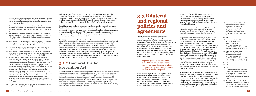31 **"I saw my dreams dying" -** The plight of Indian migrant workers and policy recommendations for safe migration 32

# **3.3 Bilateral and regional policies and agreements**

The MOIA has articulated a commitment to negotiating bilateral agreements with various countries to protect migrant workers' rights. This commitment is based on the principle that "protection of emigrants against exploitation and abuse is not possible in the absence of commitment of the government of the host country." <sup>105</sup> Accordingly, beginning in 2004, the MOIA has signed MOUs with major labour destination countries aimed at bilateral cooperation to protect and promote the welfare of Indian emigrants. 106

Social security agreements are designed to help workers by exempting them from social security contribution in the case of short-term contracts; establishing pension exportability in case of relocation to the home country or a third country; and totaling contribution periods. <sup>107</sup> At the time of writing, India had social security agreements

in force with the Republic of Korea, Hungary, France, Belgium, the Netherlands, Luxembourg and Switzerland. 108 India also has social security agreements that are not currently in force with Austria, Canada, Finland, Germany, Japan, Norway, Portugal and Sweden. 109

India has also signed a Labour Mobility Partnership with Denmark (not in force) <sup>110</sup> and MOUs with Bahrain, Jordan, Kuwait, Malaysia, Oman, Qatar, Saudi Arabia and the United Arab Emirates. 111

Despite these initiatives, however, a Migrant Forum in Asia study reviewing those MOUs failed to find any evidence that the MOUs and agreements on labour migration have contributed to improved governance of labour migration between India and the destination countries or have significantly improved the protection of low-skilled Indian workers in the Gulf countries or Malaysia. <sup>112</sup> The study attributes these findings to the substance of most MOUs, which contain only general provisions and leave out major issues of governance and protection. However, India signed a landmark MOU with Saudi Arabia in 2014 aimed specifically at protecting the rights of Indian domestic workers. The MOU is noteworthy in establishing a standard employment contract and a mechanism to provide 24-hour assistance to domestic workers in distress.

In addition to bilateral agreements, India engages in the Colombo Process, a regional multilateral initiative launched by Asian labour-sending countries in 2003. <sup>113</sup> The aim of the Colombo Process is to provide a forum to share experiences, lessons and good practices on overseas employment, consult on issues impacting labour migrants in origin and destination countries, propose practical solutions for the

- 97. The central government may appoint the Protector General of Emigrants, or any officer of a higher rank, to be the registering authority for the purpose of registering recruiting agents under the Emigration Act, 1983. Ibid., Chapter III, Section 9.
- 98. The rules governing the nature of the office premises that must be maintained by a recruiting agent are set forth in Rule 10(xv)(a)-(f) of the Emigration Rules, 1983. The Emigration Rules, supra note 29, Rule 10(xv)  $(a)-(f)$ .
- 99. Emigration Act, supra note 21, Chapter III, Section 11. The procedure governing application for registration as a recruiting agent is set forth in Rule 7 of the Emigration Rules, 1983. The Emigration Rules, supra note 29, Rule 7.
- 100. Emigration Act, 1983, supra note 21, Chapter III, Section 11. Provisions governing security and return of security are set forth in Chapter VIII, Section 33 and 34 of the Emigration Act, 1983.
- 101. Terms and conditions of the certificate are set forth in Rule 10 of the Emigration Rules, 1983. The Emigration Rules, supra note 29, Rule 9.
- 102. Emigration Act, supra note 21, Chapter III, Section 12(c). Details of the records required are set forth in Rule 10(ix)(a)-(k) of the Emigration Rules, 1983. The Emigration Rules, 1983, supra note 29, 10(ix)(a)-(k).
- 103. A recruitment certificate is subject to cancellation or suspension due to the manner in which the certificate holder carries on business, deterioration in financial position, change in the facilities for recruitment or determination that the certificate holder is not fit to continue holding a certificate. A certificate can also be cancelled if it is used to recruit emigrants for purposes prejudicial to the interests of India or for purposes contrary to public policy, or for any offense involving moral turpitude, violations of the Emigration Act, 1983, or any other law relating to passports, foreign exchange, drugs, narcotics or smuggling. Certificates renewed on the basis of misrepresentation or suppression or any material fact, and violation of any of the terms and conditions of the certificate also constitute grounds for cancelling recruitment permits. Finally, certificates can be cancelled by the central government in the interest of foreign relations or in the interests of the general public. Ibid., Chapter III, Section 14(1)(a)-(g).
- 104. Ibid., p. 21-24 (citing the Constitution of India, Article 6 and the Immoral Traffic Prevention Act, 1956, Section 2(f))

#### Beginning in 2004, the MOIA has signed MOUs with major labour destination countries aimed at bilateral cooperation to protect and promote the welfare of Indian emigrants.

and receive a certificate,97 a recruitment agent must apply for registration by establishing financial soundness, trustworthiness, premises and facilities for recruitment<sup>98</sup> and previous recruitment experience.<sup>99</sup> A recruitment agent is also required to provide a security bond before receiving a certificate.100 A certificate of registration is valid only for a prescribed period of time but can be renewed.101

Recruiting agents who hold recruitment certificates are also required, under the Act, to maintain detailed records of financial transactions regarding the individuals they recruit or assist to emigrate, employers, contracts and any other arrangements in connection with recruitment.102 The registering authority is empowered to suspend or cancel the registration certificates of recruiting agents for violation of the terms or conditions of the certificate.103

The 2009 Amendment to the Emigration Act enhanced the regulation of recruiting agents by mandating that holders of recruitment certificates advertise employment terms accurately, refrain from inducement or misrepresentation and file copies of all advertisements for recruitment with the Protector General of Emigrants immediately after their publication or release. They must also provide details of employment, including contract conditions, to the prospective emigrant before recruitment. In the country of employment, the recruiting agent is required to ensure that migrants are properly received, that employers do not alter the contract of employment and that travel and employment documents are renewed in a timely fashion and remain in the custody of the migrant worker.

### **3.2.2 Immoral Traffic Prevention Act**

India's Constitution prohibits trafficking and forced labour, and the Immoral Traffic Prevention Act, 1956 is intended to combat trafficking and child sexual abuse.<sup>104</sup> Section 370 of the recently enacted Criminal Law (Amendment) Act (in 2013) uses the same definition of trafficking as the United Nations Palermo Protocol. The provision on trafficking under the Indian Penal Code can be used to prosecute traffickers in a range of contexts beyond trafficking for sexual exploitation, including exploitation in brick kilns, rice mills, farms, embroidery factories, mines, stone quarries, homes and carpet factories.

- 105. Government of India Ministry of Overseas Indian Affairs, Bilateral Co-operation for Protection and Welfare of Emigrants, http://moia.gov.in/services. aspx?Ibid1=92&Ibid=m3&Ibidp =92&mainIbid=73 (accessed 13 Oct 2014).
- 106. Ibid.
- 107. Government of India Ministry of Overseas Indian Affairs, Bilateral Agreements, http://moia.gov.in/services. aspx?Ibid1=92&Ibid=m3&Ibidp=92& mainIbid=73 (accessed 13 Oct 2014).
- 108. Government of India Ministry of Overseas Indian Affairs, Social Security Agreements, http://moia.gov.in/services. aspx?Ibid1=92&Ibid=m3&Ibidp=92& mainIbid=73 (accessed 13 Oct 2014).
- 109. Ibid.
- 110. Ibid.
- 111. Ibid.
- 112. Piyasri Wickramasekara, Something is better than nothing: Enhancing the Protection of Indian Migrant workers through Bilateral Agreements and Memoranda of Understanding, Migrant Forum in Asia, 2012.
- 113. The Colombo Process is the short name for the Ministerial Consultation on Overseas Employment and Contractual Labour for Countries of Origin in Asia.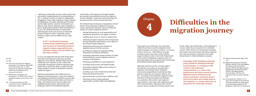# **Chapter**

From April 2014 to February 2015, the labour outflow from India in just the emigration check required category was 738,327 workers—an increase of 96,971 from 2011. With millions of people working overseas and as the country with the largest remittance value in the world, India should work towards establishing a migration policy for protecting Indian labour migrants that is based upon international human rights standards.

Although countries have the sovereign right to develop their own policies to manage labour migration, international labour standards, instruments and guidelines should inform these policies so that they are coherent, effective and fair. According to ILO standards, migration policy should be developed through social dialogue, in consultation with workers' and employers' representatives; and cohere with employment and other national policies. Migration policy should promote decent, productive and freely chosen work

In 2014, the eighteenth summit of the South Asian Association for Regional Cooperation included migration on the agenda. Member States agreed to collaborate and cooperate on safe, orderly and responsible management of labour migration from South Asia to ensure the safety, security and wellbeing of migrant workers in destination countries outside the region.<sup>116</sup>

for all, within and outside India, so that migration is a choice rather than an imperative for vulnerable workers. With reference to international standards, this chapter documents abuses that labour migrants have experienced prior to departure from India, during transit or within destination countries.

#### 114. Ibid. 115. Ibid.

- 116. South Asian Association for Regional Cooperation, Press Releases, 18th SAARC Summit Declaration, Nov. 27, 2014, www.saarc-sec.org/press-releases/18th-SAARC-Summit-Declaration/121/ (accessed 11 Apr 2015).
- 117. Global Forum on Migration and Development, The GFMD Process, http:// www.gfmd.org/process (accessed 11 Apr 2015).
- 118. Thimothy and Sasikumar, 2012, citing Global Forum on Migration and Development, 2008, p. 50.

The Global Forum developed a Compendium of Good Practice Policy Elements in Bilateral Temporary Labour Agreements. Elements relevant to bilateral treaties on contract migration include:<sup>118</sup>

well-being of vulnerable overseas workers and review and monitor implementation of recommendations.<sup>114</sup> The 11 member countries of origin are Afghanistan, Bangladesh, China, India, Indonesia, Nepal, Pakistan, the Philippines, Sri Lanka, Thailand and Viet Nam; and the eight member countries of destination are Bahrain, Italy, Kuwait, Malaysia, Qatar, Republic of Korea, Saudi Arabia and the United Arab Emirates.115 In 2011, the Dhaka Declaration recommended addressing the needs and concerns of vulnerable groups of migrant workers, especially women, domestic workers and low-skilled and low-wage workers.

India also participated in the Global Forum on Migration and Development, a state-led, voluntary, non-binding and informal consultative process open to all United Nations member States and observer States. The Global Forum aimed to address the multidimensional aspects, opportunities and challenges related to international migration

and its links to development. It brought together government representatives from across regions to promote dialogue, cooperation and partnership and generate practical, action-oriented outcomes.<sup>117</sup>

- » sharing information on work opportunities and meeting the demand for and supply of workers;
- » enabling equal access to women in employment;
- » addressing irregular migration with arrangements for legal migration opportunities as one option to discourage irregular migration;
- » integrating monitoring and evaluation of migration process by both countries;
- » providing pre-departure language training, integration and cultural orientation;
- » promoting cooperation among countries of origin and destination to protect migrant workers in countries of destination;
- » facilitating possibilities for repeat migration;
- » providing social security and health benefits;
- » promoting immigrant rights in the societies of destination countries;
- » providing easy access to financial systems and enhancing financial transfers;
- » guaranteeing fair work and wage conditions; and
- » informing workers of legal migration opportunities and their rights and obligations.

In 2011, the Dhaka Declaration recommended addressing the needs and concerns of vulnerable groups of migrant workers, especially women, domestic workers and low-skilled and low-wage workers.

> According to ILO standards, migration policy should be developed through social dialogue, in consultation with workers'and employers' representatives; and cohere with employment and other national policies. Migration policy should promote decent, productive and freely chosen work for all within and outside India so that migration is a choice rather than an imperative for vulnerable workers.

# **Difficulties in the <sup>4</sup> migration journey**

- 119. Ministry of Overseas Indian Affairs, 2013, p. 10.
- 120. Migration for Employment Convention (Revised), 1949 (No. 97) Art 1(a); Migration for Employment Recommendation (Revised), 1949 (No. 86); Migrant Workers (Supplementary Provisions) Convention, 1975 (No. 143); Migrant Workers Recommendation, 1975 (No. 151); Employment Policy Convention, 1964 (No. 122).
- 121. ILO Convention No. 143 (Arts. 2.2, 4, 7, 12(a), 12(e) and 14(b)); ILO Convention No. 144, Recommendation No. 86 (Paragraphs 4.2 and 19); Recommendation No. 151 (Paragraphs. 4, 6(b), 7(1), 9, 14, 25(2) and 29.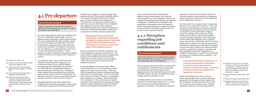122. Paoletti et al., 2014, p. 18.

- 123. Conversion based on average conversion rate for 2012 (INR55.91=US\$1).
- 124. SLD interview with returned worker in Mehaboob Nagar, Telangana, 7 October 2014.
- 125. SLD interview with returned worker in Hyderabad, 10 October 2014.
- 126. Ministry of Overseas Indian Affairs, Lok Sabha, Starred Question No. 309, answered on 18 March 2015, Annex I, http://164.100.47.132/Annexture\_New/ lsq16/4/as309.htm (accessed 12 April 2015).

### **4.1 Pre-departure**

#### **International standard**

For example, P. Raju, a 35-year-old worker who migrated to Saudi Arabia for employment as a construction worker in 2012, told SLD that the recruiting agent promised INR40,000  $(US$715)^{123}$ per month. But upon reaching Saudi Arabia, he was not paid for the entire first year.<sup>124</sup> Similarly, R. Keshav reported being misinformed by a recruiting agent about the nature of work he would perform. He migrated to Kuwait to work as an agricultural labourer but upon arrival was made to work as a cleaner.<sup>125</sup>

Regulate and supervise the activities of private agencies. (ILO Conventions No. 97, Annex I, Article 5(1) and No. 181, Article 8(1))

For many Indian migrant workers, the conditions that give rise to exploitation begin in India. At the predeparture phase of migration, Indian migrant workers who pursue employment through recruitment agents are at risk of deception and exploitation. They may be subjected to misrepresentation of the nature and terms of work available, overcharged on recruitment fees, face delayed or cancelled departures and receive incorrect pre-departure documents.<sup>122</sup> Labour migrants may also be misled about the wages, working conditions and hours of work they will be required to perform.

Recognizing that for many labour migrants the conditions that make them susceptible to abuses begin in their home countries, ILO Conventions set forth

brokers, travel agents and recruiting agents; $127$ regulate foreign education agents; and require all labour migrants to pay fixed emigration clearance and mandatory medical testing fees directly to the Protector of Emigrants. In addition and in consultation with organizations representing workers and employers, the Government should prepare a standard rate for the services provided by recruitment agencies and work towards a non-fee payment structure.

standards governing the pre-departure phase of the migration process. These standards explicitly address the conduct of individual brokers and recruiting agents. Under the Migration for Employment Convention (No. 97), a private recruitment agency must be given prior authorization from a competent state authority and operate under conditions prescribed by domestic law or relevant international instruments. Competent authorities are called upon to supervise the activities of private agencies that

have been authorized to undertake recruitment. The Private Employment Agencies Convention (No. 181) requires States to adopt all necessary and appropriate measures, both within their jurisdiction and in collaboration with other States, to protect migrant workers who are recruited or placed by private employment agencies.

In 2015, the Ministry of Overseas Indian Affairs reported that there were 1,208 registered recruiting agents in the country across 19 states.<sup>126</sup> Although India's Emigration Act requires certification and legal registration of recruiting agents, these provisions fall short in their enforcement. To improve accountability in the regulation of recruitment, India should ratify ILO Convention No. 181 and put in place compliant regulations. These regulations should bring sub-agents under the ambit of regulation through clear terms of reference governing the relationship between visa

### **4.1.1 Deception regarding job conditions and entitlements**

#### **International standard**

Ensure that migrants receive employment contracts. (ILO Convention No. 97, Annex I, Article 5(1) and Recommendation No. 86, Paragraph 13)

Labour migrants interviewed by SLD recounted stories of exploitation by individual brokers and recruiting agents during the pre-departure phase of their migration journey. These included deception about the availability of work, the nature of employment, wages, working conditions and hours of work.

According to MOIA reports, these are not isolated incidents. The MOIA Annual Report, 2012–13 noted that recruitment agents forge attestations of employment documents.<sup>128</sup> The MOIA pre-departure manual for Yemen warns that Indian workers have often been misled by unscrupulous recruiting agents in India and sent to Yemen on visit visas without any proper employment contracts. 129

ILO Convention No. 97 requires States to ensure that migrants receive employment contracts. <sup>130</sup> Clear and agreed-upon expectations between labour migrants, recruiting agents and employers in the host country are integral to protecting the rights of migrant workers. Accordingly, the Government of India should supervise private agencies and employers to ensure that labour migrants receive employment contracts before their departure or in a reception centre upon arrival in a destination country. Contracts should contain conditions of work and remuneration information. Competent state authorities are required to ensure that these conditions are enforced and that penalties are applied for violations. Consistent with these standards, under India's Emigration Act, a certified recruiting agent is required to provide details of employment, including contract conditions, to all labour migrants.

Despite these legislative provisions, however, labour migrants often have no formal enforceable agreements with the agents or their employer. Of the 25 migrants interviewed for this study, 23 had not received any sort of formal contract. Without employment contracts, it is nearly impossible for

- 127. Emigration Act, supra note 21, Chapter III, Section 10. The terms and conditions of a registration certificate are set out in Rule 10. Emigration Rules, 1983, SO 941(E), 30-12-1983 (as amended vide GSR 511(E), 9-7-2009).
- 128. Ministry of Overseas Indian Affairs, 2013, p. 21.
- 129. Ministry of Overseas Indian Affairs, 2011.
- 130. Migration for Employment Convention, 1949 (No. 97), Annex I, Article 5(1) and Recommendation No. 86, Paragraph 13.

Recognizing that for many labour migrants the conditions that make them susceptible to abuses begin in their home countries, ILO Conventions set forth standards governing the pre-departure phase of the migration process.

> Contracts should contain conditions of work and remuneration information. Competent state authorities are required to ensure that these conditions are enforced and that penalties are applied for violations.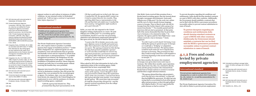- 131. SLD interview with returned worker in Hyderabad, 10 October 2014.
- 132. Private Employment Agencies Convention, 1997 (No. 181), Article 8 (1). India has not ratified the Private Employment Agencies Convention and is thus not formally bound to uphold its provisions. See ILO Normlex, C181- Private Employment Agencies Convention, 1997 (No. 181), http:// www.ilo.org/dyn/normlex/en/f?p=NOR MLEXPUB:11310:0::NO:11310:P11310\_ INSTRUMENT\_IBID:312326:NO (accessed 6 Oct. 2014).
- 133. Emigration Rules, SO 941(E), 30-12-1983 (as amended vide GSR 511(E), 9-7-2009), Rule 10(xiv)(a)-(h). Recruiting agents are also required to file copies of all advertisements to the Protector General of Emigrants immediately after their publication or release.
- 134. Emigration Act, No. 31 of 1983, 10-9- 1983, Chapter III, Section 12(b), 13. The rules governing the period of validity for a certificate and the process for renewal are set forth in Rule 9. Emigration Rules, SO 941(E), 30-12-1983 (as amended vide GSR 511(E), 9-7-2009).
- 135. SLD interview with returned nurse in Kerala, 5 October 2014.
- 136. Conversion based on average conversion rate for 2012 (INR47.77=US\$1).
- 137. SLD interview with returned migrant in Ernakulam, Kerala, 3 October 2014.

138. Ibid.

139. Ibid.

migrant workers to seek redress in instances of rights violations. As one returned worker in Hyderabad pointed out: *"I did not sign a contract or agreement letter before departure".*<sup>131</sup>

#### **International standard**

Prohibit private employment agencies from engaging in fraudulent practices (ILO Convention No. 181, Article 8(1)) and take action against misleading propaganda (Recommendation No. 86, Annex, Article 2)

> When asked by SLD what information he had on the registration status of the recruiting agency, Rohit responded that he knew surprisingly little:

The Private Employment Agencies Convention (No. 181) requires states to penalize or prohibit agencies that engage in fraudulent practices.132 Under India's Emigration Act, registered agents are only permitted to issue advertisements that are genuine and factually correct and are required to refrain from any inducement or misrepresentation.<sup>133</sup> To prohibit unregistered recruitment, the Emigration Act also prohibits employment of sub-agents.134 Despite the prohibition of fraudulent practices, labour migrants routinely pay hefty fees to recruiting agents without receiving the benefits they were promised.

Migrants interviewed by SLD reported that upon arrival in destination countries, they did not get the support they were promised by the recruiting agent or agency. For instance, Ajay, a 30-year-old nurse from Kerala who migrated to the United Kingdom for employment in 2010 with the assistance of a Keralabased recruiting agency, explained:

> *"I felt the agency had cheated me. They promised that they had representatives in the*

*UK that would assist me to find a job. But once I reached the UK, the agency didn't contact me. I tried to contact them for two months. They said they didn't have a representative in the UK and that their job ended once I reached the host country. I struggled for eight months to get a part-time job."*<sup>135</sup> 

Rohit, 30 years old, also migrated to the United Kingdom seeking employment as a nurse. He paid  $INR450,000 (US\$  $9,419)$ <sup>136</sup> to a recruiting agency in Ernakulum, Kerala to cover his visa processing, admission and subsequent employment placement.<sup>137</sup> But upon arrival, he was left to fend for himself:

> *"I went to the UK in October 2010 to do a oneyear diploma course in health and social care. After that I planned to stay back and work for two years. The agency promised me that during the stay-back period I could find a sponsor or work visa that would help me convert my stay-back period into a permanent residence. The agency didn't help me to get my permanent residency. I got no assistance, not even for finding a part-time job."*<sup>138</sup>

> *"I didn't have any idea about the registration status of the agency. I never thought to check any government website about the registration status of the visa procedure. I just learned about this agency through some friends. I was cheated by the agency. The course fees only accounted for half the amount they charged me—and the agency received commission from the college for my admission."*<sup>139</sup>

Like Rohit, Geeta received false promises from a Kerala-based recruiting agency that she learned about through a newspaper advertisement. Geeta paid  $INR450,000 (US$9,419)<sup>140</sup>$  for the work visa, airfare and the cost of a three-month German language course in Georgia. Then in March 2008, she left for Georgia from the Cochin Airport with a group of 41 nurses from Kerala."<sup>141</sup> Two months passed and the interviews did not start as promised. At that point, half of the nurses demanded that they be given their visa to Germany or be returned to India. 142 In response, the agency paid for their flight home—none of them received a visa to Germany. <sup>143</sup> Geeta

explained:

*"In order to get a work visa for Germany, I was told by the agency to spend one year in Georgia so I could take a "bridging" or adaptation course and learn German. The agency said it would be much easier for me to migrate from Georgia to Germany. They promised me that they would arrange interviews with hospitals in Germany beginning in the second month I was in Georgia."*<sup>144</sup>

After three months, the nurses who remained in Georgia were given short-term work visas to Germany. But within three months, upon expiration of the short-term visa, they, too, returned to Kerala. Geeta and the group of nurses who returned from Kerala had no formal contract or avenue to recourse and therefore sought informal solutions:

> *"The agency claimed that they only promised a work visa and not a visa extension—so they said they had fulfilled the agreement. We didn't get any money back so we protested in front of the agency office and put pressure on them through political and religious leaders. We never approached the police because we had no contract."* <sup>145</sup>

To prevent deception regarding job conditions and entitlements, India should develop standard contracts as a part of MOUs with other countries. Additionally, the Government should establish e-contracts that can be filed with the MOIA e-governance procedures (accessible online) to prevent contract substitution in cases of breach.

### **4.1.2 Fees and costs levied by private employment agencies**

#### **International standard**

Prevent private employment agencies from charging fees or costs to workers (ILO Convention No. 181, Article 7(1–2) and Recommendation No. 86, Article 6 (4))

The Private Employment Agencies Convention (No. 181) calls for States to prevent private employment

- 140. Calculated according to average Indian rupee–US dollar exchange rate in March 2008.
- 141. SLD interview with returned nurse in Kozhikode District, Kerala, 9 October 2014.
- 142. Ibid.
- 143. Ibid.
- 144. SLD interview with returned nurse in Kozhikode district, Kerala, 9 October 2014.
- 145. Paoletti et al., 2014, p. 18.

To prevent deception regarding job conditions and entitlements, India should develop standard contracts as a part of MOUs with other countries. Additionally, the Government should establish e-contracts that can be filed with the MOIA e-governance procedures (accessible online) to prevent contract substitution in cases of breach.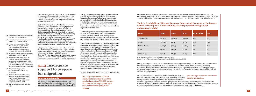146. Private Employment Agencies Convention, 1997 (No. 181), Article 7 (1–2).

- 147. Conversion based on average conversion rate for 2014 (INR63.47=US\$1).
- 148. Ministry of Overseas Indian Affairs, "Service charges payable to RAs", http://moia.gov.in/services.aspx? IBID1=122&Ibid=m9&Ibidp=120& mainIbid=73 (accessed 12 April 2015).
- 149. Conversion based on average conversion rate for 2012 (INR47.77=US\$1).
- 150. Migrant returnees interviewed for this study reported vastly divergent recruitment rates paid between 2008 and 2012. Due to the range of dates, the data collected by SLD does not facilitate a comprehensive assessment of rate ranges.
- 151. Migration for Employment Recommendation, 1949 (No. 86), Paragraph 5.
- 152. Ministry of Overseas Indian Affairs, "Emigration services: An overview", http://moia.gov.in/services. aspx?Ibid1=66&Ibidp=66&mainIbid =73 (accessed 10 Oct. 2014).
- 153. SLD call to helpline on 19 November 2014.

agencies from charging, directly or indirectly, in whole or in part, any fees or costs to workers, except when representatives or organizations of employers and workers authorize exceptions for particular services provided by agencies.146

> These four centres, however, are insufficient in number to meet the needs of more than 700,000 workers who migrate for employment each year from different parts of the country. In addition, support centres are not always located in the main sending states (Table 5). In recent years, for instance, although there has been a surge in migration from Uttar Pradesh and Bihar, Migrant Resource Centres have not been set up in either state. Although telephone helpline services are designed to provide access to information in 11 regional languages for labour migrants who may not be able to physically reach a centre, at the time of this study, the helpline services were only available in Hindi, English and Punjabi languages.<sup>153</sup>

Under India's Emigration Act and its Rules, however, recruiting agents are authorized to accept payments from emigrants as long as they issue receipts. To prevent exorbitant charges by recruitment agents, the Government has fixed an upper limit for services charged, at INR20,000 (US\$315), $147$  while prescribing that the service charge from the recruitment agency should be less than the wages for a 45-day period, based on what is offered in an employment contract.<sup>148</sup> Despite these attempts to regulate recruitment fees by authorizing payment to recruiting agents, the Emigration Act and its Rules violate ILO Convention No. 181.

All 25 returned migrants who were interviewed for this study had paid recruitment fees higher than the stipulated amounts. The high-skilled interviewees nurses, such as Rohit— paid INR 597,814  $(US$9,419)^{149}$  the highest reported among the sample group. The lowest amount reported by low-skilled construction workers was INR 80,000 (US\$1,260).150

### **4.1.3 Inadequate support to prepare for migration**

#### **International standard**

Facilitate the departure, journey and reception of migrants for employment (ILO Convention No. 97, Article 4 and Recommendation No. 86, Paragraph 5)

The ILO Migration for Employment Recommendation (No. 86) requires States to facilitate the departure journey and reception of migrants for employment.<sup>151</sup> As recognized by the MOIA, Indian labour migrants, with the likely exception of white-collar workers, are particularly vulnerable to exploitation, even more so because they are often unaware of laws and procedures in place to protect them.152

Four Migrant Resource Centres are insufficient in number to meet the needs of more than 700,000 workers who migrate for employment each year from different parts of the country.

The three Migrant Resource Centres active under the MOIA at the time of writing, along with the Overseas Workers Resource Centre in Delhi, are required to disseminate information on legal and humane migration opportunities and the risks involved in irregular migration.

To meet the need for support services for an increasing

number of labour migrants, some states, such as Rajasthan, are considering establishing Migrant Resource Centres with state funds. To facilitate access to the information migrants need to safeguard their rights, the MOIA should establish Migrant Resource Centres in each state and every city that has a major international airport.

### **Table 5. Availability of Migrant Resource Centres and Protector of Emigrants offices in the top-five labour sending states (by number of registered emigrants per state )**

| <b>State</b>   | 2010    | 2011    | 2012    | <b>POE</b> office | <b>MRC</b>     |
|----------------|---------|---------|---------|-------------------|----------------|
| Uttar Pradesh  | 747 041 | 140 826 | 191 341 | Yes               | N <sub>0</sub> |
| Kerala         | 357 503 | 86783   | 98 178  | Yes               | <b>Yes</b>     |
| Andhra Pradesh | 141 138 | 71589   | 92803   | Yes               | Yes            |
| Bihar          | 63 096  | 71438   | 84 078  | N <sub>0</sub>    | N <sub>0</sub> |
| Tamil Nadu     | 21 241  | 68732   | 78 185  | Yes               | N <sub>0</sub> |

Note: POE=Protector of Emigrants; MRC=Migrant Resource Centre.

Source: Ministry of Overseas Indian Affairs, Annual Report 2012-2013, Table B, pp. 54–55.

Finally, although the MOIA has initiated awareness campaigns since 2007, the thematic focus and investment in these campaigns is insufficient to fill the information void that leaves labour migrants particularly vulnerable. As shown in Table 6, the amount allocated for pre-departure orientation and skill upgrading of emigrant workers in 2013–14 was an alarmingly low US\$10,000—the smallest budget allotment of all MOIA schemes and programmes.

MOIA budget allocation reveals the Ministry's priorities. In total, Centres, Labour Mobility Partnerships, Legal Assistance to Women Facing Problems in Marriages and the Pre-departure Orientation

and Skill Upgrading of Emigrant Workers—programmes designed to help labour migrants—were allocated a combined budget of US\$4.85 million in 2013–14. By contrast, one Pravasi Bhartiya Divas event aimed at overseas citizens, diaspora communities and non-resident Indians received budgeting of US\$8 million.

#### MOIA budget allocation reveals the Ministry's priorities.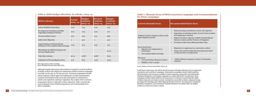#### **Table 6. MOIA budget allocation, by scheme, 2013–14**

| <b>MOIA</b> schemes                                                           | Actual<br>$2013 - 14$ | <b>Budget</b><br>estimate<br>$2013 - 14$ | <b>Revised</b><br>estimate<br>$2013 - 14$ | <b>Budget</b><br>estimate<br>$2014 - 15$ |
|-------------------------------------------------------------------------------|-----------------------|------------------------------------------|-------------------------------------------|------------------------------------------|
| <b>Labour Mobility Partnerships</b>                                           | 0.00                  | 0.05                                     | 0.00                                      | 0.05                                     |
| Pre-departure Orientation and Skill<br><b>Upgrading of Emigrant Workers</b>   | 0.00                  | 0.05                                     | 0.00                                      | 1.00                                     |
| <b>Overseas Indian Centres</b>                                                | 3.76                  | 4.00                                     | 3.73                                      | 4.86                                     |
| <b>India Centre Migration</b>                                                 | $\Omega$              | 5.00                                     | $\mathbf 0$                               | 4.00                                     |
| Legal Assistance to Women Facing<br>Problems in Non-resident Indian marriages | 0.06                  | 0.75                                     | 0.53                                      | 1.00                                     |
| Plan Scheme for Skill Development for<br>Overseas Employment                  |                       |                                          |                                           | 20.00                                    |
| Total other schemes                                                           | 30.19                 | 57.88                                    | 36.88                                     | 79.62                                    |
| Celebration of Pravasi Bhartiya Divas                                         | 9.75                  | 8.00                                     | 10.50                                     | 13.00                                    |

Note: Figures given in millions US dollars.

Source: Ministry of Overseas Indian Affairs, 2013.

### **Table 7. Thematic focus of MOIA awareness campaigns and recommendations for future campaigns**

#### Problems legal emig

#### Sector-bas

- Migration  $\overline{\phantom{a}}$ house
- Non-

#### **Resources**

- $\cdot$  Overs
- $\cdot$  Helpl

| <b>Current thematic focus</b>                                                                                 | <b>Recommended future focus</b>                                                                                                                                                                                                                                                                                                                                   |
|---------------------------------------------------------------------------------------------------------------|-------------------------------------------------------------------------------------------------------------------------------------------------------------------------------------------------------------------------------------------------------------------------------------------------------------------------------------------------------------------|
| Problems faced by emigrant workers in the<br>legal emigration process                                         | Rules governing recruitment to ensure safe migration<br>$\bullet$<br>Importance of retaining receipts of service from recruiters<br>$\bullet$<br>and employment contracts<br>Support for labour migrants available through Migrant<br>$\bullet$<br>Resource Centres and the Protector of Emigrants<br>Provisions of the Pravasi Bharatiya Bima Yojna<br>$\bullet$ |
| Sector-based focus<br>Migration for employment as<br>housemaids<br>Non-resident Indian marriages<br>$\bullet$ | Migration for employment as construction workers<br>Nurses who enroll in study-abroad programmes based<br>$\bullet$<br>on false promises of employment                                                                                                                                                                                                            |
| Resources<br><b>Overseas Workers Resource Centres</b><br>Helpline (1800 113090)<br>$\bullet$                  | Indian Embassy emergency contacts in destination<br>$\bullet$<br>countries                                                                                                                                                                                                                                                                                        |

Although ongoing information dissemination is needed to reach the millions of Indian workers who migrate for employment, MOIA awareness campaigns currently run for only 45–60 days per year. Awareness programmes should inform migrants of their rights and entitlements in India and destination countries and should provide up-to-date information on national laws, policies and regulations relating to migration. The content of the awareness programmes, however, falls short of these objectives. Table 7 presents the current thematic focus of MOIA programmes and recommendations for future campaigns.

Source: Ministry of Overseas Indian Affairs, 2013, p. 38.

To fill these critical gaps, the MOIA should increase its budget allocation for pre-departure orientation and awareness campaigns. Information campaigns should widely publicize all information and resources available to labour migrants, using print and multimedia strategies designed to reach labour migrants at various skill levels. In particular, these campaigns should widely publicize the importance of contracts in protecting the rights of labour migrants and make contract consultations accessible to labour migrants during pre-departure trainings and within Migrant Resource Centres. Pre-departure orientation should be mandatory, and orientation modules should be accessible online for skilled workers as well as in resource centres.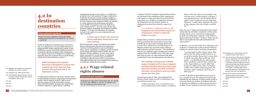### **4.2 In destination countries**

#### **International standard**

Ensure necessary assistance during the initial settlement period (ILO Convention No. 97, Annex I, Article 6)

Under the Migration for Employment Convention (No. 97), migrants are to be provided assistance to safeguard their welfare during their journey to the destination country and initial settlement period.<sup>154</sup> Consistent with this standard, India's Emigration Act requires Protectors of Emigrants to inquire with migrants about the treatment they received during transit and in the destination country.155

To align labour migration with sector-specific needs in the destination country, employment arrangements usually restrict migrant workers' right to move between employers in the destination country. This restricted mobility increases the vulnerability of labour migrants to rights abuses, including

fundamental changes in the nature or conditions of promised work, non-payment of wages, confiscation of identity documents, unsafe working conditions, inadequate rest and inhumane housing conditions.156 In more extreme cases, migrant workers are exposed to verbal, physical and sexual abuse and suffer severe health consequences and even death from work-related causes.<sup>157</sup> In some cases, abuses may amount to labour trafficking, forced labour and debt bondage.158 It is also not uncommon for migrant workers to be unable to access compensation and other remedies.159

SLD documented a range of problems that Indian labour migrants had experienced in destination countries, including physical and psychological abuse, labour exploitation, violations of their freedom of movement and denial of food, health care and adequate living conditions. In some cases, these abuses amounted to forced labour or trafficking. Although facing a potential range of problems, each labour migrant interviewed was particularly vulnerable because they were isolated from assistance or protection within the host country.

After one year, P. Raju was finally able to leave Saudi Arabia after his wife filed a complaint with the police in India. But he never received any compensation from the recruiting agent, employer or the Indian or Saudi Arabian government.163 In fact, P. Raju was only able to return after his wife collected funds for his return ticket.<sup>164</sup>

### **4.2.1 Wage related rights abuses**

#### **International standard**

Protection of wages (ILO Conventions No. 97, Article 6 (1); No. 181, Articles 11–12; No. 111 Article 1 (a); No. 26, Article 4(1),(2) and No. 95)

India's Emigration Act requires Protectors of Emigrants to inquire with migrants about the treatment they received during transit and in the destination country.

#### In some cases, abuses may amount to labour trafficking, forced labour and debt bondage.

Consistent with ILO standards requiring that workers are informed of the conditions of their employment with respect to wages and otherwise protected from wage abuse, as a condition of emigration clearance, the Emigration Act and its Rules require an employment contract that states the wages to be

paid.<sup>160</sup>

#### As a condition of emigration clearance, the Emigration Act and its Rules require an employment contract to states the wages to be paid.

Despite these provisions, workers interviewed by SLD reported that they received less money than initially agreed upon with recruiting agents and, in some cases, reported not receiving wages at all. Migrant workers also reported routine arbitrary wage deduction and late payment.<sup>161</sup> The hardship of delayed and withheld wages is heightened for labour migrants (and their families) who, when they begin their jobs overseas, are often burdened with debt accumulated to pay recruiting agents and other fees.

As previously noted, P. Raju, who migrated from Kerala to Saudi Arabia to work in construction, was not paid for an entire year:

*"I did construction work. I worked from 3 in the morning until 9 in the evening. I worked six* 

*days a week. Not only was I not paid for any overtime work, I wasn't paid for a full year. I was only given food. I was threatened that if I didn't work I would not even get daily food. Whenever I would ask for payment, the owner of the company, who was a Saudi, would hit me."*<sup>162</sup>

R. Manish, a 32-year-old worker from Telangana, also worked as a construction worker in Saudi Arabia for months at a stretch without receiving compensation:

> *"I worked eight months without salary. They told me that the salary would be given to us every three months. Every time I went to them to ask for my salary they would say, "Next month." I worked like this for eight months. Then I decided to confront them, and for four or five days I didn't go to work. After that he gave me INR100,000. Then I worked for another nine months without payment. The next time, when I asked for my money, he didn't pay."*<sup>165</sup>

In total, R. Manish received INR100,000 (\$1,600) for 17 months of work. The minimum referral wage published by the Embassy of India in Saudi Arabia is 1,000 rial (\$265) per month. According to this rate, R. Manish was entitled to a total of \$4,530 for his 17 months of work. Instead, he received 41 percent of

- 160. Emigration Act, 1983, Section 22 and Emigration Rules, 1983, Rule 15.
- 161. See also Amnesty International, Exploited Dreams: Dispatches from Indian Migrant Workers in Saudi Arabia, July 2014, p. 44 ("Seventeen of the 51 migrants Amnesty International India interviewed reported facing problems with the payment of their wages—including wages being arbitrarily deducted, underpayment, late payment and even non-payment").
- 162. Society for Labor and Development's interview with returnee worker, Mehaboob Nagar, Telangana, 7 October 2014.
- 163. Ibid.
- 164. Ibid.
- 165. Ibid.

The hardship of delayed and withheld wages is heightened for labour migrants (and their families) who, when they begin their jobs overseas, are often burdened with debt accumulated to pay recruiting agents and other fees.

154. Migration for Employment Convention, 1949 (No. 97), Annex I, Article 6.

- 155. Emigration Act, 1983, Section IV(d).
- 156. Sarah Paoletti, Migrant Workers' Access to Justice at Home: Nepal, Open Society Foundations, 2014, p. 18.
- 157. Ibid.
- 158. Ibid.
- 159. Ibid.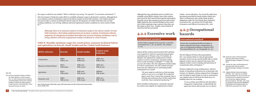the wages to which he was entitled: *"When I asked for my money,"* he reported, *"I was beaten and abused."*<sup>166</sup> The Government of India has made efforts to establish minimum wages in destination countries. Although there is no statutory system of minimum wages in the labour market of most Gulf countries, a few Indian missions have put in place a system of minimum referral wages for all categories of workers that takes into account working conditions, cost of living, inflation and local employment market conditions in a host country (Table 8).<sup>167</sup>

#### **Table 8. Monthly minimum wages for construction, masonry/technical labour and agriculture in Kuwait, Saudi Arabia and the United Arab Emirates**

| <b>MOIA</b> schemes      | <b>Kuwait</b>    | <b>Saudi Arabia</b>         | <b>United Arab</b><br><b>Emirates</b> |
|--------------------------|------------------|-----------------------------|---------------------------------------|
| Construction             | KD60             | <b>SAR1 000</b>             | <b>AED1 200</b>                       |
|                          | <b>INR12 720</b> | <b>INR<sub>16</sub></b> 500 | INR 20 160                            |
| Masonry/technical labour | KD70             | <b>SAR1 000</b>             | <b>AED<sub>1</sub>500</b>             |
|                          | <b>INR14 840</b> | INR 16 500                  | INR 25 200                            |
| Agriculture              | KD70             | <b>SAR1 000</b>             | AED950                                |
|                          | <b>INR14 840</b> | INR 16 500                  | INR 15 960                            |
| Domestic work            | KD60             | <b>SAR1 000</b>             | <b>AED1 100</b>                       |
|                          | INR 12720        | INR 16 500                  | <b>INR 18 480</b>                     |

Note: KD=Kuwait dinar; INR=Indian rupee; SAR=Saudi Arabia rial; AED=United Arab Emirates dirham. Source: MOIA, 2014

Although there is no statutory system of minimum wages in the labour market of most Gulf countries, a few Indian missions have put in place a system of minimum referral wages for all categories of workers that takes into account working conditions, cost of living, inflation and local employment market conditions in a host country.

Although the wage calculations given in Table 8 are available on the MOIA website, none of the workers interviewed by SLD reported knowing this information. Typically, given their passports just hours before their flights departed, they reported finding out the actual rate of their minimum wage contracts when they saw the stamp on their visas - usually a mere fraction of what they had been promised.

 $11-12$ ).

### **4.2.2 Excessive work**

#### **International standard**

Protect labour migrants from excessive work (ILO Conventions No. 1, No. 30 and No. 181, Articles

Almost all the workers interviewed by SLD said they were required to work for excessively long periods sometimes up to 18 hours a day. For instance, R. Manish, who migrated for employment to Saudi Arabia to work in construction, reported working from 5 in the morning to midnight.168 P. Raju, the 35-year-old worker who also migrated to Saudi Arabia to work in construction, not only worked excessive hours but also suffered severe and lasting health consequences as a result:

*"We were made to work from 3 in the morning until 9 or even 10 or 11 at night. We worked six days a week. Now I cannot hear properly. Due to the long and continuous hours at the construction work site, I have nearly lost my hearing."* 169

Such extended working hours, commonly reported by workers who migrate for employment to Saudi

Arabia—across industries—far exceed the eight-hour maximum prescribed by Saudi Arabia's labour law. These working hours also violate Saudi Arabia's obligations under the ILO Weekly Rest (Industry) Convention (No. 14) and the ILO Weekly Rest (Commerce and Offices) Convention (No. 106).

### **4.2.3 Occupational hazards**

#### **International standard**

Protect the occupational health and safety of labour migrants and ensure compensation in case of occupational accidents or diseases (ILO Recommendation No. 151, Paragraphs 20–21).

The ILO Migrant Workers Recommendation (No. 151) requires States to take all appropriate measures to prevent any special health risks to which migrant workers may be exposed and ensure that migrant workers receive training and instruction in occupational safety and hygiene.170

Workers subjected to long working hours, with few breaks, in hazardous professions are at particular risk of injury. R. Manish, a labour migrant from Telangana who travelled to Saudi Arabia to work in construction, was crippled when he fell from the third story of a building where he was working:

> *"I was working and I fell from the third floor. I begged for medical help. I called Khalif, the supervisor but he did not take me to a doctor.*

- 168. Society for Labor and Development interview with returnee worker, Mehaboob Nagar, Telangana, 9 October 2014.
- 169. Society for Labor and Development's interview with returnee worker, Mehaboob Nagar, Telangana, 8 October 2014.
- 170. Migrant Workers Recommendation, 1975 (No. 151). India has not ratified Recommendation No. 151 and is thus not formally bound to uphold its provisions. See ILO Normlex, Migrant Workers Recommendation, 1975 (No. 151), www. ilo.org/dyn/normlex/en/f?p=NORMLEX PUB:12100:0::NO:12100:P12100\_ILO\_ CODE:R151 (accessed 6 Oct. 2014).

166. Ibid.

167. Business Standard, Problem of Salary for Indian Workers in Gulf Countries, Dec. 11, 2014, www.business-standard. com/article/government-press-release/ problem-of-salary-for-indian-workersin-gulf-countries-114121101190\_1.html (accessed January 13, 2015).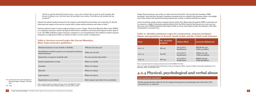*He hit me with his black belt instead. Later, a man who worked with me took me to the hospital. But because of delay in care, the lower part of my body is now useless. I lost [the use of] my legs and my manhood."*<sup>171</sup>

Abused and refused medical treatment by his employer and isolated from his family and community, R. Manish relied upon the support of the men he worked with to obtain medical attention and return to India.172

India has policies in place to insure migrant workers in cases of injury. The Pravasi Bharatiya Bima Yojna (PBBY) is a compulsory insurance scheme through the MOIA that is available to all documented migrant workers aged 18 to 60. The PBBY guidelines require insurance companies to cover hospitalization and reimburse medical expenses during the coverage period (Table 9), whether in India or in the country of employment.

Note: Conversion based on average conversion rate for 2014 (INR63.47=US\$1). Source: MOIA website. http://moia.gov.in/pdf/p\_b\_b\_ywef\_%201\_4\_8.pdf

#### **Table 9. Services covered under the Pravasi Bharatiya Bima Yojna insurance guidelines**

| Minimum insurance in case of death or disability                                                                                                                                                                                                                                                                                   | INR1000 000 (\$15 750)                       |
|------------------------------------------------------------------------------------------------------------------------------------------------------------------------------------------------------------------------------------------------------------------------------------------------------------------------------------|----------------------------------------------|
| Hospitalization/medical expenses (covering injuries/sickness/<br>ailment/diseases)                                                                                                                                                                                                                                                 | INR75 000 (\$1 181)                          |
| Repatriation coverage for medically unfit                                                                                                                                                                                                                                                                                          | One-way economy class airfare                |
| Family hospitalization in India                                                                                                                                                                                                                                                                                                    | INR <sub>50</sub> 000 (\$788)                |
| Attendant                                                                                                                                                                                                                                                                                                                          | INR25 000 (\$394)                            |
| Maternity                                                                                                                                                                                                                                                                                                                          | INR25 000 (\$394)                            |
| Legal expenses                                                                                                                                                                                                                                                                                                                     | INR30 000 (\$473)                            |
| Repatriation in case of death                                                                                                                                                                                                                                                                                                      | Body transport and airfare for one attendant |
| $\mathbf{r}$ $\mathbf{r}$ $\mathbf{r}$ $\mathbf{r}$ $\mathbf{r}$ $\mathbf{r}$ $\mathbf{r}$ $\mathbf{r}$ $\mathbf{r}$ $\mathbf{r}$ $\mathbf{r}$ $\mathbf{r}$ $\mathbf{r}$ $\mathbf{r}$ $\mathbf{r}$ $\mathbf{r}$ $\mathbf{r}$ $\mathbf{r}$ $\mathbf{r}$ $\mathbf{r}$ $\mathbf{r}$ $\mathbf{r}$ $\mathbf{r}$ $\mathbf{r}$ $\mathbf{$ |                                              |

Despite these provisions, none of the 25 workers interviewed by SLD—all covered by the mandatory PBBY enrolment—knew that they had paid a mandatory premium and were entitled to file insurance claims. Accordingly, none of the workers who reported incurring expenses due to injury or sickness had filed any claims.

In fact, beyond the sample of labour migrants interviewed by SLD, filing claims through the PBBY is extremely rare. In response to a Right to Information petition filed by SLD, the MOIA reported that between 2011 and 2014, less than 4 per cent of PBBY beneficiaries filed claims (Table 10). Even when claims are filed, the frequency with which compensation is awarded is low.

### **Table 10. Monthly minimum wages for construction, masonry/technical labour and agriculture in Kuwait, Saudi Arabia and the United Arab Emirates**

| Year        | No. of policy<br>holders | <b>Claims filed</b>                       | <b>Amount disbursed</b>                           |
|-------------|--------------------------|-------------------------------------------|---------------------------------------------------|
| $2011 - 12$ | 689 057                  | $242$ (3.5% of<br>beneficiaries)          | INR <sub>14</sub> 8 690 032<br>(US\$2.34 million) |
| $2012 - 13$ | 842687                   | $221(2.6\% \text{ of }$<br>beneficiaries) | INR <sub>167</sub> 331762<br>(US\$2.63 million)   |
| $2013 - 14$ | 836 054                  | $247(2.9\% \text{ of }$<br>beneficiaries) | INR <sub>181</sub> 445 500<br>(US\$2.85 million)  |

Note: Conversion based on average conversion rate for 2014 (INR63.47=US\$1).

Source: S.T. Selvi, First Appellate Authority/Protector General of Emigrants, MOIA, response to Right to Information application (of 15 November 2014), 19 December 2014.

### **4.2.4 Physical, psychological and verbal abuse**

### **International standard**

Provide equal protection under the law for migrants facing physical, psychological and verbal abuse (ILO Convention No. 97, Article 6)

171. SLD interview with returned migrant in Mehaboob Nagar, Telangana, 9 October 2014.

172. Ibid.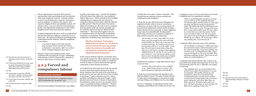- 173. SLD interview with returned worker in Hyderabad, Andhra Pradesh, 10 October 2014.
- 174. ILO Normlex, Ratifications for India, www. ilo.org/dyn/normlex/en/f?p=1000:11 200:0::NO:11200:P11200\_COUNTRY\_ IBID:102691 (accessed 6 Oct. 2014).
- 175. Ibid.
- 176. Forced Labour Convention, 1930 (No. 29), Article 1, Abolition of Forced Labour Convention, 1957 (No. 105), Article 2.
- 177. Forced Labour Convention, 1930 (No. 29), Article 2(1).
- 178. International Labour Conference, 2009.

179. Ibid.

Labour migrants interviewed by SLD reported experiencing verbal, psychological and even physical abuse from employers overseas—criminal conduct in most if not all destination countries. Dependence upon an employer to remain in the country, they reported, heightened their susceptibility to abuse. For instance, Renu, a 40-year-old nurse from Kottayam, Kerala, who migrated for employment to the United Kingdom faced verbal abuse from her employer.

T. Rajanna migrated to Kuwait to work as an agricultural labourer but ended up working as a cleaner for 12 to 14 hours a day. He experienced physical, psychological and verbal abuse from his employer. When he complained, he was beaten:

by India in November 1954, $\frac{174}{4}$  and the ILO Abolition of Forced Labour Convention (No. 105), ratified by India in May 2000,175 (both currently in force) obligate ratifying States to suppress the use of forced or compulsory labour in all its forms within the shortest possible period.176 The Forced Labour Convention defines forced labour as "all work or service extracted from any person under the menace of penalty and for which the said person has not offered himself voluntarily".177 The Convention applies to forced or compulsory labour for the benefit of individuals, companies or associations. This definition has two components: involuntary entry and menace of penalty.

*"I worked six days a week and received only money for food every month. When I complained, I was beaten. After two or three times, I stopped asking for my wages."*<sup>173</sup>

Physical, verbal or psychological abuse, when combined with non-payment of wages, withholding of documents or threat of deportation, amounts to forced or other forms of coercive labour.

### **4.2.5 Forced and compulsory labour**

### **International standard**

Suppress the use of forced or compulsory labour (ILO Conventions No. 29 and No. 105)

The ILO Forced Labour Convention (No. 29), ratified

In the context of labour migrants, involuntary entry may include instances in which migrants are subjected to fundamental changes in the nature or conditions of work or made to work involuntarily through the confiscation of their identity documents.

As clarified by the ILO supervisory body, the penalty structure that binds migrant labourers in forced labour situations does not need to be in the form of penal sanction and may take the form of loss of rights or privileges.178 Labour migrants may face various penalties, including non-payment of wages, verbal, physical and sexual abuse or threats of deportation. Forced labour cannot, however, be equated with low wages or particular working conditions.179 Workers interviewed by SLD described a range of situations

The Forced Labour Convention defines forced labour as "all work or service extracted from any person under the menace of penalty and for which the said person has not offered himself voluntarily".

in which they were under "menace of penalty". This included threats, physical violence and physical confinement in the workplace.

P. Raju, the 35-year-old worker from Telangana who migrated to Saudi Arabia to work in construction, worked 19 to 20 hours a day for no remuneration. He learned about employment in Saudi Arabia through a broker who lived in his community. P. Raju's nightmare began when he reached Riyadh. Working under a supervising contractor for an unknown employer, P. Raju worked around the clock without pay:

*"On the day I arrived, I was taken to a room. There were five people in the room who had arrived before me. They took us by van to the worksite each day. We would work from 3 in the morning until 10 or 11 in the night—every day. We were given meals twice a day, but that was it. We had no money to buy anything additional from the market. It was a prison we were living in. I saw my dreams dying. I went there to earn money but ended up as a bonded labourer. It was shocking and terrifying."*<sup>180</sup>

Isolated by his employer, P. Raju did not know where

to turn for help:

*"I had no idea what options were available to me. I didn't know whom to contact. The agent cheated me. My wife saved my life."* 181

P. Raju was rescued when his wife appealed to the Migrants Rights Council. The union worked with her to report the recruiting agency to the police in India and raise INR50,000 (US\$800) for his return flight.

In 2014, C. Rajendra, an agricultural worker from Telangana, paid INR100,000 (US\$1,600) for his visa to migrate to Iraq to work in construction. He arrived in Baghdad and was immediately confined:

> *"When I reached Bagdad, I found no one had come to pick us up. We called the Mumbai recruitment office and they told us to wait until morning. We had no money to buy food or water. The bathroom doors at the airport were locked. There were 15 of us. Twenty-four hours later a man came to pick us up. We were taken to a room that was 10 feet by 12 feet. Twelve of us were kept in that room. We were given cow meat to eat even though it is forbidden for Hindus by our religion. We had to eat it. There was nothing else. I soon became ill."*<sup>182</sup>

C. Rajendra didn't know the name of his employer:

*"We worked for a contractor; I didn't even know the contractor's name. I did construction work for 14 hours each day. I was never paid for any overtime work. I worked all seven days. There was no rest day for us. We were not paid. They said they would pay us later. There was no one whom we could complain to."*<sup>183</sup>

C. Rajendra also said he and the other workers were given little food, despite their long hours of work. Not even knowing where he was, C. Rajendra was unable to seek help:

> *"Our employer gave us a very small portion of food twice a day. The food given to us was not adequate. The quality of food was not satisfactory. Some of us even fainted due to inadequate food. A worker from another country was seriously injured. He was beaten up for asking for more food. After that, we didn't ask for it. We had no idea where we were. We had no freedom to move around. We didn't know anything in that area."*<sup>184</sup>

- 180. Ibid.
- 181. Ibid.
- 182. SLD interview with returned worker in Mehaboob Nagar, Telangana, 8 October 2014.
- 183. Ibid.
- 184. Ibid.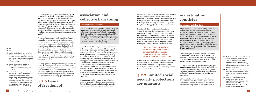185. Ibid.

#### 186. Ibid.

- 187. Arokkiaraj (2015) citing External Affairs Minister's response to the points raised on Calling Attention Motion on 'Situation arising out of Indians stranded in Iraq and steps taken by the Government in this regard' in Lok Sabha.
- 188. Arokkiaraj (2015) citing Lok Sabha, Unstarred Question No. 1099, answered on 25 November 2009 by Shri Vyalavar Ravi, MOIA.
- 189. Private Employment Agencies Convention, 1997 (No. 181), Article 4. India has not ratified the Convention and is thus not formally bound to uphold its provisions. See ILO Normlex, Private Employment Agencies Convention, 1997 (No. 181), www.ilo.org/ dyn/normlex/en/f?p=NORMLEXPUB:113 10:0::NO:11310:P11310\_INSTRUMENT\_ IBID:312326:NO (accessed 6 Oct. 2014).

The illegal practice of employers taking away workers' passports is widespread in the Gulf countries and in Malaysia. From January 2011 to June 2014, the Indian Missions in Riyadh and Jeddah in Saudi Arabia received 16,297 complaints from migrants pertaining to confiscation of their passports by employers and non-possession of a valid employment contract.<sup>188</sup>

C. Rajendra and the other workers at the site where he was held were finally rescued, four months later, when Narayan Swamy from the Migrants Rights Council filed a petition in the Hyderabad High Court calling for the Indian Government to repatriate all labour migrants in Iraq due to military conflict taking place there.185 As recounted by C. Rajendra, Indian embassy officials located him and other workers in remote areas of Iraq, evacuated them with the support of military protection and ensured their safe return to India.186

Patterns of unfavourable work conditions, frequently amounting to forced labour, led the Government of India to suspend emigration clearance to Iraq in June 2014. In a statement in the Lok Sabha in July 2014, Minister of External Affairs Sushma Swaraj said that most of the Indians deployed in Iraq were stranded due to the non-renewal of their visa by their employers, expiry of their residents permits and refusal by Iraqi company holders to return their passports.187 Workers who lose their legal standing are often functionally stranded and thereby even more susceptible to abuse.

Bangladesh, India, Nepal and Sri Lanka were detained in Qatar after a three-day strike by 800 workers protesting in response to receiving half the wages they were promised in their employment contract—600 Qatari riyal (QR) (US\$165) per month as opposed to the OR1,200 (US\$330) stated in their contracts.<sup>190</sup>

### **4.2.6 Denial of freedom of**

### **association and collective bargaining**

#### **International standard**

Confer equal treatment to immigrants as to nationals with respect to membership of trade unions and enjoyment of the benefits of collective bargaining (ILO Conventions No. 97, Article 6; No. 87 and No. 181 call for States to ensure that workers recruited by private agencies are not denied access to their rights and entitlements, including rights to freedom of association and collective bargaining)

Under Article 6 of the Migrant Workers Convention, States must confer equal treatment to immigrants as to nationals regarding membership in trade unions and enjoyment of the benefits of collective bargaining. The Migrant Workers Convention is supported by the Freedom of Association and Protection of the Right to Organize Convention, requiring States to take appropriate measures to ensure that workers can freely exercise their right to organize. Article 98, protect workers against acts of anti-union discrimination. Moreover, the Private Employment Agencies Convention calls for States to ensure that workers recruited by private agencies are not denied access to their rights and entitlements, including the rights to freedom of association and collective bargaining.<sup>189</sup>

Migrant workers who attempt to take collective action overseas may suffer severe consequences for exercising these rights. In November 2014, for instance, more than 100 migrant workers from

Even though these violations of international standards take place in destination countries, India can safeguard workers' rights by negotiating with the governments of destination countries to protect workers' rights to freedom of association. Rather than encouraging workers to associate to protect their rights at work, however, the MOIA pre-departure training manual for Saudi Arabia currently warns

against collective solidarity, instructing: "Do not strike at work or resort to agitations." These instructions are consistent across all pre-departure training manuals, even when migrants are preparing to travel to countries that allow unions.<sup>191</sup>

### **4.2.7 Limited social security protections for migrants**

### **in destination countries**

### **International standard**

Migrants are to be given treatment by destination countries no less favourable than that which applies to their own nationals in respect of social security (subject to limitations) (ILO Convention No. 97, Article 6). States should address the specific problems encountered by migrant workers with regard to social security by creating reciprocal obligations between countries that allow workers to claim social security provisions afforded at home while working in a host country (ILO Conventions No. 118 and No. 157).

Under the Migration for Employment Convention, migrants are to receive treatment by destination countries no less favourable than that which applies to its own nationals regarding social security benefits, subject, however, to a few limitations.

The MOIA has signed 20 social security agreements with 18 countries (mostly European), 11 of which are in force. <sup>192</sup> Existing agreements safeguard migrants against paying double social security contributions, total contributions and ensure that benefits are exportable.

Additionally, the MOIA introduced the Mahatma Gandhi Pravasi Suraksha Yojna, a pilot pension and life insurance scheme, in May 2012. The scheme aimed to encourage overseas Indians to invest in

- 190. Middle East Eye, "More than 100 migrant workers may be deported after Qatar strike", 26 November 2014, www. mIbiddleastye.net/news/over-100 migrant-workers-threatened-deportationafter-three-day-strike-qatar-2081152951 (accessed 13 Jan. 2015).
- 191. Ministry of Overseas Indian Affairs, http://moia.gov.in/writereaddata/pdf/ pr\_dep\_ksa.pdf (accessed 12 April 2015), p. 9.
- 192. Ministry of Overseas Indian Affairs, "Social security agreements", http://moia.gov.in/services.aspx?Ibid1 =92&Ibid=m3&Ibidp=92& mainIbid=73 (accessed 13 Oct. 2014); Press Information Bureau, 2015.

India can safeguard workers' rights by negotiating with the governments of destination countries to protect workers' rights to freedom of association.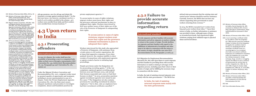193. Ministry of Overseas Indian Affairs, 2013, p. 10.

- 194. Ministry of Overseas Indian Affairs, Lok Sabha, Unstarred Question No. 1627, answered on 3 December 2014 by Shetty Shri Gopal Chinayya, MOIA.
- 195. Migrant workers Convention, 1975 (No. 143) and Migrant Worker Recommendations, 1975 (No. 151); Private Employment Agencies Convention, 1997 (No. 181), Article 10. India has not ratified either Convention or the Recommendation and is thus not formally bound to uphold their provisions. See ILO Normlex, C181- Private Employment Agencies Convention, 1997 (No. 181), www. ilo.org/dyn/normlex/en/f?p=NORMLEXPUB: 11310:0::NO:11310:P11310\_INSTRUMENT IBID:312326:NO (accessed 6 Oct. 2014).
- 196. 197 A recruitment certificate, whether issued to a recruiting agent or an employer, is subject to cancellation or suspension due to the manner in which the certificate holder carries out the business, deterioration in financial position, change in the facilities for recruitment or determination that the certificate holder is not fit to continue holding a certificate; recruitment of emigrants for purposes prejudicial to the interests of India or for purposes contrary to public policy; conviction by the certificate holder for any offence involving moral turpitude, or under the Emigration Act, 1983, or any other law relating to passports, foreign exchange, drugs, narcotics or smuggling; renewal of the certificate on the basis of misrepresentation or suppression or any material fact; violation of any of the terms and conditions of the certificate; or the opinion of the central government that it is necessary in the interest of foreign relations or in the interests of the general public to cancel the certificate. With any of the above causes, the registering authority may suspend a certificate and require the certificate holder to show cause as why the suspension should be revoked pending a final decision on cancellation. Emigration Act, 1983, No. 31 of 1983, 10-9- 1983, Chapter III, Section 14(d). Emigration Act, 1983, No. 31 of 1983, 10-9-1983, Chapter III, Section 14(1)(a–g), 14(2), 14(3).

Despite provisions under the Emigration Act for prosecuting recruiting agents, $196$  of the 722 complaints registered against recruiting agents between 2012 and February 2015, only 96 had their licenses suspended and a mere 57 had their licenses revoked.<sup>197</sup> In 2013, prosecution sanctions against recruitment agencies were issued in just five cases.198 The Emigration Act also contains provisions for cancelling recruitment by abusive employers,<sup>199</sup> but to date, only 511 employers have had their recruitment certificates cancelled.<sup>200</sup>

old-age pensions, save for old age and obtain life insurance coverage against unnatural death.193 In the first year (2012–13), however, enrolment was low: a total of 1,276 workers enrolled in the scheme—470 workers were enrolled from India and 806 workers were enrolled from overseas locations.194

# **4.3 Upon return to India**

### **4.3.1 Prosecuting offenders**

#### **International standard**

In India, the task of assisting returned migrants rests mainly with the state governments.<sup>201</sup> The MOIA has

In case of a dispute, the worker shall have the possibility of presenting a case to a competent body, either on their own or through a representative (ILO Convention No. 143, Article 9(2)); Recommendation No. 151, Paragraph 341 and Convention No. 181, Article 10)

Under the Migrant Workers Convention and Recommendation (No. 151), a migrant worker must be granted equality of opportunity and treatment, including to access representation in case of a dispute. Under the Private Employment Agencies Convention (No. 181), the State must ensure adequate machinery and procedure to investigate complaints, abuses and fraudulent practices by

private employment agencies.195

To access justice in cases of rights violations, migrant workers must know their rights and the grievance redressal mechanisms in place to safeguard their rights. Workers interviewed by SLD were neither aware of their rights nor of the role of the Protector of Emigrants in safeguarding their rights.

Workers interviewed for this study who approached a Protector of Emigrants, with assistance from a trade union or civil society organization, did at times find supportive responses. Even when assisted, however, the common inability to show receipts of transactions with employment agencies or agents created a barrier to initiating legal proceedings.

### **4.3.2 Failure to provide accurate information regarding return**

#### **International standard**

Provide migrants and their families with accurate information and advise migrants on matters relating to return to the country of origin. Provide facilities for migrants and their families with regard to the fulfillment of administrative formalities and other steps to be taken in connection with the return to the country of origin, should the case arise (ILO Recommendation No 86, Paragraphs 5.2 and 5.3).

ILO Migration for Employment Recommendation (Revised) (No. 86) calls upon States to assist migrants and their families by providing them with accurate information on matters relating to all stages of the migration process, including upon their return to their country of origin and by fulfilling the necessary steps in connection with the return.

advised state governments that the existing state and central sector schemes should be used for assistance. Currently, however, the MOIA does not have any scheme supporting state governments to assist workers returning from overseas. 202

In 2014, the MOIA evacuated 6,977 workers from Iraq and 3,200 workers from Libya. <sup>203</sup> Upon their return to India, no further information or assistance was provided to them—although many of them, as recounted previously, had experienced rights violations ranging from withheld wages to physical abuse and forced labour.

197. Ministry of Overseas Indian Affairs, Lok Sabha, Starred Question No. 309, answered on 18 March 2015, Annex I, http://164.100.47.132/Annexture\_New/ lsq16/4/as309.htm (accessed 12 April 2015).

198. Ministry of Overseas Indian Affairs, 2013.

- 199. A court convicting a certificate holder for any offence under the Emigration Act, 1983 may also cancel the certificate. Chapter IV, Section 20 of the Emigration Act applies the conditions listed in Section 14, specifying grounds for cancelling a certificate issues to a recruiting agent or to an employer who holds a recruitment certificate. Suspension of a certificate for convictions under the Emigration Act or any other law relating to passports, foreign exchange, drugs, narcotics or smuggling requires the offence to carry a sentence of imprisonment for not less than six months. Emigration Act, 1983, No. 31, 10-9-1983, Chapter III, Section 14(d). Emigration Act, 1983, No. 31, 10-9-1983, Chapter III, Sections 14(1)(a–g), 14(2), 14(3).
- 200. Ministry of Overseas Indian Affairs, 2013.
- 201. Ministry of Overseas Indian Affairs, Lok Sabha, Unstarred Question No. 2035, answered on 23 July 2014 by Premachandran Shri N.K.
- 202. Ibid.
- 203. Press Information Bureau, 2015.

To access justice in cases of rights violations, migrant workers must know their rights and the grievance redressal mechanisms in place to safeguard their rights.

> In India, the task of assisting returned migrants rests mainly with the state governments.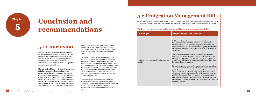# **Conclusion and 5 recommendations**



## **5.1 Conclusion**

Labour migrants face significant difficulties at all stages of their migration journey due to gaps in legislation, insufficient enforcement of laws and lack of information about their rights. In destination countries, Indian embassies and consulates do not have the mandate or capacity to support migrants in distress.

The current legal framework governing migration in India does not regulate recruitment subagents, study-abroad programmes represented as employment opportunities or informal migration channels. Recruitment agencies are monitored loosely, if at all, and are rarely held responsible for failure to comply with policies designed to keep migrants safe. Well-drafted schemes, such as the Pravasi Bharatiya Bima Yojna and the Mahatma

Gandhi Pravasi Suraksha Yojna, are both under utilized and largely ineffective due to lack of enrol lment, the small number of migrants who make claims and failure to process claims that do arise.

> **Ineffective** policies

Charged with safeguarding the interests of labour migrants, the MOIA is still limited in its role of protecting migrants in destination countries. The funding allocations within the MOIA reveal a focus on programming for the diaspora community more than for labour migrants. It is not surprising, then, that information campaigns undertaken by the MOIA are insufficient to meet the needs of the millions of vulnerable workers who migrate for employment each year.

These deficits are exacerbated by insufficient involvement of workers' organizations, unions and employers' organizations in shaping safe migration policy. In spite of these harsh realities, international migration from India continues to grow.

# **5.2 Emigration Management Bill**

In an attempt to remedy these deficits, the MOIA has introduced the Emigration Management Bill in Parliament. Table 11 highlights provisions of the proposed bill and their potential to address many of the challenges cited in this report.

### **Table 11. Key provisions in the proposed Emigration Management Bill**

| <b>Challenges</b>                                        | <b>Proposed legislative solutions</b>                                                                                                                                                                                                                                                                                                                                                                                                                                                                                                                                                                                                                                                                                                                                                                                                                                                                                                                                                                                                                                                                                                                                  |
|----------------------------------------------------------|------------------------------------------------------------------------------------------------------------------------------------------------------------------------------------------------------------------------------------------------------------------------------------------------------------------------------------------------------------------------------------------------------------------------------------------------------------------------------------------------------------------------------------------------------------------------------------------------------------------------------------------------------------------------------------------------------------------------------------------------------------------------------------------------------------------------------------------------------------------------------------------------------------------------------------------------------------------------------------------------------------------------------------------------------------------------------------------------------------------------------------------------------------------------|
| Ineffective enforcement of existing laws and<br>policies | Bolsters existing enforcement mechanisms that rely upon<br>the Protector General and Protectors of Emigrants with<br>the creation of the Emigration Management Authority-an<br>institution headed by a chairman and managed by two full-time<br>members and one part-time member (selected by the Cabinet<br>Secretary).<br>Appoints a grievance-redress authority that is tasked with<br>hearing grievances arising out of recruitment, emigration and<br>overseas employment under the Act. The grievance authority<br>should hear and dispose of complaints within a specified time.<br>Its orders should be binding.<br>Strengthens penal provisions by regulating human smuggling<br>and exploitation of labour migrants. Provisions criminalize the<br>production and possession of fake and fraudulent travel and<br>other documents to help curb illegal emigration and human<br>smuggling. Maximum penalties have been enhanced from two<br>to five years imprisonment and from INR2 000 to INR100<br>000. In cases in which women or minors have been exploited,<br>imprisonment cannot be less than five years and fines cannot be<br>less than INR100 000. |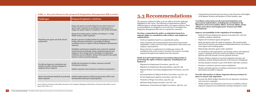### **Table 11. Key provisions in the proposed Emigration Management Bill (contd.)**

**If saw my dreams dying"** - The plight of Indian migrant workers and policy recommendations for safe migration

| <b>Challenges</b>                                                                                               | <b>Proposed legislative solutions</b>                                                                                                                                                                                                                                                                                                                                                                                                                                                                                                                                                                                                                                                                                                                                                                                             |
|-----------------------------------------------------------------------------------------------------------------|-----------------------------------------------------------------------------------------------------------------------------------------------------------------------------------------------------------------------------------------------------------------------------------------------------------------------------------------------------------------------------------------------------------------------------------------------------------------------------------------------------------------------------------------------------------------------------------------------------------------------------------------------------------------------------------------------------------------------------------------------------------------------------------------------------------------------------------|
| Regulating sub-agents and study abroad<br>programmes                                                            | Brings sub-agents (currently illegal but prevalent) and travel<br>agents under regulation by permitting recruiting agents to<br>engage sub-agents subject to compliance with certain standards.<br>Brings all recruiting agents, whether recruiting low- or high-<br>skilled workers, under regulation.<br>Requires agencies enrolling Indians for programmes of study at<br>foreign education institutions or providing enrollment<br>consulting services to register with the Emigration Management<br>Authority.<br>Establishes performance standards and a system for regularly<br>monitoring and periodically rating recruitment agencies and<br>employers. Poor ratings lead to cancellation of registration<br>certificates and accreditation. Rating will be placed in the public<br>domain to inform potential migrants. |
| Provide pre-departure orientations and<br>benefits of welfare schemes designed to<br>safeguard labour migrants. | Enables the formulation of welfare, insurance and skill<br>development schemes.<br>Enables expansion of pre-departure orientation programmes.                                                                                                                                                                                                                                                                                                                                                                                                                                                                                                                                                                                                                                                                                     |
| Ensure international standards in protecting<br>labour migrants                                                 | Enables implementation of bilateral agreements, MOUs and<br>international treaties governing migration.                                                                                                                                                                                                                                                                                                                                                                                                                                                                                                                                                                                                                                                                                                                           |
|                                                                                                                 | Source: Ministry of Overseas Indian Affairs discussion of the Emigration Management Bill, Ministry of Overseas Indian Affairs, Annual                                                                                                                                                                                                                                                                                                                                                                                                                                                                                                                                                                                                                                                                                             |

Report 2012–2015, p. 21.

# **5.3 Recommendations**

The measures outlined in Table 13 do not address all of the challenges highlighted in this report. The following recommendations address additional gaps in existing migration policy and suggest solutions. These recommendations are designed to use in advocacy to strengthen the Emigration Management Bill when it is opened for comments.

#### **Develop a comprehensive policy on migration focused on migrant rights, in consultation with workers' and employers' organizations:**

» Draft new legislation based on a comprehensive policy.

- » Invite comments and recommendations from relevant government stakeholders, workers and civil society organizations, trade unions and employer representatives.
- » Remove barriers to employment of working-age women. Lift prohibitions that restrict women's freedom of movement; encourage migration through formal regulated and safe channels.

#### **Ratify ILO and United Nations Conventions that pertain to protecting the rights of labour migrants, including but not limited to:**

143)

- 
- 
- » Migration for Employment Convention, 1949 (No. 97)
- » Migration for Employment Recommendation, 1949 (No. 86)
- » Migrant Workers Convention (Supplementary Provisions), 1975 (No.
	- » Recommendation for Migrant Workers Convention, 1975 (No. 151)
- » Protection of Wages Convention, 1949 (No. 95)
- » Minimum Wage Fixing Convention, 1970 (No. 131)
- » Maintenance of Social Security Rights Convention, 1982 (No. 157)
- » Private Employment Agencies Convention, 1997 (No. 181)
- 

» United Nations International Convention on the Protection of the Rights of All Migrant Workers and Members of Their Families, 1990

**Coordinate action between all concerned ministries and government stakeholders, including but not limited to the Ministries of Overseas Indian Affairs, External Affairs, Home Affairs and Labour and Employment, Women and Child Development.** 

#### **Improve accountability in the regulation of recruitment:**

- » Ratify ILO Private Employment Agencies Convention (No. 181) and establish compliant regulations.
- » Register all recruitment agents and agencies.
- » Bring sub-agents under the ambit of regulation. This should include clear terms of reference governing the relationship between visa brokers, travel agents and recruiting agents.
- » Bring foreign education agents under regulation.
- In consultation with organizations representing workers and employers, prepare a standard rate for the services provided by recruitment agencies and work towards a non-fee payment structure.
- » Require all labour migrants to pay fixed emigration clearance and mandatory medical testing fees directly to the Protector of Emigrants.
- » Develop standard contracts as part of the MOUs with other countries.
- » Promote e-contracts to prevent contract substitution.
- » Monitor and grade agencies according to performance and make this information accessible to migrants.

#### **Provide information to labour migrants about provisions in place to ensure safe migration:**

- » Increase the MOIA budget allocation for pre-departure orientation and awareness campaigns.
- » Widely publicize all information and resources available to labour migrants using print and multimedia strategies designed to reac h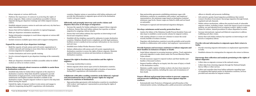labour migrants at various skill levels.

- » Publicize the importance of contracts in protecting the rights of labour migrants. Make contract consultations accessible to labour migrants during pre-departure trainings and within migrant resource centres.
- » Establish migrant resource centres in each state and every city that has a major international airport.
- » Ensure that toll-free helplines are operative in regional languages.
- » Make pre-departure orientation mandatory.
- » Design information campaigns to reach labour migrants at various skill and literacy levels.
- » Include resources available upon return and to support reintegration.

#### **Expand the outreach of pre-departure trainings:**

- » Build the capacity of trade unions and civil society organizations to conduct outreach and training in areas where there are high levels of oversees migration for employment.
- » Conduct destination and sector-specific training.
- » Involve returned migrants in pre-departure trainings at the community level.
- » Make pre-departure orientation modules accessible online for skilled workers as well as in workers centres.

#### **Inform labour migrants about resources available to assist them in destination countries:**

- » Establish help desks for Indian labour migrants at the airports in destination countries. Help desks should be equipped to provide information on legal processes, social security benefits and other entitlements and helpline numbers should be available in the destination country. Require migrant workers to report to the help desk before leaving the airport.
- » Uphold the rights of migrant workers to join unions and engage in collective bargaining during MOU negotiations with destination

countries. Register unions or associations with Indian embassies and provide this information to migrants upon arrival in the destination country and upon request.

#### **Efficiently and promptly intervene and resolve claims and disputes that arise at all stages of migration:**

- » Increase the capacity for Indian embassies to support labour migrants in distress. Ensure that each Indian embassy has expertise on labour migration by assigning a labour attaché.
- » Ensure that each Indian embassy has expertise on intervening to end forced and compulsory labour.
- » Establish toll-free helplines operated by embassies in major destination countries. Helplines should receive complaints, provide legal assistance, facilitate access to medical services and give information on visa renewal and exit visas.
- » Establish more Indian Worker Resource Centres.
- » Initiate collaboration with unions and civil society organizations in destination countries to secure the rights of labour migrants. Maintain updated information on unions and associations at embassies in destination countries.

#### **Support the right to freedom of association and the right to organize:**

- » Encourage membership in unions.
- » Inform migrants about unions upon arrival in destination countries.
- » Negotiate to include the fundamental right to freedom of association during MOU negotiations with destination countries.

#### **Collaborate with other sending countries at the bilateral, regional and international levels to confer greater rights for migrant workers in countries of destination:**

» Sign partnership agreements with destination countries in consultation with workers' and employers' representatives protecting the rights of labour migrants.

- 
- 

- 
- 
- 

» Sign partnership agreements establishing minimum wages with destination countries in consultation with workers' and employers' representatives. Set minimum wages based on destination countries' minimum wage levels. Ensure wages are linked to skills and not based on nationality.

» Participate in regional and international migration dialogues.

#### **Develop a minimum social security protection floor:**

» Analyse the failure of the Mahatma Gandhi Pravasi Suraksha Yojna and take steps to establish a social security scheme for migrant workers.

» Link existing schemes or create new schemes to ensure the social security benefits of workers overseas.

» Negotiate with destination countries to provide portable social security benefits in collaboration with workers' and employers' representatives.

#### **Provide humane and necessary assistance to labour migrants and their families in instances of injury or death:**

» Assist labour migrants in accessing insurance policies. Track registration and assist migrants to make claims under the Pravasi Bharatiya Bima Yojna scheme.

- 
- » Provide necessary support to injured workers and their families and families of deceased workers.
- » Support families calling for an inquiry into the cause of injury or death in the destination country.
- their death.

» Maintain a public register of Indian workers who have been injured or killed in foreign countries, including the cause and circumstances of

#### **Ensure efficient and prompt intervention to prevent, suppress and prosecute trafficking and other crimes against migrant workers:**

» Systematically train Protectors of Emigrants and all branches of the criminal justice system, including police, public prosecutors and judicial officers to identify and prosecute trafficking.

- » Lift restrictive gender-based migration prohibitions that restrict women's freedom of movement. Encourage migration through formal, regulated and safe channels.
- » Within redress mechanisms, address the practical needs of vulnerable migrant workers, including women. Assess the impact of socio-economic position, sex and education level on migrant workers' ability to make claims for redress. Amend procedures to reduce disparities in access.
- » Increase international, regional and bilateral cooperation to address trafficking and other crimes.
- » Ensure that each Indian embassy has expertise on intervening to end forced or compulsory labour.

#### **Provide relevant information to migrants upon their return to India:**

- » Provide returning migrants information on employment opportunities in India.
- » Establish schemes for reintegration for migrants who return in distress.

#### **Encourage data collection and analysis pertaining to the rights of labour migrants:**

- » Collect data on migrants overseas in the national census.
- » Collect data from returning migrants through the National Sample Survey Office or other surveys.
- » Collect and centralize data from Indian embassies regarding types of complaints filed against parties in destination countries, services provided and outcomes for migrant workers.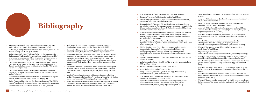# **Bibliography**

- » Amnesty International. 2014. Exploited dreams: Dispatches from Indian migrant workers in Saudi Arabia. (Bangalore, India).
- » Arokkiaraj, H. 2015. "Unskilled Indian workers abroad", Economic and Political Weekly, Vol. I. No. 13 (8 March).
- » Business Standard. 2014. "Problem of salary for Indian workers in Gulf countries" (11 December), www.business-standard.com/article/ government-press-release/problem-of-salary-for-indian-workers-ingulf-countries-114121101190\_1.html (accessed 13 Jan 2015).
- » Committee on Economic, Social and Cultural Rights. 2006. "General Comment No. 18, Article 6: The equal right of men and women to the enjoyment of all economic, social and cultural rights (Thirty-fifth session, 2006)" (Geneva).
- » Committee on Elimination of All Forms of Discrimination Against Women. 2009. "General recommendation No. 26 on women migrant workers" (Geneva).
- » Convention on the Elimination of All forms of Discrimination Against Women, United Nations, Treaty Series, Vol. 1249, p. 13.
- » Global Forum on Migration and Development. Undated. "The GFMD process". Available at: www.gfmd.org/process [accessed 11 Apr. 2015].
- » Government of India. Undated. Constitution of India, Article 6.
- » Gulf Research Centre. 2009. Indian's growing role in the Gulf: Implications for the region and the United States (Jeddah).
- » International Training Centre. 2014. Guide to international labour standards (Turin, Italy, International Labour Organization).
- » International Labour Conference. 2009. The cost of coercion: Global report under the follow-up to the ILO Declaration on Fundamental Principles and Rights at Work, International Labour Conference, 98th Session 2009, Report I(B) (Geneva). Available at: www.ilo.org/ declaration/WCMS\_106268/lang--en/index.htm [accessed 15 Oct. 2014].
- » International Labour Organization 2008. Women and men migrant workers: moving towards equal rights and opportunities. (Geneva). Available at: www.ilo.org/asia/info/WCMS\_101091/lang--en/index. htm.
- » 2008. Women migrant workers: seizing opportunities, upholding rights (Geneva). Available at: http://www.ilo.org/global/about-the-ilo/ newsroom/features/WCMS\_098491/lang--en/index.htm
- » 2010. International labour migration: A rights-based approach (Geneva). Available at: www.ilo.org/wcmsp5/groups/public/---ed\_protect/--protrav/---migrant/documents/publication/wcms\_208594.pdf

» 2012. "Revised Indian Community Welfare Fund (ICWF) Scheme in Indian Missions abroad". Available at: http://moia.gov.in/ writereaddata/pdf/revised\_icwf.pdf [accessed 13 Oct. 2014].

» 2011. Domestic Workers Convention, 2011 (No. 189) (Geneva).

» Undated. "Normlex, Ratifications for India". Available at:

» www.ilo.org/dyn/normlex/en/f?p=1000:11200:0::NO:11200:P11200\_ COUNTRY\_ID:102691 [accessed 6 Oct 2014].

» Irudaya Rajan, S., Varghese, V.J. and Jayakumar, M.S. 2009. Beyond the existing structures: Revamping overseas recruitment system in India (Thiruvanathapuram, India, Research Unit on International Migration, Centre for Development Studies).

» 2010. Overseas recruitment in India: Structures, practices and remedies, Working Paper 421 (Thiruvanathapuram, India, Research Unit on International Migration, Centre for Development Studies). Available at: www.cds.edu [22 Apr. 2015].

» Irudaya Rajan, S., Varghese, V.J. and Jayakumar, M.S. (ed.). 2011. Dynamics of Indian migration: Historical and current perspectives (New Delhi, Routledge).

» Middle East Eye. 2014. "More than 100 migrant workers may be deported after Qatar strike", 26 November. Available at: www. middleastye.net/news/over-100-migrant-workers-threateneddeportation-after-three-day-strike-qatar-2081152951 [accessed 13 Jan.

- 
- 
- 
- 
- 
- 
- 2015].
- 
- 
- 
- 
- 
- 
- 

» Ministry of Overseas Indian Affairs. 1983. Emigration Act, 1983, No. 31 of 1983, 10-9-1983.

» 1983. Emigration Rules, 1983, SO 941(E), 30-12-1983 (as amended vide GSR 511(E), 9-7-2009.

» 1956. Immoral Traffic Prevention Act, 1956, No. 58A.

» 2005. Right to Information Act, 2005. No. 22.

» 2009. Lok Sabha, Unstarred Question No: 1099, Answered on 25 November by MOIA, Shri Vyalavar Ravi.

» 2011. Pre-departure information manual for workers on temporary contractual employment to Yemen (Delhi).

- » 2013. Annual Report of Ministry of Overseas Indian Affairs, 2012–2013 (Delhi).
- » 2014. Lok Sabha, Unstarred Question No. 2035 Answered on 23 July by MOIA, Premachandran Shri N.K.
- » 2014. Lok Sabha, Unstarred Question No. 1627, Answered on 3 December by MOIA Shetty Shri Gopal Chinayya.
- » 2015. Lok Sabha Starred Question No. 309, Answered on 18 March, Annex I. Available at: http://164.100.47.132/Annexture\_New/lsq16/4/ as309.htm [accessed 12 Apr. 2015].
- » Undated. "Bilateral agreements". Available at: http://moia.gov.in/ services.aspx?id1=92&id=m3&idp=92&mainid=73 [accessed 13 Oct. 2014].
- » Undated. "Bilateral co-operation for protection and welfare of emigrants". Available at: http://moia.gov.in/services. aspx?id1=92&id=m3&idp=92&mainid=73 [accessed 13 Oct. 2014].
- » Undated. "Documents required for unskilled/women workers (individuals)". Available at:
- » http://moia.gov.in/services. aspx?ID1=102&id=m6&idp=100&mainid=73 [accessed 13 Oct. 2014].
- » Undated. "e-Governance". Available at: http://moia.gov.in/services. aspx?id1=85&id=m2&idp=85&mainid=73 [accessed 13 Oct 2014].
- » Undated. "Emigration services: An overview". Available at: http://moia. gov.in/services.aspx?id1=66&idp=66&mainid=73 [accessed 10 Oct. 2014].
- » Undated. "India Centre for Migration". Available at: http://moia.gov. in/services.aspx?ID1=77&id=m1&idp=75&mainid=73 [accessed 11 Apr. 2015].
- » Undated. "Indian Workers Resource Centre (IWRC)". Available at: http://moia.gov.in/services.aspx?id1=92&id=m3&idp=92&mainid=73 [accessed 13 Oct. 2014].
- » Undated. "Labour mobility partnership". Available at: http://moia.gov. in/services.aspx?id1=92&id=m3&idp=92&mainid=73 [accessed 13 Oct. 2014].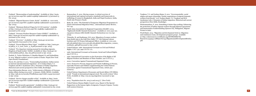- » Undated. "Memorandum of understanding". Available at: http://moia. gov.in/services.aspx?id1=92&id=m3&idp=92&mainid=73 [accessed 13 Oct. 2014].
- » Undated. "Migrant Resource Centre, Kochi". Available at: www.moia. gov.in/services.aspx?ID1=325&id=m3&idp=92&mainid=73 [accessed 11 Apr. 2015].
- » Undated. "Minimum Referral Wages for E.C.R Countries". Available at http://moia.gov.in/services.aspx?id1=194&idp=194&mainid=73 [accessed 13 Oct. 2014]
- » Undated. "Overseas Workers Resource Centre (OWRC)". Available at: http://moia.gov.in/services.aspx?id1=92&id=m3&idp=92&mainid=73 [accessed 13 Oct. 2014].
- » Undated. "Overview". Available at: http://moia.gov.in/services. aspx?mainid=6 [accessed 10 Oct. 2014].
- » Undated. "Pravasi Bhartiya Bima Yojna". Available at: http://moia.gov. in/pdf/p\_b\_b\_ywef\_%201\_4\_8.pdf [accessed 12 Apr. 2015].
- » Undated. "Pre-departure training manual for intending migrants, Kingdom of Saudi Arabia" (Delhi). Available at: http://moia.gov.in/ writereaddata/pdf/pr\_dep\_ksa.pdf [accessed 12 Apr. 2015].
- » Paoletti, S., Taylor-Nicholson, E, Bandita Sijapati, B. and Farbenblum, B. 2014. Migrant workers' access to justice at home: Nepal (New York: Open Society Foundations).
- » Percot, M. and Nair, S. 2011. "Transcending boundaries: Indian nurses in internal and international migration", in S. Irudaya Rajan, V.J. Varghese and M.S. Jayakumar (eds.): Dynamics of Indian migration: Historical and current perspectives (New Delhi, Routledge).
- » Press Information Bureau. 2015. "Achievements of Ministry of Overseas Indian Affairs during 2014-2015", 5 January, (Delhi, MOIA). Available at: http://pib.nic.in/newsite/PrintRelease.aspx?relid=114332 [accessed 12 Apr. 2015].
- » Undated. "Service charges payable to RAs". Available at: http://moia. gov.in/services.aspx?ID1=122&id=m9&idp=120&mainid=73 [accessed 12 Apr. 2015].
- » Undated. "Social security agreements". Available at: http://moia.gov.in/ services.aspx?id1=92&id=m3&idp=92&mainid=73 [accessed 20 Jan. 2015].
- » Ramaseshan, G. 2012. Moving women: A critical overview of international and regional normative standards and frameworks in trafficking of women in Bangladesh, India and Nepal (Lucknow, India, South Asia Women's Fund).
- » Ruhs, M. 2006. "The Potential of Temporary Migration Programmes in Future International Migration Policy", International Labour Review, Vol. 145.
- » South Asian Association for Regional Cooperation (SAARC). 2014. "Eighteenth SAARC Summit Declaration". Available at: www.saarc-sec. org/press-releases/18th-SAARC-Summit-Declaration/121/ [22 Apr. 2015].
- » Thimothy, R. and Sasikumar, S.K. 2012. Migration of women workers from South Asia to the Gulf (New Delhi, V.V. Giri National Labour Institute and UN Women Subregional Office). Available at: www.ucis. pitt.edu/global/sites/www.ucis.pitt.edu.global/files/migration\_women\_ southasia\_gulf.pdf [accessed 12 Apr. 2015].
- » United Nations. 1966. International Covenant on Civil and Political Rights. U.S.T. 521, 999 U.N.T.S. 171.
- » 1966. International Covenant on Economic, Social and Cultural Rights. 993 U.N.T.S. 3.
- » 1990. International Convention on the Protection of the Rights of All Migrant Workers and Members of Their Families. 220 U.N.T.S. 3.
- » 2000. Convention Against Transnational Organized Crime.
- » 2000. Protocol to Prevent, Suppress and Punish Trafficking in Persons, especially Women and Children supplementing the United Nations Convention against Transnational Organised Crime, Article 3(a) (Geneva).
- » United Nations Department of Economic and Social Affairs (UN DESA). 2008. "Trends in international migrant stock: The 2008 revision" (New York). Available at: http://esa.un.org/migration/ [accessed 12 Apr. 2015].
- » 2013. "Population facts No. 2013/2 and 2013/3". (New York).
- » United Nations Human Rights Council. 2014. Report of the Special Rapporteur on the human rights of migrants, François Crépeau. Twentysixth session (Geneva).

» Varghese, V.J. and Irudaya Rajan, S. 2011. "Governmentality, social stigma and quasi-citizenship: Gender negotiations of migrant domestic workers from Kerala", in S. Irudaya Rajan, V.J. Varghese and M.S. Jayakumar (eds.): Dynamics of Indian migration: Historical and current perspectives (New Delhi, Routledge).

» Wickramasekara, P. 2012. Something is better than nothing: Enhancing the protection of Indian migrant workers through bilateral agreements and memoranda of understanding (Quezon City, Philippines, Migrant Forum in Asia).

» World Bank. 2014. "Migration and development brief 22: Migration and remittances team, development prospects group". Available at: http://siteresources.worldbank.org/INTPROSPECTS/ Resources/334934-1288990760745/MigrationandDevelopmentBrief22.

- 
- 
- pdf.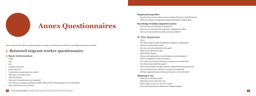#### **Employment specifics**

» In each country overseas where you have worked, what type of work did you do? » What were the dates of employment/approximate dates of employment?

### **Knowledge of Indian migration system**

- 
- 
- 

» Have you heard of a Protector of Emigrants? » Have you ever interacted with a Protector of Emigrants in India? » Have you interacted with any other government officials?

### **II. Pre-departure**

- » How did you find out about possibilities to migrate for employment?
- » What did they charge?
- » Did you seek employment overseas through a recruitment agency?
- » Actors
- 
- » Did you ever work with an agent?
- » If so, how were you introduced to this agent?
- » What services did they provide?
- 
- 
- » Have you engaged more than one agency?
- » If so, what was the name of the agency or agencies you worked with?
- » How did you learn about this agency?
- » Did you know whether the agency/agent is registered with the government?
- » If yes, how did you know whether or not they were registered?
- » Did their registration status inform your decision to work with them?

### **Obtaining a visa**

- » What type of visa did you hold?
- » What did you know about this visa?
- » Did you apply to work as a "free visa" worker?
- » Did you know this form of employment is illegal/irregular?

# **Annex Questionnaires**

Note to research team: Please use these questions as a guide to reveal key issues. Feel free to ask additional questions as needed.

**1. Returned migrant worker questionnaire**

### **I. Basic information**

- » Name:
- » Age:
- » Sex:
- » Location of interview:
- » Date of interview:
- In what other countries have you worked?
- What type of work did you do?
- » Where do you live?
- » What level of education have you completed?
- » Do you have any training or professional skills? What are they? What training have you undertaken?
- » Who are the earners in your family?

- 
-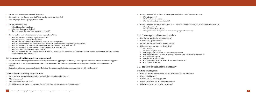ou informed about the social norms, practices, beliefs in the destination country?

- o informed you?
- at was the information?
- s this information proved helpful?

ou informed of/advised not to join the union or any other organization in the destination country? If yes,

- o informed you?
- s this information helpful?
- re you member of any union in India before going to other country?

### **III. The Superior and entry**

- d you travel to the receiving country?
- d you pay for this travel?
- know if you entered the country legally?
- yone meet you when you first arrived?
- o met you?
- ere did they take you?
- wou get work documents and residency documents?
- w long were you in the country before you received work and residency documents?
- o gave them to you?
- I you have to pay for these?
- is the payment what you were told you would have to pay?
- s it more? Was it less?

### **IV. In the destination country**

#### **Finding employment**

- you reached the destination country, where were you first employed?
- vork did you do?
- d you find this employment?
- ponsor assist you in finding employment?
- a have to pay rent or a fee to a sponsor?

| Did you enter into an agreement with the agency?<br>$\mathcal{D}$                                                                                                                         | Were yo<br>$\mathcal{D}$  |
|-------------------------------------------------------------------------------------------------------------------------------------------------------------------------------------------|---------------------------|
| How much were you charged for a visa? Were you charged for anything else?<br>$\mathcal{P}$                                                                                                | Who                       |
| How did you get the money to pay this amount?<br>$\gg$                                                                                                                                    | Wha<br>Was                |
| Did you take a loan? If so,<br>$\mathcal{P}$                                                                                                                                              | Were yo                   |
| Who did you take a loan from?<br>What were the terms of the loan?<br>Have you repaid this loan? How much have you paid?                                                                   | Who<br>Was<br>Wer         |
| Did you apply to work with a particular sponsoring employer? If yes,<br>$\rightarrow$                                                                                                     | III. Tra                  |
| Were you informed of the type of job you would do?                                                                                                                                        | How did                   |
| Were you given the name of the employer?<br>Did you know the number of workers being recruited for this employer?                                                                         | How did                   |
| Were you told how much you would earn? If so, how much did the recruiter tell you that you would earn?                                                                                    | Do you k                  |
| Were you told anything about the accommodation you would receive? What were you told?                                                                                                     | Did anyo<br>$\mathcal{D}$ |
| Were you told anything about getting a food allowance? What were you told?<br>Were you shown a sample employment contract?                                                                | Who                       |
| Were you informed that your insurance would be done as a part of the visa process? If yes, how much amount charged for insurance and what were the<br>provisions of the insurance policy? | Whe<br>Did                |
|                                                                                                                                                                                           | How<br>Who                |
| Government of India support or engagement                                                                                                                                                 | Did                       |
| Did you interact with any government officials or departments while applying for or obtaining a visa? If yes, whom did you interact with? What happened?<br>$\mathcal{V}$                 | Was                       |
| Do you know about any agreements between the Indian Government and destination governments that to protect the rights and safety of migrant<br>$\mathcal{D}$<br>workers?                  | Was                       |
| Do you know about any agreements between the Indian Government and destination governments to provide social security?<br>$\mathcal{D}$                                                   | IV. In t                  |
|                                                                                                                                                                                           | Finding of                |
| Orientation or training programmes                                                                                                                                                        | When yo                   |
| Did anyone give you any information about leaving India to work in another country?<br>$\gg$                                                                                              | What wo                   |
| Who informed you?<br>$\mathcal{D}$                                                                                                                                                        | How did                   |
| What information were you given?<br>$\gg$                                                                                                                                                 | Did a sp<br>$\mathcal{D}$ |
| How did you go about getting the necessary documents and permissions to migrate for employment?<br>$\mathcal{D}$                                                                          | Did you                   |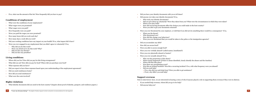- I have your identity documents with you at all times?
- one ever take your identity documents? If so,
- o took your identity documents?
- vou give them up voluntarily? Were they taken from you? What were the circumstances in which they were taken?
- ere were they held?
- $\alpha$  did not having documents affect the choices you could make in the host country? re you able to get your documents returned?

by ever threatened by your employer, or told that if you did not do something there would be a consequence? If so,

- at was the threat?
- threatened you?
- If did this change your behaviour?
- re you ever threatened that you would be taken to the police or the immigration agencies?
- » accumulate any debt?
- d you access food?
- ou able to access enough food?
- ou ever verbally abused? (called names, humiliated?)
- ou ever physically abused or beaten?
- ou ever sexually abused? If so,
- was the perpetrator of the abuse?
- at exactly happened? (If there is abuse identified, clearly identify the abuser and the timeline)
- ere did this take place?
- s there any precipitating event?
- s this an isolated incident? Was this a recurring incident? If so, with what frequency were you abused?
- vou seek help?
- f so, who did you seek help from? Were you able to get assistance?
- f not, why didn't you seek help?

#### **overseas**

erviewer: here, we are interested in hearing a story of who if anyone played a role in supporting them overseas if they were in distress.

- eeded help overseas, whom did you go to for help?
- one help you?

| $\gg$         | If so, what was the amount of the fee? How frequently did you have to pay?                                                         | Did you l<br>$\rightarrow$                  |
|---------------|------------------------------------------------------------------------------------------------------------------------------------|---------------------------------------------|
|               |                                                                                                                                    | Did anyo                                    |
|               | <b>Conditions of employment</b>                                                                                                    | Who                                         |
| $\gg$         | What were the conditions of your employment?                                                                                       | Did v                                       |
| $\rightarrow$ | What wages were you promised?                                                                                                      | Whe<br>How                                  |
| $\gg$         | What wages were you paid?                                                                                                          | Were                                        |
| $\gg$         | How frequently were you paid?                                                                                                      | Were you                                    |
| $\rightarrow$ | Were you paid the wages you were promised?                                                                                         | Wha                                         |
| $\gg$         | How many hours did you work each day?                                                                                              | Who                                         |
| $\gg$         | How many days a week did you work?                                                                                                 | How<br>Wer                                  |
| $\rightarrow$ | Did your working conditions have any impact on your health? If so, what impact did it have?                                        |                                             |
| $\gg$         | Were you ever engaged in any employment that you didn't agree to voluntarily? If so,                                               | Did you a                                   |
|               | Why did you do this work?<br>Were you afraid not to do this work? Why?<br>Did you face any threats?<br>Did you face any penalties? | How did<br>Were you<br>Were you<br>Were you |
|               |                                                                                                                                    | Were you                                    |
|               | <b>Living conditions</b>                                                                                                           | Who                                         |
| $\gg$         | Where did you live? How did you pay for this living arrangement?                                                                   | Wha                                         |
| $\gg$         | What did you eat? How did you pay for food? Where did you purchase your food?                                                      | Whe                                         |
| $\gg$         | What expenses did you have?                                                                                                        | Was<br>Was                                  |
| $\rightarrow$ | Did you expect to have these expenses based upon your understanding of the employment agreement?                                   | Did y                                       |
| $\rightarrow$ | Did you send remittances home?                                                                                                     | $\lozenge$ If s                             |
| $\gg$         | How did you send remittances?                                                                                                      | $\lozenge$ If 1                             |
|               | What were the costs involved?                                                                                                      | <b>Support</b>                              |
|               |                                                                                                                                    | Note to inter                               |
|               | <b>Rights violations</b>                                                                                                           | If you ne                                   |
|               | What identity documents did you need in the host country? (Inquire about proof of identity, passport, and residence papers.)       | Did anyo<br>$\gg$                           |
|               |                                                                                                                                    |                                             |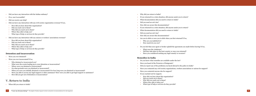### **Remedies in India**

- know what remedies are available under the law?
- ou heard of the Protector of Emigrants?
- I report any of the problems you faced abroad to the police in India?
- ou contacted any civil society organizations, workers associations or unions for support?
- by contacted anyone else for support?
- eached out for support,
- v did you hear about this organization?
- vou reach out to them?
- $\frac{1}{4}$  did you reach out to them?
- $\epsilon$  i.ere they able to help you?
- at type of help or services do they provide?

| Did you have any interaction with the Indian embassy?                                                                                        | Why did you return to India?                                                                                               |
|----------------------------------------------------------------------------------------------------------------------------------------------|----------------------------------------------------------------------------------------------------------------------------|
| If so, was it accessible?                                                                                                                    | If you returned in a crisis situation, did anyone assist you to return?                                                    |
| Did you receive any help?                                                                                                                    | What documentation did you need to return to India?                                                                        |
| Did you have any interaction with any civil society organization overseas? If yes,                                                           | Did you need an exit visa?                                                                                                 |
| How did you hear about this organization?                                                                                                    | How did you secure this documentation?                                                                                     |
| Did you reach out to them?                                                                                                                   | If you returned in a crisis situation, did anyone assist you to return?                                                    |
| • Why did you reach out to them?                                                                                                             | What documentation did you need to return to India?                                                                        |
| • Where they able to help you?                                                                                                               | Did you need an exit visa?                                                                                                 |
| • What type of help or services do they provide?                                                                                             | How did you secure this documentation?                                                                                     |
| Did you have any interaction with any unions or workers' associations overseas?                                                              | Are you in debt or were you in debt when you first returned? If so,                                                        |
| How did you hear about this organization?                                                                                                    | Who are you indebted to?                                                                                                   |
| Did you reach out to them?                                                                                                                   | How much do you owe?                                                                                                       |
| • Why did you reach out to them?                                                                                                             |                                                                                                                            |
| • Where they able to help you?<br>• What type of help or services do they provide?                                                           | Do you feel that your agent or broker upheld the agreement you made before leaving? If no,                                 |
|                                                                                                                                              | What were the violations?                                                                                                  |
| <b>Detention and incarceration</b>                                                                                                           | Did they take place in the host country or once you returned?<br>Have you considered seeking any legal remedy or recourse? |
|                                                                                                                                              |                                                                                                                            |
| Were you ever detained?                                                                                                                      | <b>Remedies in India</b>                                                                                                   |
| Were you ever incarcerated? If so,                                                                                                           | Do you know what remedies are available under the law?                                                                     |
| Who detained or incarcerated you?                                                                                                            | Have you heard of the Protector of Emigrants?                                                                              |
| • What were the events leading up to your detention or incarceration?                                                                        | Did you report any of the problems you faced abroad to the police in India?                                                |
| • Where were you detained or incarcerated?<br>• On what grounds were you detained or incarcerated?                                           | Have you contacted any civil society organizations, workers associations or unions for support?                            |
| • When you were you initially detained or incarcerated? For how long were you detained or incarcerated?                                      |                                                                                                                            |
| • Were you able to access any legal support or other assistance? How were you able to get legal support or assistance?                       | Have you contacted anyone else for support?                                                                                |
| • How did you get out of detention or incarceration?                                                                                         | If you reached out for support,                                                                                            |
|                                                                                                                                              | How did you hear about this organization?                                                                                  |
| <b>V. Return to India</b>                                                                                                                    | Did you reach out to them?<br>Why did you reach out to them?                                                               |
|                                                                                                                                              | Where they able to help you?                                                                                               |
| When did you return to India?                                                                                                                | What type of help or services do they provide?                                                                             |
|                                                                                                                                              |                                                                                                                            |
|                                                                                                                                              |                                                                                                                            |
| $\left\vert 71\right\rangle$<br>"I saw my dreams dying" - The plight of Indian migrant workers and policy recommendations for safe migration |                                                                                                                            |

- 
- 
- 
- 
- 
- 
- 
- 
- 
- 
- 
- 
- 
- 
- 
-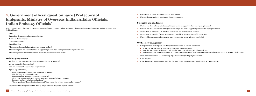» What are the strengths of existing training programmes? » What can be done to improve existing training programmes?

#### **Strengths and challenges**

- 
- 
- 
- 
- 

» What do you think is the greatest strength in your ability to support workers who report grievances?

» What do you think is/are some of the greatest challenges you face in supporting workers who report grievances?

» Can you give an example of the strongest intervention you have been able to make?

» Can you give an example of a time when you were not able to intervene successfully? And why.

» What would you recommend to ensure greater protection for labour migrants from India?

### **Civil society engagement**

» Have you worked with any civil society organizations, unions or workers associations?

• If yes, can you describe the ways in which you have worked together?

• How did you initiate collaboration? Who reached out? In which context did they reach out?

• Did you work together once pertaining to a particular issue or case? If so, what was the outcome? Alternately, is this an ongoing collaboration?

» Are there roles for unions and civil society organizations in supporting migrant workers?

- 
- 
- 
- 
- 
- » If not, why not?
- 

» If yes, do you have suggestions for ways that the government can engage unions and civil society organizations?

### **2. Government official questionnaire (Protectors of Emigrants, Ministry of Overseas Indian Affairs Officials, Indian Embassy Officials)**

Note to research team: There are Protector of Emigrants offices in Chennai, Cochin, Hyderabad, Thiruvananthapuram, Chandigarh, Kolkata, Mumbai, New

Delhi and Jaipur

| $\mathcal{D}$ | Name:                                                                                                                                                                                                                                                                                                                                                                                               |
|---------------|-----------------------------------------------------------------------------------------------------------------------------------------------------------------------------------------------------------------------------------------------------------------------------------------------------------------------------------------------------------------------------------------------------|
| $\mathcal{V}$ | Name of the department/ministry organization:                                                                                                                                                                                                                                                                                                                                                       |
| $\mathcal{D}$ | Position of the interviewee:                                                                                                                                                                                                                                                                                                                                                                        |
| $\mathcal{V}$ | Location of interview:                                                                                                                                                                                                                                                                                                                                                                              |
| $\mathcal{D}$ | Date of interview:                                                                                                                                                                                                                                                                                                                                                                                  |
| $\mathcal{V}$ | What services do you administer to protect migrant workers?                                                                                                                                                                                                                                                                                                                                         |
| $\mathcal{V}$ | What training have you received on how to support migrant workers seeking remedy for rights violations?                                                                                                                                                                                                                                                                                             |
| $\mathcal{D}$ | What other government or administrative bodies do you work most closely with?                                                                                                                                                                                                                                                                                                                       |
|               |                                                                                                                                                                                                                                                                                                                                                                                                     |
|               | <b>Training programmes</b>                                                                                                                                                                                                                                                                                                                                                                          |
| $\mathcal{V}$ | Are there any pre-departure training programmes that run in your area?                                                                                                                                                                                                                                                                                                                              |
| $\mathcal{D}$ | Are you involved in these trainings?                                                                                                                                                                                                                                                                                                                                                                |
| $\mathcal{V}$ | Have you ever attended any of these programmes?                                                                                                                                                                                                                                                                                                                                                     |
| $\mathcal{Y}$ | If yes to any of the above,                                                                                                                                                                                                                                                                                                                                                                         |
|               | Which organization or department organized the training?<br>What did they training module cover?<br>Do you know how regularly trainings are conducted?<br>Where are trainings conducted? Is this a convenient location for labour migrants?<br>How many workers typically attend training?<br>٠<br>What proportion of those who attend are men? What proportion of those who attend are women?<br>۰ |
| $\mathcal{D}$ | Do you think that such pre-departure training programmes are helpful for migrant workers?                                                                                                                                                                                                                                                                                                           |
|               |                                                                                                                                                                                                                                                                                                                                                                                                     |

- 
-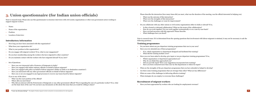- 
- What was the outcome of this interaction?
- What were the strengths of this interaction?
- 

Please describe the interaction (how many times did you meet, what was the duration of the meeting, was the official interested in helping you).

• What were the challenges or room for improvement?

» Do you collaborate with any other unions or civil society organizations either in India or abroad? If so,

Is this a formal or informal collaboration? What are the terms of the collaboration? • How do you work together? Do you work together systematically or on a case-by-case basis? • Have you had successes with this approach? Please describe. What challenges have you faced?

research team: If it is determined from the opening questions that involvement with labour migrants is minimal, it may not be necessary to ask the g questions.

#### **Training programmes**

- you know about any pre-departure training programmes that run in your area?
- e you ever attended any of these programmes?
- If so, which organization or department designed and facilitated the training? What did the training module cover?
- $\alpha$  vou ever been asked to develop, give input or run pre-departure training programmes? If so,
- Which organization or department approached you?
- Why do you think they approached you?
- Did you provide input? Were your suggestions incorporated into training?
- Have you been contacted more than once by this department or others for input?
- at are the strengths of the pre-departure programmes that you have attended or helped to develop?
- there some training programmes that are stronger than other? What are key differences?
- at are some of the challenges in delivering effective training?
- at strategies do you employ to overcome these challenges?

### **Recruitment of migrant workers**

 $\alpha$  vou been approached by workers who are looking for employment overseas?

### **3. Union questionnaire (for Indian union officials)**

Note to research team: Please also use this questionnaire to structure interviews with civil society organizations or other non-government actors working to support migrant workers.

|               |                                                                                                                                                                                             | Do y<br>$\mathbf{v}$  |
|---------------|---------------------------------------------------------------------------------------------------------------------------------------------------------------------------------------------|-----------------------|
| $\gg$         | Name:                                                                                                                                                                                       |                       |
| $\mathcal{P}$ | Name of the organization:                                                                                                                                                                   |                       |
|               | Position:                                                                                                                                                                                   |                       |
|               | Location of interview:                                                                                                                                                                      |                       |
|               |                                                                                                                                                                                             | Note to r             |
|               | Introductory information                                                                                                                                                                    | following             |
| $\mathcal{D}$ | How long you have been associated with this organization?                                                                                                                                   | Traini                |
| $\mathcal{V}$ | What does your organization do?                                                                                                                                                             | Do y<br>$\rightarrow$ |
| $\mathcal{P}$ | What is your position in this organization?                                                                                                                                                 | Have<br>$\mathcal{D}$ |
| $\mathcal{D}$ | Do you engage with migrant workers? If so, what is your engagement?                                                                                                                         |                       |
| $\mathcal{D}$ | Do you have membership among the workers who have migrated to other countries?                                                                                                              |                       |
| $\mathcal{D}$ | Do you maintain contact with the workers who have migrated abroad? If yes, how?                                                                                                             | Have                  |
|               |                                                                                                                                                                                             |                       |
| $\mathcal{D}$ | Set of Questions:                                                                                                                                                                           |                       |
|               | Have you ever interacted with a Protector of Emigrants in India?                                                                                                                            |                       |
|               | Have you engaged with Indian embassy officials on behalf of labour migrants?                                                                                                                | Wha                   |
|               | Have you engaged with police on behalf of labour migrants? (Either in India or in destination countries?)                                                                                   | Are t                 |
|               | Have you interacted with any other government officials on behalf of labour migrants?<br>Have you or are you engaged in any legal processes to recover any losses faced by labour migrants? | Wha                   |
|               | If yes to any of the above                                                                                                                                                                  | Wha<br>$\mathcal{D}$  |
|               | What was the exact position of the official?                                                                                                                                                |                       |
|               | Where did you meet them?                                                                                                                                                                    |                       |
|               | Why did you interact with the Protectorate of Emigrants or any other government official? Was it regarding the case of a particular worker? If so, what                                     | Recru                 |
|               | are the basic facts of the case? Do you have any documents on file about this issue that you would be willing to share?                                                                     | Have                  |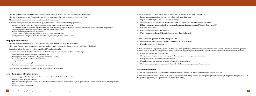- arch team: If they are involved in taking cases, please ask for particular case studies.
- any documentation they have and collect basic facts of the case.
- about the rights denied and the remedy sought.
- timeline of the abuse and the process of seeking a remedy that includes dates and locations.
- engage government officials or seek remedies through informal channels? Who did they work with?
- s the outcome?
- ere the strengths in this process?
- re major challenges? How did they overcome these challenges?

#### and government engagement

- engaged in any advocacy around migration practices or policies?
- at issues do you focus on?

rch team: In particular, please ask about any advocacy initiatives in the following areas: bilateral social security agreements, insurance, protection ht to association, engagement of Indian embassies in supporting workers, return for injured workers, repatriation when workers die overseas.

- » Have you advocated on individual cases?
- where wernment agencies have you engaged? (Central agencies, state agencies, embassies?)
- a advocated with more general demands?
- om have you raised these issues? What has the response been?
- wocacy strategies have you used? (Example: MOUs, campaigns, government sensitization)

#### **Rendations**

ave any suggestions for improving India's migration policies and programmes to support migrant workers?

arch team: Please ask this as an open-ended question first. If they have no initial response, please move through the phases of migration and ask aggestions (pre-departure, transit, destination, return).

| $\mathcal{D}$              | What are the forces that drive workers to migrate for employment in the area (geography and industry) where you work?                                                 | Note to resea   |  |  |
|----------------------------|-----------------------------------------------------------------------------------------------------------------------------------------------------------------------|-----------------|--|--|
| $\gg$                      | What are the primary sources of information on overseas employment for workers you come into contact with?                                                            | Request a       |  |  |
| $\mathcal{V}$              | What factors influence their choice of where to migrate for employment?                                                                                               | Inquire a       |  |  |
| $\gg$                      | In the area where you work, do workers typically migrate with the assistance of recruiting agents? If so,                                                             | Create a t      |  |  |
|                            | Do workers engage directly with recruiting agents? Are there intermediaries involved?                                                                                 | Did they        |  |  |
|                            | Are recruiting agents in your area registered? Do you know how many registered agents there are? Do you have an estimate of the proportion of                         | What was        |  |  |
|                            | recruiting agents that are not registered? What is this estimate based upon?                                                                                          | What wei        |  |  |
|                            | How do recruiting agents operate in your area?                                                                                                                        | What wei        |  |  |
|                            | Are there other channels that they commonly use to secure jobs and visas?<br>Could you estimate the proportion of workers that migrate through these formal channels? |                 |  |  |
|                            |                                                                                                                                                                       | Advocacy        |  |  |
| <b>Employment overseas</b> |                                                                                                                                                                       |                 |  |  |
| $\gg$                      | What are the primary destinations for workers from your area (consider industry and geography)?                                                                       | Are you e       |  |  |
| $\mathcal{V}$              | What types of jobs are most common overseas? Are workers actually employed in the areas they are told they will be hired?                                             | If so, wha      |  |  |
| $\mathcal{D}$              | Do you know about the types of working conditions? If so, please describe.                                                                                            | Note to resear  |  |  |
|                            |                                                                                                                                                                       | overseas, righ  |  |  |
| $\mathcal{D}$              | Note to research team: If they have information in the following areas, please inquire about the following:                                                           | Have you        |  |  |
|                            | Payment of wages (timeliness, amount promised, etc.)                                                                                                                  | What gov        |  |  |
|                            | Working hours (number of hours a day, number of hours a week)<br>Health impact of particular types of employment                                                      | Have you        |  |  |
|                            | Living conditions                                                                                                                                                     |                 |  |  |
|                            | Ability to move between employers                                                                                                                                     | With who        |  |  |
|                            | Workplace accidents and access to medical care in such cases.                                                                                                         | What adv        |  |  |
| $\mathcal{D}$              | Do the workers you encounter frequently overstay the duration of their visa?                                                                                          |                 |  |  |
|                            |                                                                                                                                                                       | Recommo         |  |  |
|                            | Remedy in cases of rights denial                                                                                                                                      | Do you h        |  |  |
|                            |                                                                                                                                                                       |                 |  |  |
| $\mathcal{D}$              | Have you been approached by migrant workers who have returned to India in distress? If so,                                                                            | for specific su |  |  |
|                            | How many cases have you handled?                                                                                                                                      |                 |  |  |
|                            | What are issues that you see? (Example: financial exploitation, deception by recruiters, physical, psychological, verbal or sexual abuse, uncompensated<br>injury)    |                 |  |  |
|                            | How have you been involved?                                                                                                                                           |                 |  |  |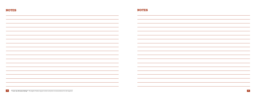| <b>NOTES</b> | <b>NOTES</b> |
|--------------|--------------|
|              |              |
|              |              |
|              |              |
|              |              |
|              |              |
|              |              |
|              |              |
|              |              |
|              |              |
|              |              |
|              |              |
|              |              |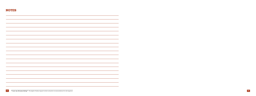| <b>NOTES</b> |  |  |  |  |
|--------------|--|--|--|--|
|              |  |  |  |  |
|              |  |  |  |  |
|              |  |  |  |  |
|              |  |  |  |  |
|              |  |  |  |  |
|              |  |  |  |  |
|              |  |  |  |  |
|              |  |  |  |  |
|              |  |  |  |  |
|              |  |  |  |  |
|              |  |  |  |  |
|              |  |  |  |  |
|              |  |  |  |  |
|              |  |  |  |  |